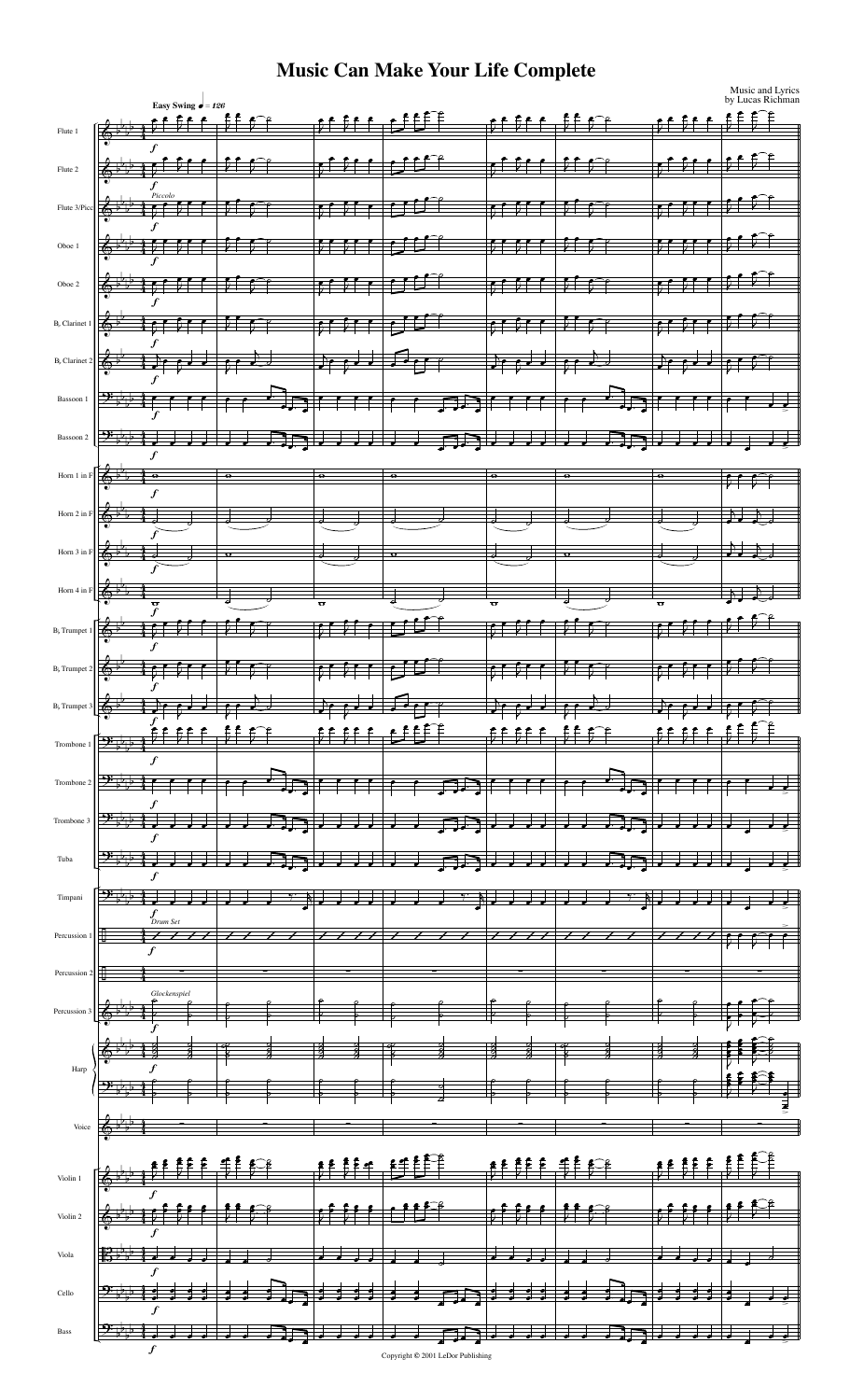## **Music Can Make Your Life Complete**

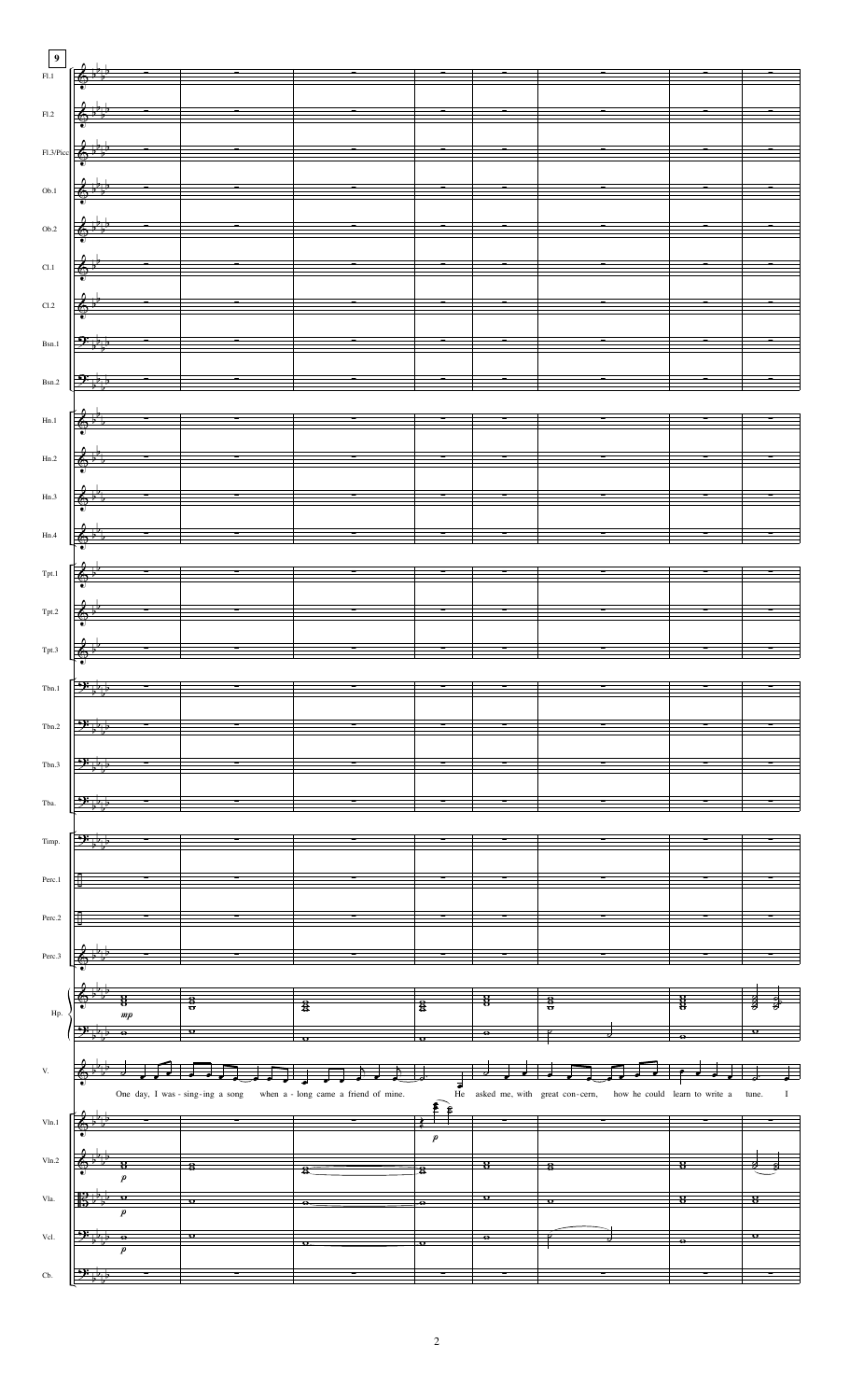| $\overline{\mathbf{9}}$ |                                   |                                  |                                                                         |                          |                                   |                    |                               |                         |
|-------------------------|-----------------------------------|----------------------------------|-------------------------------------------------------------------------|--------------------------|-----------------------------------|--------------------|-------------------------------|-------------------------|
| FL1                     | $\frac{2}{3}$                     |                                  |                                                                         |                          |                                   |                    |                               |                         |
|                         |                                   |                                  |                                                                         |                          |                                   |                    |                               |                         |
| FL2                     |                                   |                                  |                                                                         |                          |                                   |                    |                               |                         |
|                         |                                   |                                  |                                                                         |                          |                                   |                    |                               |                         |
| Fl.3/Picc               | 合毕                                |                                  |                                                                         |                          |                                   |                    |                               |                         |
|                         |                                   |                                  |                                                                         |                          |                                   |                    |                               |                         |
| Ob.1                    | $\frac{2}{9}$                     | ÷                                | $\sim$ 100 $\mu$ m $^{-1}$                                              | $\overline{\phantom{a}}$ |                                   |                    |                               |                         |
|                         |                                   |                                  |                                                                         |                          |                                   |                    |                               |                         |
|                         |                                   |                                  |                                                                         |                          |                                   |                    |                               |                         |
| Ob.2                    | $\frac{2}{9}$                     |                                  |                                                                         |                          |                                   |                    |                               |                         |
|                         |                                   |                                  |                                                                         |                          |                                   |                    |                               |                         |
| Cl.1                    | $\frac{2}{9}$                     |                                  | $\overline{\phantom{0}}$                                                |                          |                                   |                    |                               |                         |
|                         |                                   |                                  |                                                                         |                          |                                   |                    |                               |                         |
| $\rm Cl.2$              |                                   |                                  | $\langle \hat{\mathbf{e}}^{\mu} \rangle$ . The contract of $\mathbf{e}$ |                          |                                   |                    |                               |                         |
|                         |                                   |                                  |                                                                         |                          |                                   |                    |                               |                         |
| $_{\rm Bsn.1}$          | $\mathcal{P}$                     |                                  |                                                                         |                          |                                   |                    |                               |                         |
|                         |                                   |                                  |                                                                         |                          |                                   |                    |                               |                         |
| Bsn.2                   | $\mathcal{F}_{\mathcal{F}^{\pm}}$ |                                  | Ξ                                                                       |                          |                                   |                    |                               |                         |
|                         |                                   |                                  |                                                                         |                          |                                   |                    |                               |                         |
| $_{\rm Hn.1}$           | $\frac{2}{\frac{1}{2}}$           |                                  |                                                                         |                          |                                   |                    |                               |                         |
|                         |                                   |                                  |                                                                         |                          |                                   |                    |                               |                         |
|                         |                                   |                                  |                                                                         |                          |                                   |                    |                               |                         |
| Hn.2                    | $8P_1$                            |                                  |                                                                         |                          |                                   |                    |                               |                         |
|                         |                                   |                                  |                                                                         |                          |                                   |                    |                               |                         |
| Hn.3                    | $6^{\frac{1}{2}}$                 |                                  | $\overline{\phantom{0}}$                                                |                          |                                   |                    |                               |                         |
|                         |                                   |                                  |                                                                         |                          |                                   |                    |                               |                         |
| Hn.4                    | $\frac{2}{9}$                     | $\overline{\phantom{a}}$         | Ξ                                                                       |                          |                                   |                    |                               |                         |
|                         |                                   |                                  |                                                                         |                          |                                   |                    |                               |                         |
| $_\mathrm{Tpt.1}$       | $\frac{1}{\frac{1}{2}}$           | $\overline{\phantom{a}}$         |                                                                         |                          |                                   |                    |                               |                         |
|                         |                                   |                                  |                                                                         |                          |                                   |                    |                               |                         |
| Tpt.2                   | $\frac{1}{2}$                     |                                  |                                                                         |                          |                                   |                    |                               |                         |
|                         |                                   |                                  |                                                                         |                          |                                   |                    |                               |                         |
|                         |                                   |                                  | Ξ                                                                       |                          |                                   |                    |                               |                         |
| Tpt.3                   | $\frac{1}{\Phi}$                  |                                  |                                                                         |                          |                                   |                    |                               |                         |
|                         |                                   |                                  |                                                                         |                          |                                   |                    |                               |                         |
| Tbn.1                   | $\cdot$ : $\cdot$                 |                                  |                                                                         |                          |                                   |                    |                               |                         |
|                         |                                   |                                  |                                                                         |                          |                                   |                    |                               |                         |
| Tbn.2                   |                                   |                                  |                                                                         |                          |                                   |                    |                               |                         |
|                         |                                   |                                  |                                                                         |                          |                                   |                    |                               |                         |
| Tbn.3                   |                                   |                                  |                                                                         |                          |                                   |                    |                               |                         |
|                         |                                   |                                  |                                                                         |                          |                                   |                    |                               |                         |
| Tba.                    |                                   |                                  |                                                                         |                          |                                   |                    |                               |                         |
|                         |                                   |                                  |                                                                         |                          |                                   |                    |                               |                         |
| Timp.                   |                                   |                                  |                                                                         |                          |                                   |                    |                               |                         |
|                         |                                   |                                  |                                                                         |                          |                                   |                    |                               |                         |
| Perc.1                  |                                   |                                  |                                                                         |                          |                                   |                    |                               |                         |
|                         |                                   |                                  |                                                                         |                          |                                   |                    |                               |                         |
| Perc.2                  |                                   |                                  |                                                                         |                          |                                   |                    |                               |                         |
|                         |                                   |                                  |                                                                         |                          |                                   |                    |                               |                         |
|                         |                                   |                                  |                                                                         |                          |                                   |                    |                               |                         |
| Perc.3                  |                                   |                                  |                                                                         |                          |                                   |                    |                               |                         |
|                         |                                   |                                  |                                                                         |                          |                                   |                    |                               |                         |
|                         |                                   | $\frac{1}{3}$                    |                                                                         |                          |                                   | $\frac{8}{\sigma}$ |                               |                         |
| Hp.                     | $\emph{mp}$                       |                                  |                                                                         |                          |                                   |                    |                               |                         |
|                         |                                   | $\mathbf o$                      |                                                                         | $\overline{\mathbf{o}}$  | ⊖                                 |                    |                               | $\mathbf \sigma$        |
|                         |                                   |                                  |                                                                         |                          |                                   |                    |                               |                         |
| V.                      |                                   |                                  |                                                                         |                          |                                   |                    |                               |                         |
|                         |                                   | One day, I was - sing-ing a song | when a - long came a friend of mine.                                    |                          | He asked me, with great con-cern, |                    | how he could learn to write a | tune.<br>I              |
|                         |                                   |                                  |                                                                         | $\epsilon$               |                                   |                    |                               |                         |
| Vln.1                   |                                   |                                  |                                                                         | ≹                        |                                   |                    |                               |                         |
|                         |                                   |                                  |                                                                         | $\boldsymbol{p}$         |                                   |                    |                               |                         |
| Vln.2                   |                                   | $\mathbf{R}$                     |                                                                         |                          | 8                                 |                    | 8                             |                         |
|                         | $\boldsymbol{p}$                  |                                  | 8                                                                       | $\overline{\mathbf{3}}$  |                                   |                    |                               |                         |
| Vla.                    | $\overline{\mathbf{o}}$           | $\overline{\mathbf{o}}$          | $\bullet$                                                               | $\overline{\bullet}$     | $\overline{\mathbf{o}}$           | $\sigma$           | $\overline{\mathbf{B}}$       | $\overline{\mathbf{B}}$ |
|                         | $\boldsymbol{p}$                  |                                  |                                                                         |                          |                                   |                    |                               |                         |
|                         |                                   |                                  |                                                                         |                          |                                   |                    |                               | $\mathbf{o}$            |
|                         | $\bullet$                         | $\circ$                          |                                                                         |                          |                                   |                    |                               |                         |
| Vcl.                    | $\boldsymbol{p}$                  |                                  | $\overline{\mathbf{o}}$                                                 | $\overline{\mathbf{o}}$  | $\bullet$                         |                    | $\overline{\bullet}$          |                         |
| Cb.                     |                                   |                                  |                                                                         |                          |                                   |                    |                               |                         |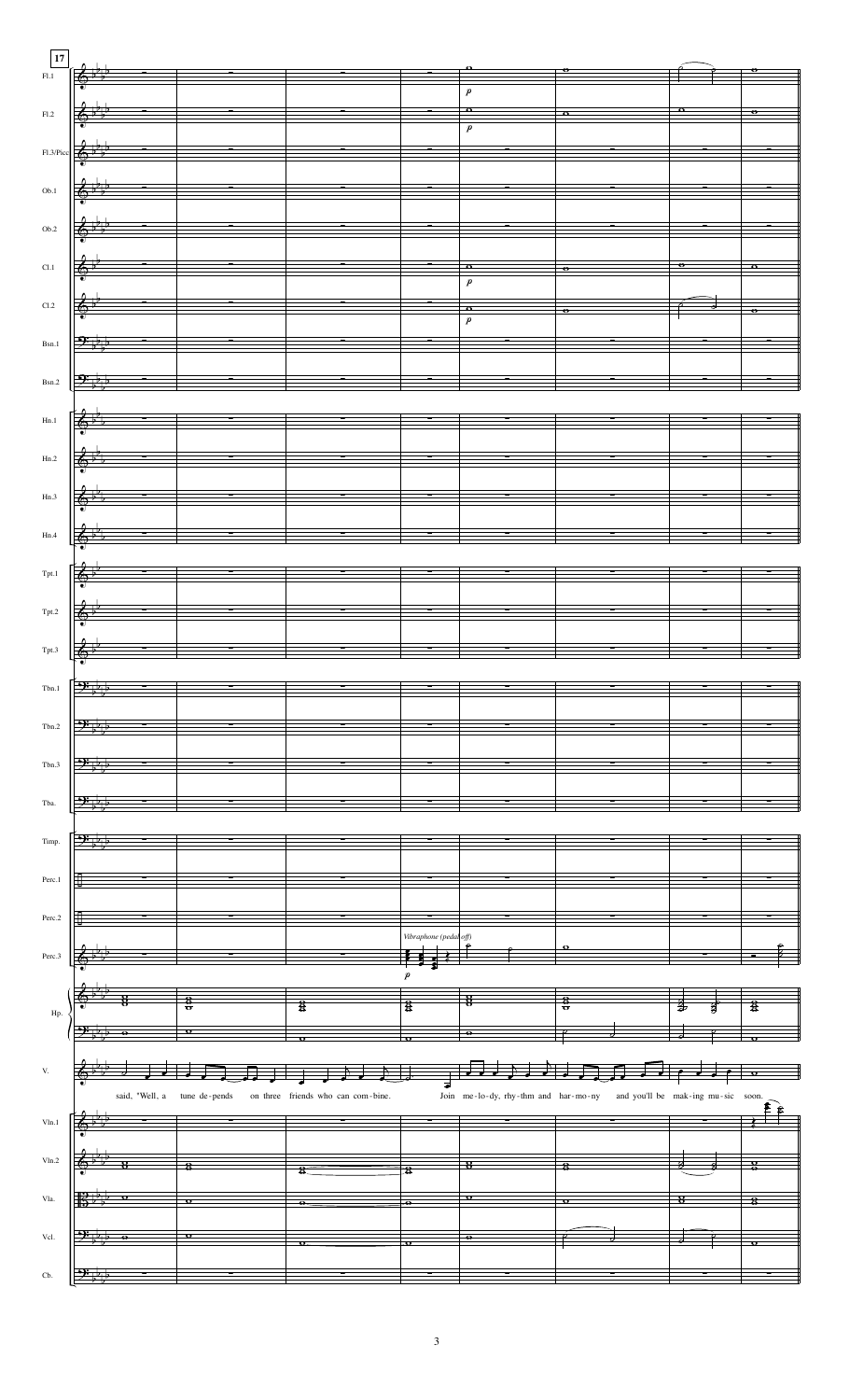| $\frac{17}{F1.1}$ | $\frac{2}{\sqrt{2}}$                 |               |                              |                                                                    |                                                                                 |                      |                                                                         |         |                         |
|-------------------|--------------------------------------|---------------|------------------------------|--------------------------------------------------------------------|---------------------------------------------------------------------------------|----------------------|-------------------------------------------------------------------------|---------|-------------------------|
|                   |                                      |               |                              |                                                                    |                                                                                 | $\pmb{p}$            |                                                                         |         |                         |
|                   |                                      |               |                              |                                                                    |                                                                                 |                      |                                                                         |         |                         |
| F1.2              | $\phi$ <sup>b</sup>                  |               |                              |                                                                    |                                                                                 | $\overline{\bullet}$ | $\overline{\bullet}$                                                    |         | $\mathbf{o}$            |
|                   |                                      |               |                              |                                                                    |                                                                                 | $\overline{p}$       |                                                                         |         |                         |
|                   |                                      |               |                              |                                                                    |                                                                                 |                      |                                                                         |         |                         |
| Fl.3/Picc         | 委<br>$\frac{1}{2}$                   |               |                              |                                                                    |                                                                                 |                      |                                                                         |         |                         |
|                   |                                      |               |                              |                                                                    |                                                                                 |                      |                                                                         |         |                         |
| Ob.1              | $\frac{2}{3}$                        |               | Ξ                            |                                                                    |                                                                                 |                      |                                                                         |         |                         |
|                   |                                      |               |                              |                                                                    |                                                                                 |                      |                                                                         |         |                         |
|                   |                                      |               |                              |                                                                    |                                                                                 |                      |                                                                         |         |                         |
| Ob.2              | $6+1$                                |               |                              |                                                                    |                                                                                 |                      |                                                                         |         |                         |
|                   |                                      |               |                              |                                                                    |                                                                                 |                      |                                                                         |         |                         |
|                   |                                      |               |                              |                                                                    |                                                                                 |                      |                                                                         |         |                         |
| Cl.1              | $\frac{2}{\frac{1}{2}}$              |               |                              | $\mathcal{L}(\mathcal{L})$ . The set of $\mathcal{L}(\mathcal{L})$ | $\begin{array}{c c}\n\hline\n\bullet & \circ \\ \hline\n\circ & p\n\end{array}$ |                      | $\overline{\phantom{a}}$                                                | $\circ$ | $\overline{\bullet}$    |
|                   |                                      |               |                              |                                                                    |                                                                                 |                      |                                                                         |         |                         |
|                   | $\frac{1}{2}$                        |               |                              |                                                                    | $\begin{array}{c c c}\n\hline\n\bullet & \bullet \\ \hline\np\n\end{array}$     |                      |                                                                         |         |                         |
| $\rm Cl.2$        |                                      |               |                              | $\overline{\phantom{a}}$                                           |                                                                                 |                      | $\overline{\mathbf{o}}$                                                 |         | $\mathbf{o}$            |
|                   |                                      |               |                              |                                                                    |                                                                                 |                      |                                                                         |         |                         |
| $_{\rm Bsn.l}$    | $9\overline{5}$                      |               |                              |                                                                    |                                                                                 |                      |                                                                         |         |                         |
|                   |                                      |               |                              |                                                                    |                                                                                 |                      |                                                                         |         |                         |
|                   |                                      |               |                              |                                                                    |                                                                                 |                      |                                                                         |         |                         |
| $_{\rm Bsn.2}$    | $9 +$                                |               |                              |                                                                    |                                                                                 |                      |                                                                         |         |                         |
|                   |                                      |               |                              |                                                                    |                                                                                 |                      |                                                                         |         |                         |
|                   |                                      |               |                              |                                                                    |                                                                                 |                      |                                                                         |         |                         |
| $_{\rm Hn.1}$     | $\frac{2}{9}$                        |               |                              |                                                                    |                                                                                 |                      |                                                                         |         |                         |
|                   |                                      |               |                              |                                                                    |                                                                                 |                      |                                                                         |         |                         |
| Hn.2              |                                      | $\sim$ $\sim$ |                              | $\frac{1}{\sqrt{2}}$                                               | $\mathcal{L}$                                                                   |                      |                                                                         |         |                         |
|                   | $\frac{1}{\sqrt[4]{1-\frac{1}{2}}}\$ |               |                              |                                                                    |                                                                                 |                      |                                                                         |         |                         |
|                   |                                      |               |                              |                                                                    |                                                                                 |                      |                                                                         |         |                         |
| Hn.3              | $\frac{2}{9}$                        |               |                              |                                                                    |                                                                                 |                      |                                                                         |         |                         |
|                   |                                      |               |                              |                                                                    |                                                                                 |                      |                                                                         |         |                         |
|                   |                                      |               |                              |                                                                    |                                                                                 |                      |                                                                         |         |                         |
| Hn.4              | $6^{3}$                              |               |                              |                                                                    |                                                                                 |                      |                                                                         |         |                         |
|                   |                                      |               |                              |                                                                    |                                                                                 |                      |                                                                         |         |                         |
| $_\mathrm{Tpt.1}$ | $\frac{1}{\frac{1}{2}}$              |               |                              |                                                                    |                                                                                 |                      |                                                                         |         |                         |
|                   |                                      |               |                              |                                                                    |                                                                                 |                      |                                                                         |         |                         |
|                   |                                      |               |                              |                                                                    |                                                                                 |                      |                                                                         |         |                         |
| Tpt.2             | $\frac{1}{2}$                        |               |                              |                                                                    |                                                                                 |                      |                                                                         |         |                         |
|                   |                                      |               |                              |                                                                    |                                                                                 |                      |                                                                         |         |                         |
|                   |                                      |               |                              |                                                                    |                                                                                 |                      |                                                                         |         |                         |
| Tpt.3             |                                      |               | $\blacksquare$               | $\frac{1}{\sqrt{2}}$<br>$\equiv$                                   | Ξ                                                                               |                      |                                                                         |         |                         |
|                   |                                      |               |                              |                                                                    |                                                                                 |                      |                                                                         |         |                         |
| Tbn.1             |                                      |               |                              |                                                                    |                                                                                 |                      |                                                                         |         |                         |
|                   |                                      |               |                              |                                                                    |                                                                                 |                      |                                                                         |         |                         |
|                   |                                      |               |                              |                                                                    |                                                                                 |                      |                                                                         |         |                         |
| Tbn.2             |                                      |               |                              |                                                                    |                                                                                 |                      |                                                                         |         |                         |
|                   |                                      |               |                              |                                                                    |                                                                                 |                      |                                                                         |         |                         |
|                   |                                      |               |                              |                                                                    |                                                                                 |                      |                                                                         |         |                         |
|                   |                                      |               |                              |                                                                    |                                                                                 |                      |                                                                         |         |                         |
| Tbn.3             |                                      |               |                              |                                                                    |                                                                                 |                      |                                                                         |         |                         |
|                   |                                      |               |                              |                                                                    |                                                                                 |                      |                                                                         |         |                         |
|                   |                                      |               |                              |                                                                    |                                                                                 |                      |                                                                         |         |                         |
| Tba.              |                                      |               |                              |                                                                    |                                                                                 |                      |                                                                         |         |                         |
|                   |                                      |               |                              |                                                                    |                                                                                 |                      |                                                                         |         |                         |
| Timp.             |                                      |               |                              |                                                                    |                                                                                 |                      |                                                                         |         |                         |
|                   |                                      |               |                              |                                                                    |                                                                                 |                      |                                                                         |         |                         |
|                   |                                      |               |                              |                                                                    |                                                                                 |                      |                                                                         |         |                         |
| Perc.1            |                                      |               |                              |                                                                    |                                                                                 |                      |                                                                         |         |                         |
|                   |                                      |               |                              |                                                                    |                                                                                 |                      |                                                                         |         |                         |
| Perc.2            |                                      |               |                              |                                                                    |                                                                                 |                      |                                                                         |         |                         |
|                   |                                      |               |                              |                                                                    |                                                                                 |                      |                                                                         |         |                         |
|                   |                                      |               |                              |                                                                    | Vibraphone (pedal off)                                                          |                      |                                                                         |         |                         |
| Perc.3            |                                      |               |                              |                                                                    |                                                                                 |                      |                                                                         |         |                         |
|                   |                                      |               |                              |                                                                    |                                                                                 |                      |                                                                         |         |                         |
|                   |                                      |               |                              |                                                                    | $\pmb{p}$                                                                       |                      |                                                                         |         |                         |
|                   |                                      |               |                              |                                                                    |                                                                                 | 윩                    |                                                                         |         |                         |
| Hp.               |                                      |               | $\sigma$                     | ई                                                                  |                                                                                 |                      | $\frac{8}{\sigma}$                                                      |         | \$                      |
|                   |                                      |               | $\mathbf{o}$                 |                                                                    |                                                                                 | $\bullet$            |                                                                         |         |                         |
|                   |                                      |               |                              |                                                                    | $\overline{\mathbf{v}}$                                                         |                      |                                                                         |         |                         |
|                   |                                      |               |                              |                                                                    |                                                                                 |                      |                                                                         |         |                         |
| V.                |                                      |               |                              |                                                                    |                                                                                 |                      |                                                                         |         |                         |
|                   |                                      |               |                              |                                                                    | ∃                                                                               |                      |                                                                         |         |                         |
|                   |                                      |               | said, "Well, a tune de-pends | on three friends who can com-bine.                                 |                                                                                 |                      | Join me-lo-dy, rhy-thm and har-mo-ny and you'll be mak-ing mu-sic soon. |         |                         |
|                   |                                      |               |                              |                                                                    |                                                                                 |                      |                                                                         |         |                         |
| Vln.1             |                                      |               |                              |                                                                    |                                                                                 |                      |                                                                         |         |                         |
|                   |                                      |               |                              |                                                                    |                                                                                 |                      |                                                                         |         |                         |
| Vln.2             |                                      |               |                              |                                                                    |                                                                                 |                      |                                                                         |         |                         |
|                   |                                      |               |                              | 8                                                                  | 8                                                                               | -8                   | 8                                                                       |         |                         |
|                   |                                      |               |                              |                                                                    |                                                                                 |                      |                                                                         |         |                         |
| Vla.              |                                      |               | $\mathbf{o}$                 | $\bullet$                                                          | $\overline{\bullet}$                                                            | $\mathbf{\sigma}$    | $\mathbf{o}$                                                            | -8      | 8                       |
|                   |                                      |               |                              |                                                                    |                                                                                 |                      |                                                                         |         |                         |
|                   |                                      |               |                              |                                                                    |                                                                                 |                      |                                                                         |         |                         |
| Vcl.              | $\bullet$                            |               | $\mathbf{o}$                 | $\mathbf{o}$                                                       | $\Omega$                                                                        | $\bullet$            |                                                                         |         | $\overline{\mathbf{o}}$ |
|                   |                                      |               |                              |                                                                    |                                                                                 |                      |                                                                         |         |                         |
| Cb.               |                                      |               |                              |                                                                    |                                                                                 |                      |                                                                         |         |                         |

3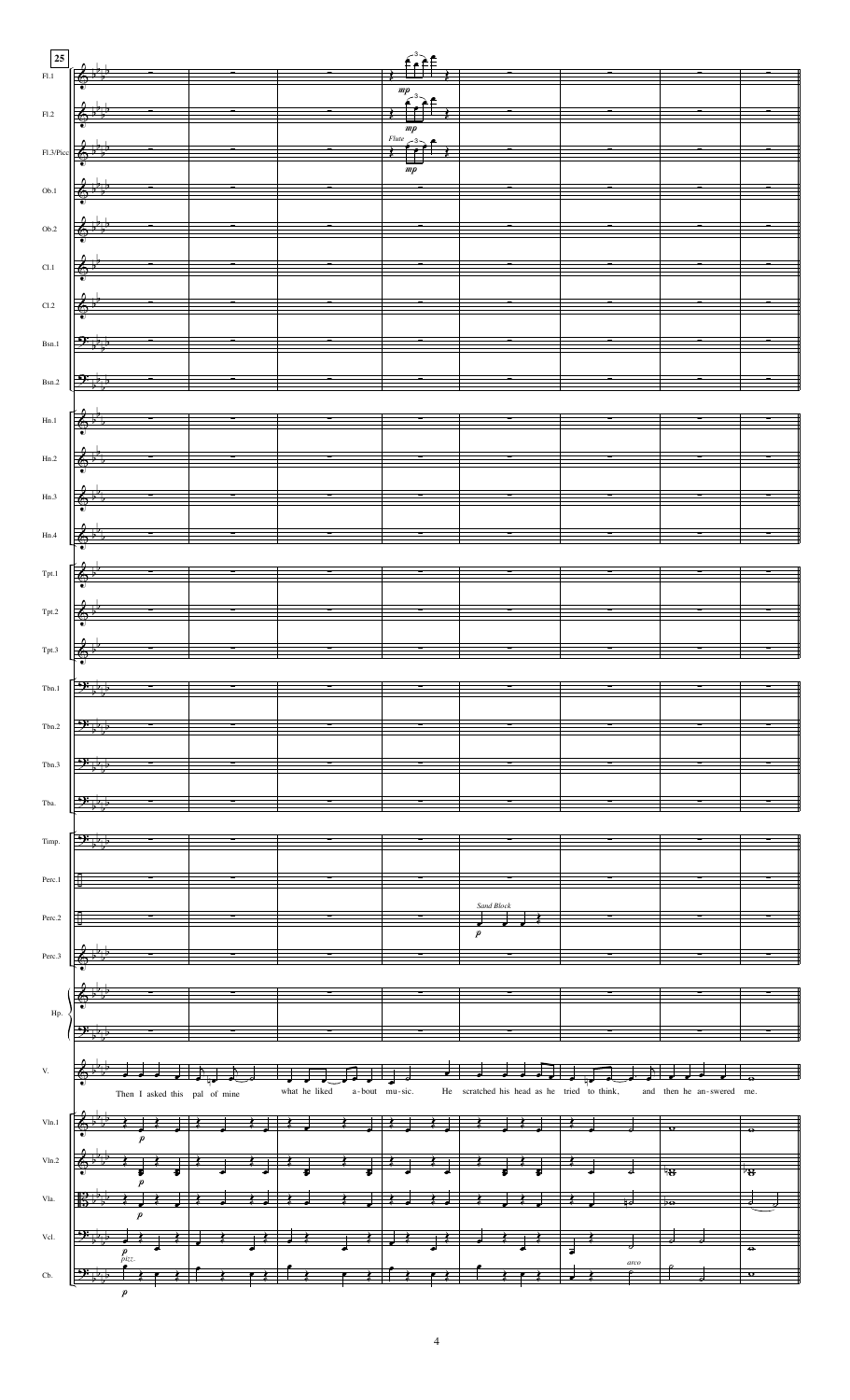| $\boxed{25}$           |                                                  |                                 | $\widehat{\mathbf{E}} \in \mathbb{R}^3$ |                                             |                 |                           |                         |
|------------------------|--------------------------------------------------|---------------------------------|-----------------------------------------|---------------------------------------------|-----------------|---------------------------|-------------------------|
| $\rm{F}l.1$            |                                                  |                                 | $\frac{1}{mp}$                          |                                             |                 |                           |                         |
| $\rm{F}l.2$            |                                                  |                                 | $\rightarrow$                           |                                             |                 |                           |                         |
| Fl.3/Picc              |                                                  |                                 | $\frac{mp}{\frac{Flute}{\epsilon}}$     |                                             |                 |                           |                         |
|                        |                                                  |                                 | $\overline{mp}$                         |                                             |                 |                           |                         |
| Ob.1                   |                                                  |                                 |                                         |                                             |                 |                           |                         |
| Ob.2                   |                                                  |                                 |                                         |                                             |                 |                           |                         |
|                        |                                                  |                                 |                                         |                                             |                 |                           |                         |
| $\rm C1.1$             | 6                                                |                                 |                                         |                                             |                 |                           |                         |
| $\rm Cl.2$             | Ģ                                                |                                 |                                         |                                             |                 |                           |                         |
| $_{\rm Bsn.1}$         | $\mathbf{\Theta}$                                |                                 |                                         |                                             |                 |                           |                         |
|                        |                                                  |                                 |                                         |                                             |                 |                           |                         |
| $_{\rm Bsn.2}$         | $9 -$                                            |                                 |                                         |                                             |                 |                           |                         |
| $_{\rm Hn.1}$          | $\phi^{\sharp}$                                  |                                 |                                         |                                             |                 |                           |                         |
|                        |                                                  |                                 |                                         |                                             |                 |                           |                         |
| Hn.2                   | 合丹                                               |                                 |                                         |                                             |                 |                           |                         |
| $_{\rm Hn.3}$          |                                                  |                                 |                                         |                                             |                 |                           |                         |
| Hn.4                   |                                                  |                                 |                                         |                                             |                 |                           |                         |
|                        |                                                  |                                 |                                         |                                             |                 |                           |                         |
| $_{\rm Tpt.1}$         |                                                  |                                 |                                         |                                             |                 |                           |                         |
| $\operatorname{Tpt.2}$ |                                                  |                                 |                                         |                                             |                 |                           |                         |
|                        |                                                  |                                 |                                         |                                             |                 |                           |                         |
| $\operatorname{Tpt.3}$ | $\Phi^{\flat}$<br>∙                              |                                 |                                         |                                             |                 |                           |                         |
| Tbn.1                  | $\mathbf{P}_{\mathbf{p}_{1}}$                    |                                 |                                         |                                             |                 |                           |                         |
| Tbn.2                  | 9≔⊅                                              |                                 |                                         |                                             |                 |                           |                         |
|                        |                                                  |                                 |                                         |                                             |                 |                           |                         |
| Tbn.3                  | 9:1                                              |                                 |                                         |                                             |                 |                           |                         |
| Tba.                   | $\rightarrow$                                    |                                 |                                         |                                             |                 |                           |                         |
| Timp.                  | $\mathbf{\mathcal{P}}$                           |                                 |                                         |                                             |                 |                           |                         |
|                        |                                                  |                                 |                                         |                                             |                 |                           |                         |
| Perc.1                 |                                                  |                                 |                                         |                                             |                 |                           |                         |
| Perc.2                 |                                                  |                                 |                                         | Sand Block                                  |                 |                           |                         |
| Perc.3                 |                                                  |                                 |                                         | $\boldsymbol{p}$                            |                 |                           |                         |
|                        |                                                  |                                 |                                         |                                             |                 |                           |                         |
| $_{\rm{Hp.}}$          |                                                  |                                 |                                         |                                             |                 |                           |                         |
|                        |                                                  |                                 |                                         |                                             |                 |                           |                         |
|                        |                                                  |                                 |                                         |                                             |                 |                           |                         |
| V.                     | Then I asked this pal of mine                    | what he liked<br>a-bout mu-sic. |                                         | He scratched his head as he tried to think, | ħ۰              | and then he an-swered me. |                         |
| Vln.1                  |                                                  |                                 |                                         |                                             |                 |                           |                         |
|                        | $\boldsymbol{p}$                                 |                                 |                                         |                                             |                 |                           |                         |
| $Vln.2$                |                                                  |                                 |                                         |                                             |                 | $\overline{\mathbf{B}}$   | $\overline{\mathbf{B}}$ |
| Vla.                   |                                                  |                                 |                                         |                                             |                 |                           |                         |
| Vcl.                   | $\boldsymbol{p}$<br>$\mathcal{F}_{\mathbb{P}^+}$ |                                 |                                         |                                             |                 |                           |                         |
|                        | $\boldsymbol{p}$<br>pizz.                        |                                 |                                         |                                             | $\mathit{arco}$ |                           | $\overline{\bullet}$    |
| Cb.                    | $\mathcal{P}$                                    |                                 |                                         |                                             |                 |                           | $\mathbf{o}$            |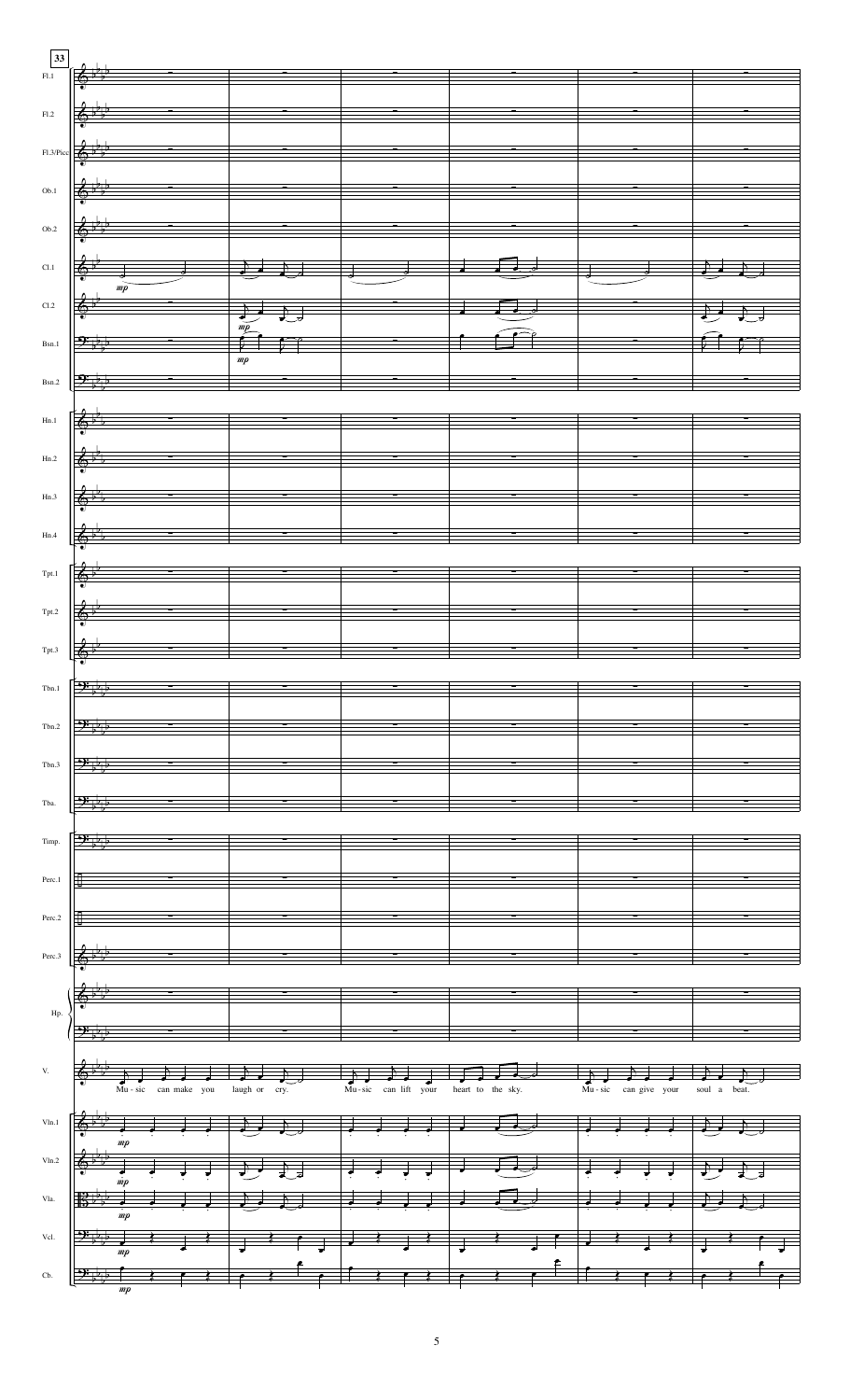| $\boxed{33}$         |                                                    |                                 |                                        |                          |                                                                                                                                                                                                                                                                                                                                                                                                                        |                                   |
|----------------------|----------------------------------------------------|---------------------------------|----------------------------------------|--------------------------|------------------------------------------------------------------------------------------------------------------------------------------------------------------------------------------------------------------------------------------------------------------------------------------------------------------------------------------------------------------------------------------------------------------------|-----------------------------------|
| $\rm{F}l.1$          | ¦∳                                                 |                                 |                                        |                          |                                                                                                                                                                                                                                                                                                                                                                                                                        |                                   |
|                      |                                                    |                                 |                                        |                          |                                                                                                                                                                                                                                                                                                                                                                                                                        |                                   |
|                      |                                                    |                                 |                                        |                          |                                                                                                                                                                                                                                                                                                                                                                                                                        |                                   |
| F1.2                 |                                                    |                                 |                                        |                          |                                                                                                                                                                                                                                                                                                                                                                                                                        |                                   |
|                      |                                                    |                                 |                                        |                          |                                                                                                                                                                                                                                                                                                                                                                                                                        |                                   |
| Fl.3/Picc            |                                                    |                                 |                                        |                          |                                                                                                                                                                                                                                                                                                                                                                                                                        |                                   |
|                      |                                                    |                                 |                                        |                          |                                                                                                                                                                                                                                                                                                                                                                                                                        |                                   |
|                      |                                                    |                                 |                                        |                          |                                                                                                                                                                                                                                                                                                                                                                                                                        |                                   |
| Ob.1                 |                                                    |                                 |                                        |                          |                                                                                                                                                                                                                                                                                                                                                                                                                        |                                   |
|                      |                                                    |                                 |                                        |                          |                                                                                                                                                                                                                                                                                                                                                                                                                        |                                   |
| Ob.2                 |                                                    |                                 |                                        |                          |                                                                                                                                                                                                                                                                                                                                                                                                                        |                                   |
|                      |                                                    |                                 |                                        |                          |                                                                                                                                                                                                                                                                                                                                                                                                                        |                                   |
| Cl.1                 |                                                    |                                 |                                        |                          |                                                                                                                                                                                                                                                                                                                                                                                                                        |                                   |
|                      |                                                    |                                 |                                        |                          |                                                                                                                                                                                                                                                                                                                                                                                                                        |                                   |
|                      | $\overrightarrow{mp}$                              |                                 |                                        |                          |                                                                                                                                                                                                                                                                                                                                                                                                                        |                                   |
| Cl.2                 |                                                    |                                 |                                        |                          |                                                                                                                                                                                                                                                                                                                                                                                                                        | $\rightarrow$                     |
|                      |                                                    | $\frac{1}{\frac{mp}{\sqrt{p}}}$ |                                        |                          |                                                                                                                                                                                                                                                                                                                                                                                                                        |                                   |
| $_{\rm Bsn.l}$       | $9 +$                                              |                                 |                                        |                          |                                                                                                                                                                                                                                                                                                                                                                                                                        |                                   |
|                      |                                                    | $\mathfrak{m}p$                 |                                        |                          |                                                                                                                                                                                                                                                                                                                                                                                                                        |                                   |
|                      |                                                    |                                 |                                        |                          |                                                                                                                                                                                                                                                                                                                                                                                                                        |                                   |
| $_{\rm Bsn.2}$       | $2 +$                                              |                                 |                                        |                          |                                                                                                                                                                                                                                                                                                                                                                                                                        |                                   |
|                      |                                                    |                                 |                                        |                          |                                                                                                                                                                                                                                                                                                                                                                                                                        |                                   |
| Hn.1                 |                                                    |                                 |                                        |                          |                                                                                                                                                                                                                                                                                                                                                                                                                        |                                   |
|                      |                                                    |                                 |                                        |                          |                                                                                                                                                                                                                                                                                                                                                                                                                        |                                   |
| Hn.2                 |                                                    |                                 |                                        |                          |                                                                                                                                                                                                                                                                                                                                                                                                                        |                                   |
|                      | <u>"奉</u>                                          |                                 |                                        |                          |                                                                                                                                                                                                                                                                                                                                                                                                                        |                                   |
|                      |                                                    |                                 |                                        |                          |                                                                                                                                                                                                                                                                                                                                                                                                                        |                                   |
| Hn.3                 |                                                    |                                 |                                        |                          |                                                                                                                                                                                                                                                                                                                                                                                                                        |                                   |
|                      | ∙                                                  |                                 |                                        |                          |                                                                                                                                                                                                                                                                                                                                                                                                                        |                                   |
| $_{\rm Hn.4}$        |                                                    |                                 |                                        |                          |                                                                                                                                                                                                                                                                                                                                                                                                                        |                                   |
|                      |                                                    |                                 |                                        |                          |                                                                                                                                                                                                                                                                                                                                                                                                                        |                                   |
| $_{\rm Tpt.1}$       |                                                    |                                 |                                        |                          |                                                                                                                                                                                                                                                                                                                                                                                                                        |                                   |
|                      |                                                    |                                 |                                        |                          |                                                                                                                                                                                                                                                                                                                                                                                                                        |                                   |
|                      |                                                    |                                 |                                        |                          |                                                                                                                                                                                                                                                                                                                                                                                                                        |                                   |
| Tpt.2                |                                                    |                                 |                                        |                          |                                                                                                                                                                                                                                                                                                                                                                                                                        |                                   |
|                      |                                                    |                                 |                                        |                          |                                                                                                                                                                                                                                                                                                                                                                                                                        |                                   |
| Tpt.3                |                                                    |                                 |                                        |                          |                                                                                                                                                                                                                                                                                                                                                                                                                        |                                   |
|                      | Ş                                                  |                                 |                                        |                          |                                                                                                                                                                                                                                                                                                                                                                                                                        |                                   |
| $\mathrm{Tbn.1}$     | $\mathcal{F}_{\mathcal{H}}$                        |                                 |                                        |                          |                                                                                                                                                                                                                                                                                                                                                                                                                        |                                   |
|                      |                                                    |                                 |                                        |                          |                                                                                                                                                                                                                                                                                                                                                                                                                        |                                   |
|                      |                                                    |                                 |                                        |                          |                                                                                                                                                                                                                                                                                                                                                                                                                        |                                   |
| Tbn.2                | 9:1                                                |                                 |                                        |                          |                                                                                                                                                                                                                                                                                                                                                                                                                        |                                   |
|                      |                                                    |                                 |                                        |                          |                                                                                                                                                                                                                                                                                                                                                                                                                        |                                   |
| Tbn.3                | $\mathbf{P}$                                       |                                 |                                        |                          |                                                                                                                                                                                                                                                                                                                                                                                                                        |                                   |
|                      |                                                    |                                 |                                        |                          |                                                                                                                                                                                                                                                                                                                                                                                                                        |                                   |
| Tba.                 | $\mathbf{P}$                                       |                                 |                                        |                          |                                                                                                                                                                                                                                                                                                                                                                                                                        |                                   |
|                      |                                                    |                                 |                                        |                          |                                                                                                                                                                                                                                                                                                                                                                                                                        |                                   |
|                      |                                                    |                                 |                                        |                          |                                                                                                                                                                                                                                                                                                                                                                                                                        |                                   |
| Timp.                | $\mathcal{F}_{\mathcal{F}}$                        |                                 |                                        |                          |                                                                                                                                                                                                                                                                                                                                                                                                                        |                                   |
|                      |                                                    |                                 |                                        |                          |                                                                                                                                                                                                                                                                                                                                                                                                                        |                                   |
| Perc.1               |                                                    |                                 |                                        |                          |                                                                                                                                                                                                                                                                                                                                                                                                                        |                                   |
|                      |                                                    |                                 |                                        |                          |                                                                                                                                                                                                                                                                                                                                                                                                                        |                                   |
| Perc.2               |                                                    |                                 |                                        |                          |                                                                                                                                                                                                                                                                                                                                                                                                                        |                                   |
|                      |                                                    |                                 |                                        |                          |                                                                                                                                                                                                                                                                                                                                                                                                                        |                                   |
|                      |                                                    |                                 |                                        |                          |                                                                                                                                                                                                                                                                                                                                                                                                                        |                                   |
| $\mbox{Perc.3}$      |                                                    |                                 |                                        |                          |                                                                                                                                                                                                                                                                                                                                                                                                                        |                                   |
|                      |                                                    |                                 |                                        |                          |                                                                                                                                                                                                                                                                                                                                                                                                                        |                                   |
|                      |                                                    |                                 |                                        |                          |                                                                                                                                                                                                                                                                                                                                                                                                                        |                                   |
| Hp.                  |                                                    |                                 |                                        |                          |                                                                                                                                                                                                                                                                                                                                                                                                                        |                                   |
|                      | $\mathbf{9}$                                       |                                 |                                        |                          |                                                                                                                                                                                                                                                                                                                                                                                                                        |                                   |
|                      |                                                    |                                 |                                        |                          |                                                                                                                                                                                                                                                                                                                                                                                                                        |                                   |
|                      |                                                    |                                 |                                        |                          |                                                                                                                                                                                                                                                                                                                                                                                                                        |                                   |
| $\mathbf{V}_{\cdot}$ | $\frac{1}{2}$<br>Mu-sic can make you laugh or cry. |                                 | Mu-sic can lift your heart to the sky. | $\overline{\phantom{a}}$ | $\bigcirc$ $\bigcirc$ $\bigcirc$ $\bigcirc$ $\bigcirc$ $\bigcirc$ $\bigcirc$ $\bigcirc$ $\bigcirc$ $\bigcirc$ $\bigcirc$ $\bigcirc$ $\bigcirc$ $\bigcirc$ $\bigcirc$ $\bigcirc$ $\bigcirc$ $\bigcirc$ $\bigcirc$ $\bigcirc$ $\bigcirc$ $\bigcirc$ $\bigcirc$ $\bigcirc$ $\bigcirc$ $\bigcirc$ $\bigcirc$ $\bigcirc$ $\bigcirc$ $\bigcirc$ $\bigcirc$ $\bigcirc$ $\bigcirc$ $\bigcirc$ $\bigcirc$ $\bigcirc$ $\bigcirc$ | $\frac{1}{\sqrt{2}}$ soul a beat. |
|                      |                                                    |                                 |                                        |                          |                                                                                                                                                                                                                                                                                                                                                                                                                        |                                   |
|                      |                                                    |                                 |                                        |                          |                                                                                                                                                                                                                                                                                                                                                                                                                        |                                   |
| $_{\rm Vln.1}$       |                                                    |                                 |                                        |                          |                                                                                                                                                                                                                                                                                                                                                                                                                        |                                   |
|                      | $\dot{m}p$                                         |                                 |                                        |                          |                                                                                                                                                                                                                                                                                                                                                                                                                        |                                   |
| $_{\rm Vln.2}$       |                                                    |                                 |                                        |                          |                                                                                                                                                                                                                                                                                                                                                                                                                        |                                   |
|                      |                                                    | 긓                               |                                        |                          |                                                                                                                                                                                                                                                                                                                                                                                                                        |                                   |
|                      | mр                                                 |                                 |                                        |                          |                                                                                                                                                                                                                                                                                                                                                                                                                        |                                   |
| Vla.                 | $\mathbb{B}^p$                                     |                                 |                                        |                          |                                                                                                                                                                                                                                                                                                                                                                                                                        |                                   |
|                      | $\mathfrak{m}p$                                    |                                 |                                        |                          |                                                                                                                                                                                                                                                                                                                                                                                                                        |                                   |
| Vcl.                 | $\mathcal{P}$                                      |                                 |                                        |                          |                                                                                                                                                                                                                                                                                                                                                                                                                        | $\overline{\phantom{0}}$          |
|                      | $\mathfrak{m}p$                                    |                                 |                                        |                          |                                                                                                                                                                                                                                                                                                                                                                                                                        |                                   |
| Cb.                  |                                                    |                                 |                                        |                          |                                                                                                                                                                                                                                                                                                                                                                                                                        |                                   |
|                      | $\boldsymbol{m}$                                   |                                 |                                        |                          |                                                                                                                                                                                                                                                                                                                                                                                                                        |                                   |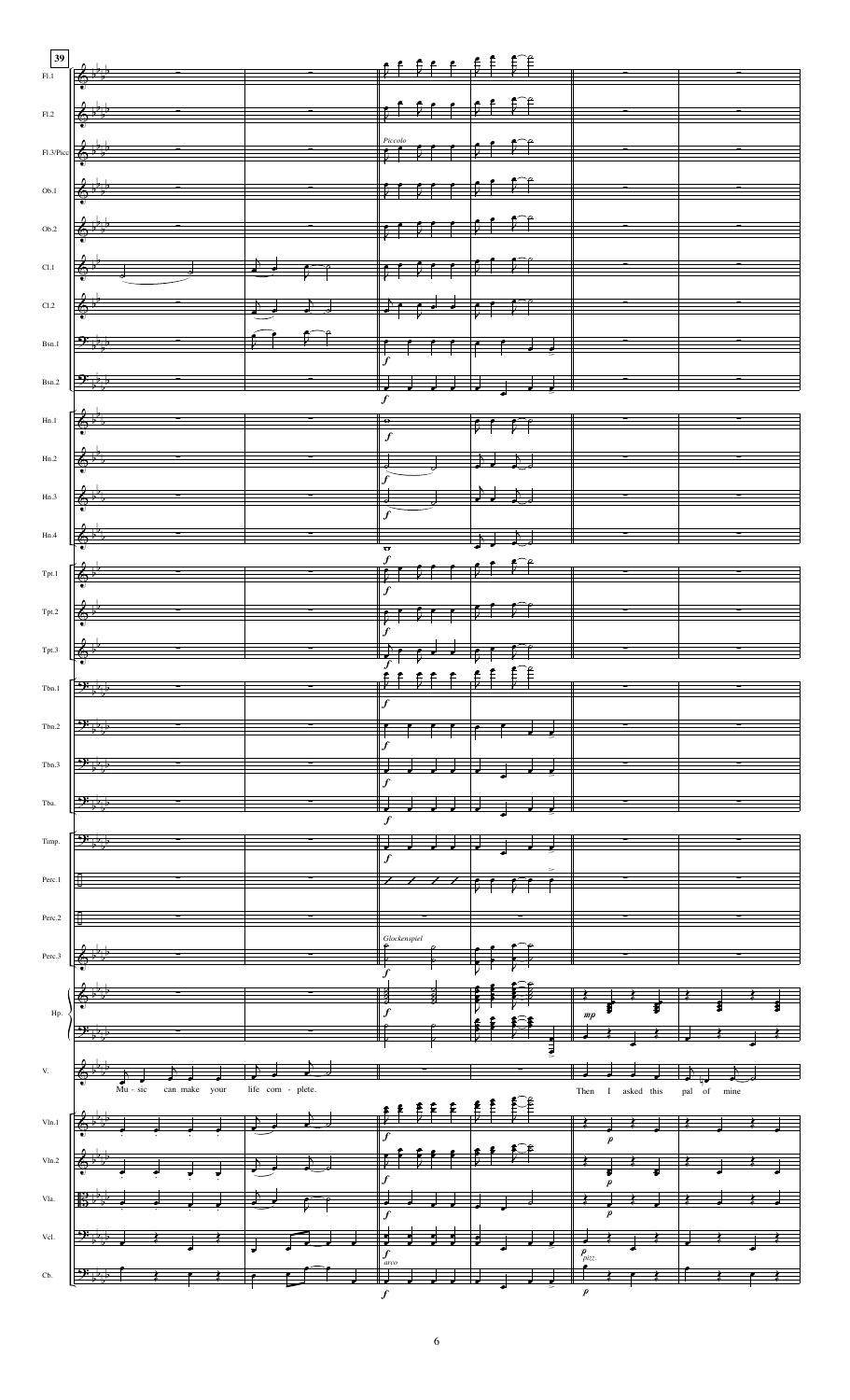| $\begin{array}{c} \begin{array}{c} \uparrow \end{array} & \begin{array}{c} \uparrow \end{array} & \begin{array}{c} \uparrow \end{array} & \begin{array}{c} \uparrow \end{array} & \begin{array}{c} \uparrow \end{array} & \begin{array}{c} \uparrow \end{array} & \begin{array}{c} \uparrow \end{array} & \begin{array}{c} \uparrow \end{array} & \end{array}$<br>$=$ $ t $ $ t $ $ t $ $ t $<br>F1.2<br>$\overline{\phantom{a}}$<br>$6+1$<br>Fl.3/Picc<br>$\left( \left. \begin{array}{cc} 1 & 0 \\ 0 & 1 \end{array} \right  \right)$<br>Ob.1<br>$\sim$ 100 $\mu$ m $^{-1}$<br>$\frac{2}{9}$ $\frac{b_1}{3}$ $\frac{1}{3}$ $\frac{1}{3}$ $\frac{1}{3}$ $\frac{1}{3}$ $\frac{1}{3}$ $\frac{1}{3}$ $\frac{1}{3}$ $\frac{1}{3}$ $\frac{1}{3}$ $\frac{1}{3}$ $\frac{1}{3}$ $\frac{1}{3}$ $\frac{1}{3}$ $\frac{1}{3}$ $\frac{1}{3}$ $\frac{1}{3}$ $\frac{1}{3}$ $\frac{1}{3}$ $\frac{1}{3}$ $\frac{1}{3}$<br>Ob.2<br>$\text{Cl}{.1}$<br>$\rm Cl.2$<br>$\boxed{9:}$<br>$_{\rm Bsn.1}$<br>$\mathbf{P}_{\mathbf{p}}$<br>$_{\rm Bsn.2}$<br>6<br>$\begin{array}{c c}\n\bullet & \\ \hline\nf & \\ \hline\n\end{array}$<br>$_{\rm Hn.1}$<br>F<br>$\left\{\begin{array}{ccc} \downarrow & \downarrow & \downarrow \\ \downarrow & \downarrow & \downarrow \\ \downarrow & \downarrow & \downarrow \end{array}\right\}$<br>Hn.2<br>$\begin{array}{ c c c c c }\n\hline\n\bullet & \bullet & \bullet\n\end{array}$<br>6.7<br>$\rightarrow$<br>$\overline{\phantom{a}}$<br>Hn.3<br>$\overline{\mathcal{L}}$<br>$\mathcal{L}$<br>$\overline{\phantom{a}}$<br>$\rightarrow$<br>$_{\rm Hn.4}$<br>$\frac{f}{\sqrt{2}}$<br>$\mathbb{P}$ f $\mathbb{P}^2$<br>$\left( \begin{array}{c} \circ \\ \circ \\ \circ \end{array} \right)$<br>$_{\rm Tpt.1}$<br>$\frac{1}{2}$ $\frac{1}{2}$ $\frac{1}{2}$ $\frac{1}{2}$ $\frac{1}{2}$ $\frac{1}{2}$ $\frac{1}{2}$ $\frac{1}{2}$<br>$6^{\frac{1}{5}}$<br>$_\mathrm{Tpt.2}$<br>$\frac{1}{2} \left( \begin{array}{ccc} 0 & 0 & 0 \\ 0 & 0 & 0 \end{array} \right) = \left( \begin{array}{ccc} 0 & 0 \\ 0 & 0 \end{array} \right)^2$<br>$\rm Tpt.3$<br>$\mathbf{f}$ $\mathbf{f}$ $\mathbf{f}$ $\mathbf{f}$ $\mathbf{f}$<br>$\cdot$ $\cdot$ $\cdot$ $\cdot$ $\cdot$ $\cdot$<br>Tbn.1<br>Tbn.2<br>Tbn.3<br>f<br>Tba.<br>Timp.<br>Perc.1<br>Perc.2<br>Glockenspiel<br>Perc.3<br>Hp.<br>V.<br>can make your<br>life com - plete.<br>$Mu - sic$<br>asked this<br>Then<br>$\mathbf{I}$<br>pal<br>of<br>mine<br>Vln.1<br>p<br>Vln.2<br>Vla.<br>Vcl.<br>arco<br>Cb.<br>$\boldsymbol{p}$ | $\frac{39}{2}$ |  |  |
|--------------------------------------------------------------------------------------------------------------------------------------------------------------------------------------------------------------------------------------------------------------------------------------------------------------------------------------------------------------------------------------------------------------------------------------------------------------------------------------------------------------------------------------------------------------------------------------------------------------------------------------------------------------------------------------------------------------------------------------------------------------------------------------------------------------------------------------------------------------------------------------------------------------------------------------------------------------------------------------------------------------------------------------------------------------------------------------------------------------------------------------------------------------------------------------------------------------------------------------------------------------------------------------------------------------------------------------------------------------------------------------------------------------------------------------------------------------------------------------------------------------------------------------------------------------------------------------------------------------------------------------------------------------------------------------------------------------------------------------------------------------------------------------------------------------------------------------------------------------------------------------------------------------------------------------------------------------------------------------------------------------------------------------------------------------------------------------------------------------------------------------------------------------------------------------------------------------------------------------------------------------------------------------------------------------------------------------------------------------------------------------------------------------------------------------------------------------------------------------------------|----------------|--|--|
|                                                                                                                                                                                                                                                                                                                                                                                                                                                                                                                                                                                                                                                                                                                                                                                                                                                                                                                                                                                                                                                                                                                                                                                                                                                                                                                                                                                                                                                                                                                                                                                                                                                                                                                                                                                                                                                                                                                                                                                                                                                                                                                                                                                                                                                                                                                                                                                                                                                                                                  | F1.1           |  |  |
|                                                                                                                                                                                                                                                                                                                                                                                                                                                                                                                                                                                                                                                                                                                                                                                                                                                                                                                                                                                                                                                                                                                                                                                                                                                                                                                                                                                                                                                                                                                                                                                                                                                                                                                                                                                                                                                                                                                                                                                                                                                                                                                                                                                                                                                                                                                                                                                                                                                                                                  |                |  |  |
|                                                                                                                                                                                                                                                                                                                                                                                                                                                                                                                                                                                                                                                                                                                                                                                                                                                                                                                                                                                                                                                                                                                                                                                                                                                                                                                                                                                                                                                                                                                                                                                                                                                                                                                                                                                                                                                                                                                                                                                                                                                                                                                                                                                                                                                                                                                                                                                                                                                                                                  |                |  |  |
|                                                                                                                                                                                                                                                                                                                                                                                                                                                                                                                                                                                                                                                                                                                                                                                                                                                                                                                                                                                                                                                                                                                                                                                                                                                                                                                                                                                                                                                                                                                                                                                                                                                                                                                                                                                                                                                                                                                                                                                                                                                                                                                                                                                                                                                                                                                                                                                                                                                                                                  |                |  |  |
|                                                                                                                                                                                                                                                                                                                                                                                                                                                                                                                                                                                                                                                                                                                                                                                                                                                                                                                                                                                                                                                                                                                                                                                                                                                                                                                                                                                                                                                                                                                                                                                                                                                                                                                                                                                                                                                                                                                                                                                                                                                                                                                                                                                                                                                                                                                                                                                                                                                                                                  |                |  |  |
|                                                                                                                                                                                                                                                                                                                                                                                                                                                                                                                                                                                                                                                                                                                                                                                                                                                                                                                                                                                                                                                                                                                                                                                                                                                                                                                                                                                                                                                                                                                                                                                                                                                                                                                                                                                                                                                                                                                                                                                                                                                                                                                                                                                                                                                                                                                                                                                                                                                                                                  |                |  |  |
|                                                                                                                                                                                                                                                                                                                                                                                                                                                                                                                                                                                                                                                                                                                                                                                                                                                                                                                                                                                                                                                                                                                                                                                                                                                                                                                                                                                                                                                                                                                                                                                                                                                                                                                                                                                                                                                                                                                                                                                                                                                                                                                                                                                                                                                                                                                                                                                                                                                                                                  |                |  |  |
|                                                                                                                                                                                                                                                                                                                                                                                                                                                                                                                                                                                                                                                                                                                                                                                                                                                                                                                                                                                                                                                                                                                                                                                                                                                                                                                                                                                                                                                                                                                                                                                                                                                                                                                                                                                                                                                                                                                                                                                                                                                                                                                                                                                                                                                                                                                                                                                                                                                                                                  |                |  |  |
|                                                                                                                                                                                                                                                                                                                                                                                                                                                                                                                                                                                                                                                                                                                                                                                                                                                                                                                                                                                                                                                                                                                                                                                                                                                                                                                                                                                                                                                                                                                                                                                                                                                                                                                                                                                                                                                                                                                                                                                                                                                                                                                                                                                                                                                                                                                                                                                                                                                                                                  |                |  |  |
|                                                                                                                                                                                                                                                                                                                                                                                                                                                                                                                                                                                                                                                                                                                                                                                                                                                                                                                                                                                                                                                                                                                                                                                                                                                                                                                                                                                                                                                                                                                                                                                                                                                                                                                                                                                                                                                                                                                                                                                                                                                                                                                                                                                                                                                                                                                                                                                                                                                                                                  |                |  |  |
|                                                                                                                                                                                                                                                                                                                                                                                                                                                                                                                                                                                                                                                                                                                                                                                                                                                                                                                                                                                                                                                                                                                                                                                                                                                                                                                                                                                                                                                                                                                                                                                                                                                                                                                                                                                                                                                                                                                                                                                                                                                                                                                                                                                                                                                                                                                                                                                                                                                                                                  |                |  |  |
|                                                                                                                                                                                                                                                                                                                                                                                                                                                                                                                                                                                                                                                                                                                                                                                                                                                                                                                                                                                                                                                                                                                                                                                                                                                                                                                                                                                                                                                                                                                                                                                                                                                                                                                                                                                                                                                                                                                                                                                                                                                                                                                                                                                                                                                                                                                                                                                                                                                                                                  |                |  |  |
|                                                                                                                                                                                                                                                                                                                                                                                                                                                                                                                                                                                                                                                                                                                                                                                                                                                                                                                                                                                                                                                                                                                                                                                                                                                                                                                                                                                                                                                                                                                                                                                                                                                                                                                                                                                                                                                                                                                                                                                                                                                                                                                                                                                                                                                                                                                                                                                                                                                                                                  |                |  |  |
|                                                                                                                                                                                                                                                                                                                                                                                                                                                                                                                                                                                                                                                                                                                                                                                                                                                                                                                                                                                                                                                                                                                                                                                                                                                                                                                                                                                                                                                                                                                                                                                                                                                                                                                                                                                                                                                                                                                                                                                                                                                                                                                                                                                                                                                                                                                                                                                                                                                                                                  |                |  |  |
|                                                                                                                                                                                                                                                                                                                                                                                                                                                                                                                                                                                                                                                                                                                                                                                                                                                                                                                                                                                                                                                                                                                                                                                                                                                                                                                                                                                                                                                                                                                                                                                                                                                                                                                                                                                                                                                                                                                                                                                                                                                                                                                                                                                                                                                                                                                                                                                                                                                                                                  |                |  |  |
|                                                                                                                                                                                                                                                                                                                                                                                                                                                                                                                                                                                                                                                                                                                                                                                                                                                                                                                                                                                                                                                                                                                                                                                                                                                                                                                                                                                                                                                                                                                                                                                                                                                                                                                                                                                                                                                                                                                                                                                                                                                                                                                                                                                                                                                                                                                                                                                                                                                                                                  |                |  |  |
|                                                                                                                                                                                                                                                                                                                                                                                                                                                                                                                                                                                                                                                                                                                                                                                                                                                                                                                                                                                                                                                                                                                                                                                                                                                                                                                                                                                                                                                                                                                                                                                                                                                                                                                                                                                                                                                                                                                                                                                                                                                                                                                                                                                                                                                                                                                                                                                                                                                                                                  |                |  |  |
|                                                                                                                                                                                                                                                                                                                                                                                                                                                                                                                                                                                                                                                                                                                                                                                                                                                                                                                                                                                                                                                                                                                                                                                                                                                                                                                                                                                                                                                                                                                                                                                                                                                                                                                                                                                                                                                                                                                                                                                                                                                                                                                                                                                                                                                                                                                                                                                                                                                                                                  |                |  |  |
|                                                                                                                                                                                                                                                                                                                                                                                                                                                                                                                                                                                                                                                                                                                                                                                                                                                                                                                                                                                                                                                                                                                                                                                                                                                                                                                                                                                                                                                                                                                                                                                                                                                                                                                                                                                                                                                                                                                                                                                                                                                                                                                                                                                                                                                                                                                                                                                                                                                                                                  |                |  |  |
|                                                                                                                                                                                                                                                                                                                                                                                                                                                                                                                                                                                                                                                                                                                                                                                                                                                                                                                                                                                                                                                                                                                                                                                                                                                                                                                                                                                                                                                                                                                                                                                                                                                                                                                                                                                                                                                                                                                                                                                                                                                                                                                                                                                                                                                                                                                                                                                                                                                                                                  |                |  |  |
|                                                                                                                                                                                                                                                                                                                                                                                                                                                                                                                                                                                                                                                                                                                                                                                                                                                                                                                                                                                                                                                                                                                                                                                                                                                                                                                                                                                                                                                                                                                                                                                                                                                                                                                                                                                                                                                                                                                                                                                                                                                                                                                                                                                                                                                                                                                                                                                                                                                                                                  |                |  |  |
|                                                                                                                                                                                                                                                                                                                                                                                                                                                                                                                                                                                                                                                                                                                                                                                                                                                                                                                                                                                                                                                                                                                                                                                                                                                                                                                                                                                                                                                                                                                                                                                                                                                                                                                                                                                                                                                                                                                                                                                                                                                                                                                                                                                                                                                                                                                                                                                                                                                                                                  |                |  |  |
|                                                                                                                                                                                                                                                                                                                                                                                                                                                                                                                                                                                                                                                                                                                                                                                                                                                                                                                                                                                                                                                                                                                                                                                                                                                                                                                                                                                                                                                                                                                                                                                                                                                                                                                                                                                                                                                                                                                                                                                                                                                                                                                                                                                                                                                                                                                                                                                                                                                                                                  |                |  |  |
|                                                                                                                                                                                                                                                                                                                                                                                                                                                                                                                                                                                                                                                                                                                                                                                                                                                                                                                                                                                                                                                                                                                                                                                                                                                                                                                                                                                                                                                                                                                                                                                                                                                                                                                                                                                                                                                                                                                                                                                                                                                                                                                                                                                                                                                                                                                                                                                                                                                                                                  |                |  |  |
|                                                                                                                                                                                                                                                                                                                                                                                                                                                                                                                                                                                                                                                                                                                                                                                                                                                                                                                                                                                                                                                                                                                                                                                                                                                                                                                                                                                                                                                                                                                                                                                                                                                                                                                                                                                                                                                                                                                                                                                                                                                                                                                                                                                                                                                                                                                                                                                                                                                                                                  |                |  |  |
|                                                                                                                                                                                                                                                                                                                                                                                                                                                                                                                                                                                                                                                                                                                                                                                                                                                                                                                                                                                                                                                                                                                                                                                                                                                                                                                                                                                                                                                                                                                                                                                                                                                                                                                                                                                                                                                                                                                                                                                                                                                                                                                                                                                                                                                                                                                                                                                                                                                                                                  |                |  |  |
|                                                                                                                                                                                                                                                                                                                                                                                                                                                                                                                                                                                                                                                                                                                                                                                                                                                                                                                                                                                                                                                                                                                                                                                                                                                                                                                                                                                                                                                                                                                                                                                                                                                                                                                                                                                                                                                                                                                                                                                                                                                                                                                                                                                                                                                                                                                                                                                                                                                                                                  |                |  |  |
|                                                                                                                                                                                                                                                                                                                                                                                                                                                                                                                                                                                                                                                                                                                                                                                                                                                                                                                                                                                                                                                                                                                                                                                                                                                                                                                                                                                                                                                                                                                                                                                                                                                                                                                                                                                                                                                                                                                                                                                                                                                                                                                                                                                                                                                                                                                                                                                                                                                                                                  |                |  |  |
|                                                                                                                                                                                                                                                                                                                                                                                                                                                                                                                                                                                                                                                                                                                                                                                                                                                                                                                                                                                                                                                                                                                                                                                                                                                                                                                                                                                                                                                                                                                                                                                                                                                                                                                                                                                                                                                                                                                                                                                                                                                                                                                                                                                                                                                                                                                                                                                                                                                                                                  |                |  |  |
|                                                                                                                                                                                                                                                                                                                                                                                                                                                                                                                                                                                                                                                                                                                                                                                                                                                                                                                                                                                                                                                                                                                                                                                                                                                                                                                                                                                                                                                                                                                                                                                                                                                                                                                                                                                                                                                                                                                                                                                                                                                                                                                                                                                                                                                                                                                                                                                                                                                                                                  |                |  |  |
|                                                                                                                                                                                                                                                                                                                                                                                                                                                                                                                                                                                                                                                                                                                                                                                                                                                                                                                                                                                                                                                                                                                                                                                                                                                                                                                                                                                                                                                                                                                                                                                                                                                                                                                                                                                                                                                                                                                                                                                                                                                                                                                                                                                                                                                                                                                                                                                                                                                                                                  |                |  |  |
|                                                                                                                                                                                                                                                                                                                                                                                                                                                                                                                                                                                                                                                                                                                                                                                                                                                                                                                                                                                                                                                                                                                                                                                                                                                                                                                                                                                                                                                                                                                                                                                                                                                                                                                                                                                                                                                                                                                                                                                                                                                                                                                                                                                                                                                                                                                                                                                                                                                                                                  |                |  |  |
|                                                                                                                                                                                                                                                                                                                                                                                                                                                                                                                                                                                                                                                                                                                                                                                                                                                                                                                                                                                                                                                                                                                                                                                                                                                                                                                                                                                                                                                                                                                                                                                                                                                                                                                                                                                                                                                                                                                                                                                                                                                                                                                                                                                                                                                                                                                                                                                                                                                                                                  |                |  |  |
|                                                                                                                                                                                                                                                                                                                                                                                                                                                                                                                                                                                                                                                                                                                                                                                                                                                                                                                                                                                                                                                                                                                                                                                                                                                                                                                                                                                                                                                                                                                                                                                                                                                                                                                                                                                                                                                                                                                                                                                                                                                                                                                                                                                                                                                                                                                                                                                                                                                                                                  |                |  |  |
|                                                                                                                                                                                                                                                                                                                                                                                                                                                                                                                                                                                                                                                                                                                                                                                                                                                                                                                                                                                                                                                                                                                                                                                                                                                                                                                                                                                                                                                                                                                                                                                                                                                                                                                                                                                                                                                                                                                                                                                                                                                                                                                                                                                                                                                                                                                                                                                                                                                                                                  |                |  |  |
|                                                                                                                                                                                                                                                                                                                                                                                                                                                                                                                                                                                                                                                                                                                                                                                                                                                                                                                                                                                                                                                                                                                                                                                                                                                                                                                                                                                                                                                                                                                                                                                                                                                                                                                                                                                                                                                                                                                                                                                                                                                                                                                                                                                                                                                                                                                                                                                                                                                                                                  |                |  |  |
|                                                                                                                                                                                                                                                                                                                                                                                                                                                                                                                                                                                                                                                                                                                                                                                                                                                                                                                                                                                                                                                                                                                                                                                                                                                                                                                                                                                                                                                                                                                                                                                                                                                                                                                                                                                                                                                                                                                                                                                                                                                                                                                                                                                                                                                                                                                                                                                                                                                                                                  |                |  |  |
|                                                                                                                                                                                                                                                                                                                                                                                                                                                                                                                                                                                                                                                                                                                                                                                                                                                                                                                                                                                                                                                                                                                                                                                                                                                                                                                                                                                                                                                                                                                                                                                                                                                                                                                                                                                                                                                                                                                                                                                                                                                                                                                                                                                                                                                                                                                                                                                                                                                                                                  |                |  |  |
|                                                                                                                                                                                                                                                                                                                                                                                                                                                                                                                                                                                                                                                                                                                                                                                                                                                                                                                                                                                                                                                                                                                                                                                                                                                                                                                                                                                                                                                                                                                                                                                                                                                                                                                                                                                                                                                                                                                                                                                                                                                                                                                                                                                                                                                                                                                                                                                                                                                                                                  |                |  |  |
|                                                                                                                                                                                                                                                                                                                                                                                                                                                                                                                                                                                                                                                                                                                                                                                                                                                                                                                                                                                                                                                                                                                                                                                                                                                                                                                                                                                                                                                                                                                                                                                                                                                                                                                                                                                                                                                                                                                                                                                                                                                                                                                                                                                                                                                                                                                                                                                                                                                                                                  |                |  |  |
|                                                                                                                                                                                                                                                                                                                                                                                                                                                                                                                                                                                                                                                                                                                                                                                                                                                                                                                                                                                                                                                                                                                                                                                                                                                                                                                                                                                                                                                                                                                                                                                                                                                                                                                                                                                                                                                                                                                                                                                                                                                                                                                                                                                                                                                                                                                                                                                                                                                                                                  |                |  |  |
|                                                                                                                                                                                                                                                                                                                                                                                                                                                                                                                                                                                                                                                                                                                                                                                                                                                                                                                                                                                                                                                                                                                                                                                                                                                                                                                                                                                                                                                                                                                                                                                                                                                                                                                                                                                                                                                                                                                                                                                                                                                                                                                                                                                                                                                                                                                                                                                                                                                                                                  |                |  |  |
|                                                                                                                                                                                                                                                                                                                                                                                                                                                                                                                                                                                                                                                                                                                                                                                                                                                                                                                                                                                                                                                                                                                                                                                                                                                                                                                                                                                                                                                                                                                                                                                                                                                                                                                                                                                                                                                                                                                                                                                                                                                                                                                                                                                                                                                                                                                                                                                                                                                                                                  |                |  |  |
|                                                                                                                                                                                                                                                                                                                                                                                                                                                                                                                                                                                                                                                                                                                                                                                                                                                                                                                                                                                                                                                                                                                                                                                                                                                                                                                                                                                                                                                                                                                                                                                                                                                                                                                                                                                                                                                                                                                                                                                                                                                                                                                                                                                                                                                                                                                                                                                                                                                                                                  |                |  |  |
|                                                                                                                                                                                                                                                                                                                                                                                                                                                                                                                                                                                                                                                                                                                                                                                                                                                                                                                                                                                                                                                                                                                                                                                                                                                                                                                                                                                                                                                                                                                                                                                                                                                                                                                                                                                                                                                                                                                                                                                                                                                                                                                                                                                                                                                                                                                                                                                                                                                                                                  |                |  |  |
|                                                                                                                                                                                                                                                                                                                                                                                                                                                                                                                                                                                                                                                                                                                                                                                                                                                                                                                                                                                                                                                                                                                                                                                                                                                                                                                                                                                                                                                                                                                                                                                                                                                                                                                                                                                                                                                                                                                                                                                                                                                                                                                                                                                                                                                                                                                                                                                                                                                                                                  |                |  |  |
|                                                                                                                                                                                                                                                                                                                                                                                                                                                                                                                                                                                                                                                                                                                                                                                                                                                                                                                                                                                                                                                                                                                                                                                                                                                                                                                                                                                                                                                                                                                                                                                                                                                                                                                                                                                                                                                                                                                                                                                                                                                                                                                                                                                                                                                                                                                                                                                                                                                                                                  |                |  |  |
|                                                                                                                                                                                                                                                                                                                                                                                                                                                                                                                                                                                                                                                                                                                                                                                                                                                                                                                                                                                                                                                                                                                                                                                                                                                                                                                                                                                                                                                                                                                                                                                                                                                                                                                                                                                                                                                                                                                                                                                                                                                                                                                                                                                                                                                                                                                                                                                                                                                                                                  |                |  |  |
|                                                                                                                                                                                                                                                                                                                                                                                                                                                                                                                                                                                                                                                                                                                                                                                                                                                                                                                                                                                                                                                                                                                                                                                                                                                                                                                                                                                                                                                                                                                                                                                                                                                                                                                                                                                                                                                                                                                                                                                                                                                                                                                                                                                                                                                                                                                                                                                                                                                                                                  |                |  |  |
|                                                                                                                                                                                                                                                                                                                                                                                                                                                                                                                                                                                                                                                                                                                                                                                                                                                                                                                                                                                                                                                                                                                                                                                                                                                                                                                                                                                                                                                                                                                                                                                                                                                                                                                                                                                                                                                                                                                                                                                                                                                                                                                                                                                                                                                                                                                                                                                                                                                                                                  |                |  |  |
|                                                                                                                                                                                                                                                                                                                                                                                                                                                                                                                                                                                                                                                                                                                                                                                                                                                                                                                                                                                                                                                                                                                                                                                                                                                                                                                                                                                                                                                                                                                                                                                                                                                                                                                                                                                                                                                                                                                                                                                                                                                                                                                                                                                                                                                                                                                                                                                                                                                                                                  |                |  |  |
|                                                                                                                                                                                                                                                                                                                                                                                                                                                                                                                                                                                                                                                                                                                                                                                                                                                                                                                                                                                                                                                                                                                                                                                                                                                                                                                                                                                                                                                                                                                                                                                                                                                                                                                                                                                                                                                                                                                                                                                                                                                                                                                                                                                                                                                                                                                                                                                                                                                                                                  |                |  |  |
|                                                                                                                                                                                                                                                                                                                                                                                                                                                                                                                                                                                                                                                                                                                                                                                                                                                                                                                                                                                                                                                                                                                                                                                                                                                                                                                                                                                                                                                                                                                                                                                                                                                                                                                                                                                                                                                                                                                                                                                                                                                                                                                                                                                                                                                                                                                                                                                                                                                                                                  |                |  |  |
|                                                                                                                                                                                                                                                                                                                                                                                                                                                                                                                                                                                                                                                                                                                                                                                                                                                                                                                                                                                                                                                                                                                                                                                                                                                                                                                                                                                                                                                                                                                                                                                                                                                                                                                                                                                                                                                                                                                                                                                                                                                                                                                                                                                                                                                                                                                                                                                                                                                                                                  |                |  |  |
|                                                                                                                                                                                                                                                                                                                                                                                                                                                                                                                                                                                                                                                                                                                                                                                                                                                                                                                                                                                                                                                                                                                                                                                                                                                                                                                                                                                                                                                                                                                                                                                                                                                                                                                                                                                                                                                                                                                                                                                                                                                                                                                                                                                                                                                                                                                                                                                                                                                                                                  |                |  |  |
|                                                                                                                                                                                                                                                                                                                                                                                                                                                                                                                                                                                                                                                                                                                                                                                                                                                                                                                                                                                                                                                                                                                                                                                                                                                                                                                                                                                                                                                                                                                                                                                                                                                                                                                                                                                                                                                                                                                                                                                                                                                                                                                                                                                                                                                                                                                                                                                                                                                                                                  |                |  |  |
|                                                                                                                                                                                                                                                                                                                                                                                                                                                                                                                                                                                                                                                                                                                                                                                                                                                                                                                                                                                                                                                                                                                                                                                                                                                                                                                                                                                                                                                                                                                                                                                                                                                                                                                                                                                                                                                                                                                                                                                                                                                                                                                                                                                                                                                                                                                                                                                                                                                                                                  |                |  |  |
|                                                                                                                                                                                                                                                                                                                                                                                                                                                                                                                                                                                                                                                                                                                                                                                                                                                                                                                                                                                                                                                                                                                                                                                                                                                                                                                                                                                                                                                                                                                                                                                                                                                                                                                                                                                                                                                                                                                                                                                                                                                                                                                                                                                                                                                                                                                                                                                                                                                                                                  |                |  |  |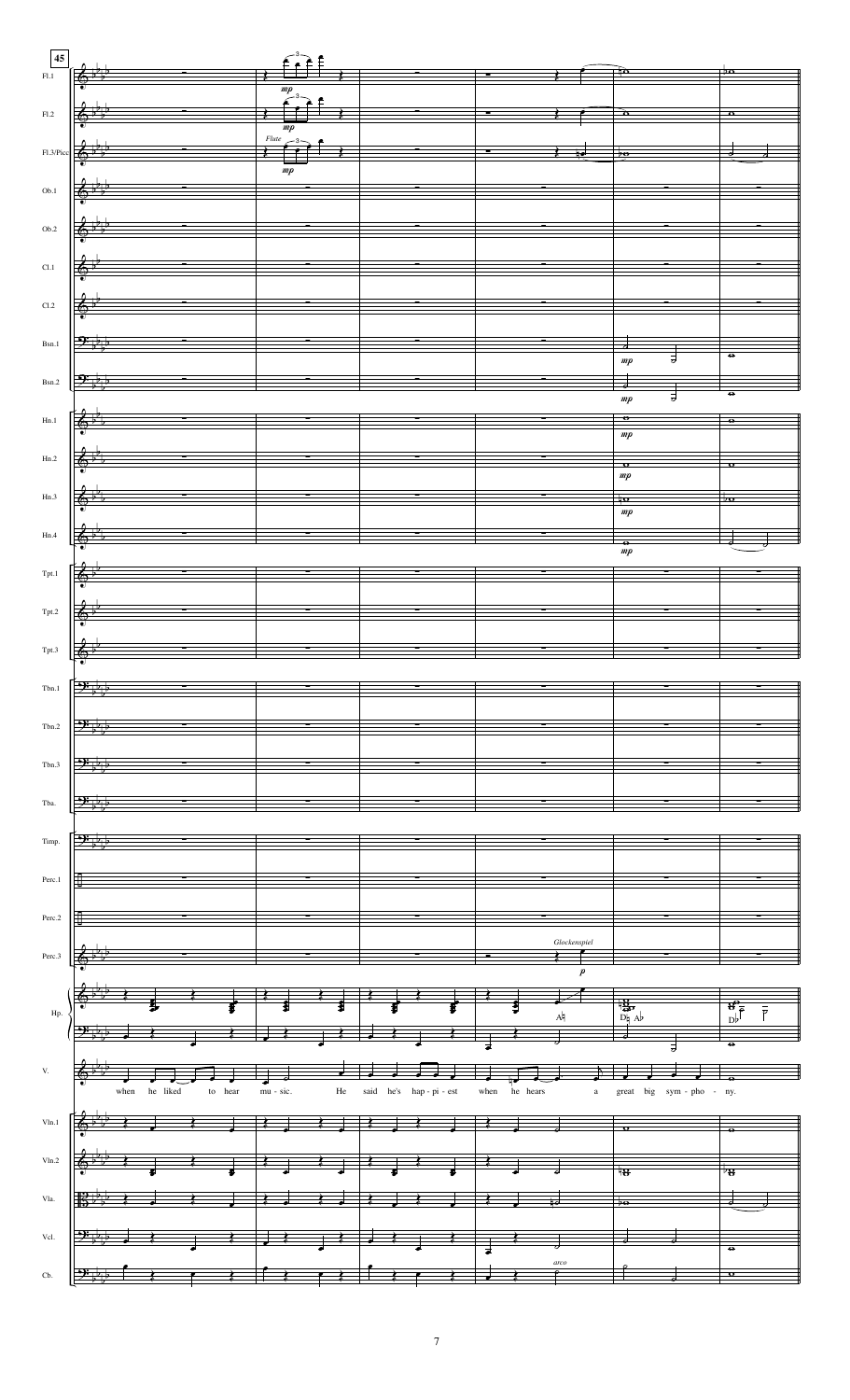| 45                         |                                           | $\widehat{\mathbf{f}}^3$                 |                                                                                 |                              |                                                                                                                                                  |                                                                                |
|----------------------------|-------------------------------------------|------------------------------------------|---------------------------------------------------------------------------------|------------------------------|--------------------------------------------------------------------------------------------------------------------------------------------------|--------------------------------------------------------------------------------|
| $\rm{F}l.1$                |                                           |                                          |                                                                                 |                              |                                                                                                                                                  | φo                                                                             |
|                            |                                           | $\frac{mp}{-3}$                          |                                                                                 |                              |                                                                                                                                                  |                                                                                |
| $\rm{Fl.2}$                |                                           | $\mathfrak{m}p$                          |                                                                                 |                              |                                                                                                                                                  | $\bullet$                                                                      |
| Fl.3/Picc                  |                                           | Flute<br>$-3-$                           |                                                                                 |                              | $\frac{1}{2}$                                                                                                                                    |                                                                                |
|                            |                                           | $\it{mp}$                                |                                                                                 |                              |                                                                                                                                                  |                                                                                |
| $_{\rm Ob.1}$              |                                           |                                          |                                                                                 |                              |                                                                                                                                                  |                                                                                |
|                            |                                           |                                          |                                                                                 |                              |                                                                                                                                                  |                                                                                |
| $_{\rm Ob.2}$              |                                           |                                          |                                                                                 |                              |                                                                                                                                                  |                                                                                |
|                            |                                           |                                          |                                                                                 |                              |                                                                                                                                                  |                                                                                |
| Cl.1                       |                                           |                                          |                                                                                 |                              |                                                                                                                                                  |                                                                                |
| $\rm Cl.2$                 |                                           |                                          |                                                                                 |                              |                                                                                                                                                  |                                                                                |
|                            |                                           |                                          |                                                                                 |                              |                                                                                                                                                  |                                                                                |
| $_{\rm Bsn.1}$             |                                           |                                          |                                                                                 |                              | ہ                                                                                                                                                |                                                                                |
|                            |                                           |                                          |                                                                                 |                              | $\exists$<br>$\emph{mp}$                                                                                                                         | $\bullet$                                                                      |
| $_{\rm Bsn.2}$             | $\mathbf{P}$                              |                                          |                                                                                 |                              | ᢦ<br>र्च                                                                                                                                         | $\overline{\bullet}$                                                           |
|                            |                                           |                                          |                                                                                 |                              | $\emph{mp}$<br>$\mathbf{o}$                                                                                                                      | $\overline{\bullet}$                                                           |
| $_{\rm Hn.1}$              |                                           |                                          |                                                                                 |                              | $\emph{mp}$                                                                                                                                      |                                                                                |
| $_{\rm Hn.2}$              |                                           |                                          |                                                                                 |                              | $\circ$                                                                                                                                          |                                                                                |
|                            |                                           |                                          |                                                                                 |                              | $\it{mp}$                                                                                                                                        | $\mathbf{o}$                                                                   |
| $_{\rm Hn.3}$              |                                           |                                          |                                                                                 |                              | <u>कि</u>                                                                                                                                        | $\frac{1}{20}$                                                                 |
|                            |                                           |                                          |                                                                                 |                              | $\it{mp}$                                                                                                                                        |                                                                                |
| Hn.4                       |                                           |                                          |                                                                                 |                              | $\overline{\bullet}$<br>$\emph{mp}$                                                                                                              |                                                                                |
| $_{\rm Tpt.1}$             |                                           |                                          |                                                                                 |                              |                                                                                                                                                  |                                                                                |
|                            |                                           |                                          |                                                                                 |                              |                                                                                                                                                  |                                                                                |
| $\operatorname{Tpt.2}$     |                                           |                                          |                                                                                 |                              |                                                                                                                                                  |                                                                                |
|                            |                                           |                                          |                                                                                 |                              |                                                                                                                                                  |                                                                                |
| Tpt.3                      |                                           |                                          |                                                                                 |                              |                                                                                                                                                  |                                                                                |
|                            |                                           |                                          |                                                                                 |                              |                                                                                                                                                  |                                                                                |
| Tbn.1                      | $2 +$                                     |                                          |                                                                                 |                              |                                                                                                                                                  |                                                                                |
| Tbn.2                      | ゾーム                                       |                                          |                                                                                 |                              |                                                                                                                                                  |                                                                                |
|                            |                                           |                                          |                                                                                 |                              |                                                                                                                                                  |                                                                                |
| Tbn.3                      | $\mathcal{F}_{\mathcal{F}_{\mathcal{F}}}$ |                                          |                                                                                 |                              |                                                                                                                                                  |                                                                                |
|                            |                                           |                                          |                                                                                 |                              |                                                                                                                                                  |                                                                                |
| Tba.                       | $\mathbf{v}_{\mathbf{p}}$                 |                                          |                                                                                 |                              |                                                                                                                                                  |                                                                                |
|                            |                                           |                                          |                                                                                 |                              |                                                                                                                                                  |                                                                                |
| Timp.                      | $\mathcal{P} \rightarrow$                 |                                          |                                                                                 |                              |                                                                                                                                                  |                                                                                |
| Perc.1                     |                                           |                                          |                                                                                 |                              |                                                                                                                                                  |                                                                                |
|                            |                                           |                                          |                                                                                 |                              |                                                                                                                                                  |                                                                                |
| Perc.2                     |                                           |                                          |                                                                                 |                              |                                                                                                                                                  |                                                                                |
|                            |                                           |                                          |                                                                                 | Glockenspiel                 |                                                                                                                                                  |                                                                                |
| Perc. $3$                  |                                           |                                          |                                                                                 | $\boldsymbol{p}$             |                                                                                                                                                  |                                                                                |
|                            |                                           |                                          |                                                                                 |                              |                                                                                                                                                  |                                                                                |
| Hp.                        |                                           | $\frac{1}{2}$<br>$\overline{\mathbf{1}}$ | $\frac{1}{\sqrt{2}}$<br>ſ                                                       | $\mathsf{A}\natural$         | $\begin{array}{c}\n\overline{\mathbf{1}_{\mathbf{5}}^{\mathbf{B}}} \\ \overline{\mathbf{0}_{\mathbf{1}}} & \overline{\mathbf{0}} \\ \end{array}$ | $\overline{\mathbf{B}_{\mathbf{b}}^{\mathbf{b}}}$<br>$\overline{\overline{p}}$ |
|                            | $9\frac{1}{2}$<br>↟                       | $\frac{1}{2}$<br>€<br>Ŧ                  | $\overline{\phantom{a}}$                                                        |                              |                                                                                                                                                  |                                                                                |
|                            |                                           |                                          |                                                                                 | ╅                            | 닁                                                                                                                                                | $\overline{\bullet}$                                                           |
| $\mathbf{V}_{\cdot}$       | $\frac{1}{6}$<br>$\frac{1}{2}$            | $\overline{\phantom{a}}$                 | $\overline{\phantom{a}}$<br>$\overline{\cdot}$<br>ӛ<br>$\overline{\phantom{0}}$ |                              |                                                                                                                                                  |                                                                                |
|                            | when he liked<br>to hear                  | $\rm He$<br>mu - sic.                    | said he's hap-pi-est                                                            | when<br>he hears<br>$\rm{a}$ | great big sym - pho - ny.                                                                                                                        |                                                                                |
| $_{\rm Vln.1}$             |                                           |                                          |                                                                                 |                              | $\mathbf{o}$                                                                                                                                     |                                                                                |
|                            |                                           |                                          |                                                                                 |                              |                                                                                                                                                  | ø                                                                              |
| Vln.2                      |                                           |                                          |                                                                                 |                              | $\overline{\overline{\mathbf{18}}}$                                                                                                              | $\overline{\mathbf{B}}$                                                        |
|                            |                                           |                                          |                                                                                 |                              |                                                                                                                                                  |                                                                                |
| $_{\rm Vla.}$              | $B^{\flat}$                               |                                          | $\overline{\phantom{a}}$                                                        | ₽                            | $\frac{1}{20}$                                                                                                                                   |                                                                                |
| $\ensuremath{\text{Vcl.}}$ | $\mathcal{P}_{\frac{\flat}{2}}$           |                                          |                                                                                 |                              |                                                                                                                                                  |                                                                                |
|                            |                                           |                                          | $\overrightarrow{\cdot}$                                                        |                              |                                                                                                                                                  | $\overline{\bullet}$                                                           |
|                            |                                           |                                          |                                                                                 | $\mathit{arco}$              |                                                                                                                                                  | $\overline{\mathbf{o}}$                                                        |
| Cb.                        |                                           |                                          |                                                                                 |                              |                                                                                                                                                  |                                                                                |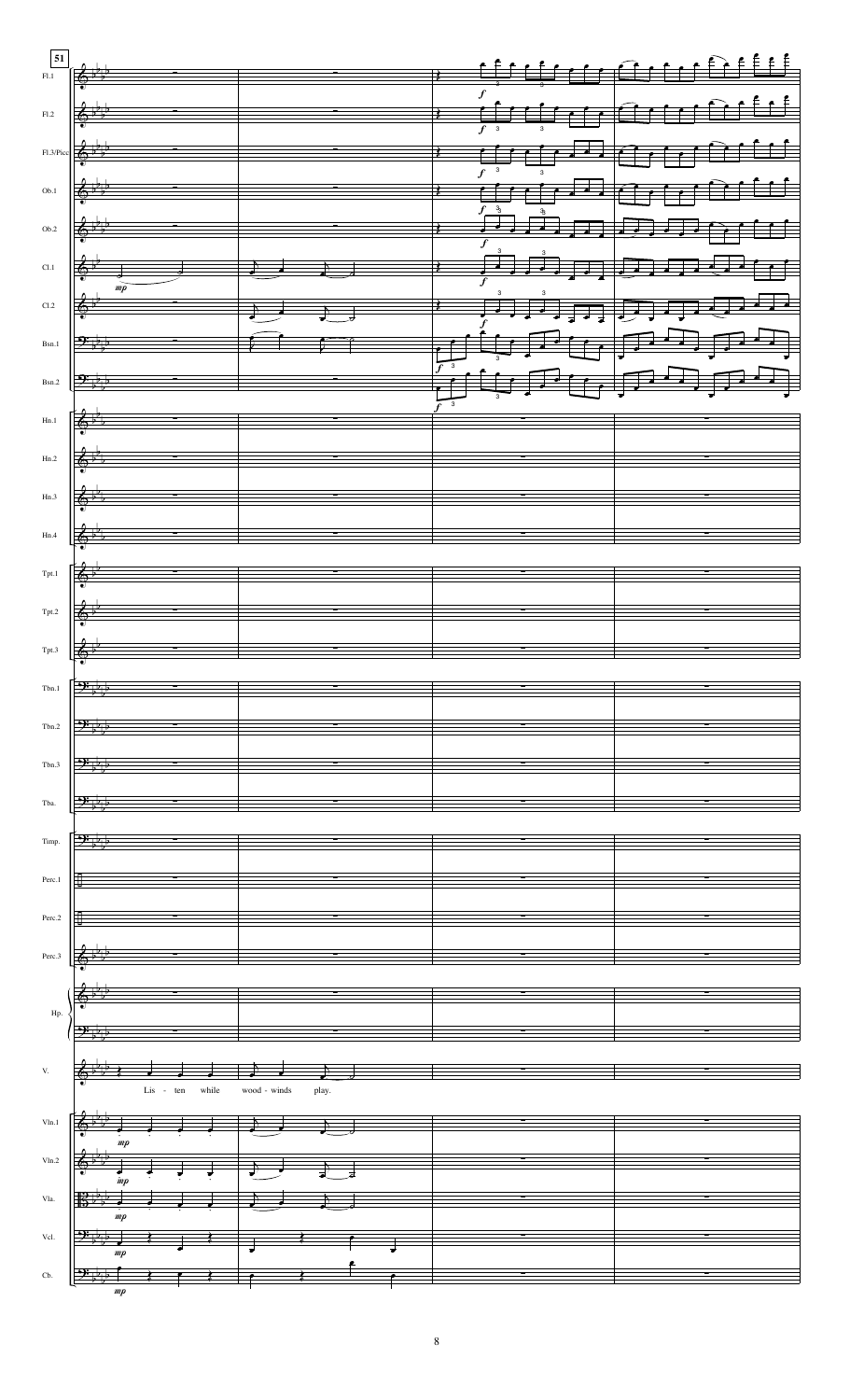| 51                     |                      |                       |                                                                                                                                                                                                                                                                                                                                                                                                      |                                                                                                                                                                                                                                                                                                                                                     |
|------------------------|----------------------|-----------------------|------------------------------------------------------------------------------------------------------------------------------------------------------------------------------------------------------------------------------------------------------------------------------------------------------------------------------------------------------------------------------------------------------|-----------------------------------------------------------------------------------------------------------------------------------------------------------------------------------------------------------------------------------------------------------------------------------------------------------------------------------------------------|
| $\rm{F}l.1$            |                      |                       | ₹<br>$\overline{f}$                                                                                                                                                                                                                                                                                                                                                                                  |                                                                                                                                                                                                                                                                                                                                                     |
| $\rm{F}l.2$            |                      |                       | $\begin{array}{c c c c c} \hline \bullet & \bullet & \bullet & \bullet & \bullet \\ \hline \end{array}$<br>$\overline{\bullet}$                                                                                                                                                                                                                                                                      | $\frac{1}{\sqrt{2}}$                                                                                                                                                                                                                                                                                                                                |
|                        |                      |                       |                                                                                                                                                                                                                                                                                                                                                                                                      | $\frac{1}{1}$                                                                                                                                                                                                                                                                                                                                       |
| Fl.3/Picc              |                      |                       | $\frac{1}{2}$<br>$\leftarrow$<br>$\overline{f^3}$                                                                                                                                                                                                                                                                                                                                                    | É<br>$\equiv$                                                                                                                                                                                                                                                                                                                                       |
| Ob.1                   | 奁                    |                       | $\Box$<br>$\overline{\mathcal{X}}$<br>$\overline{\cdot}$                                                                                                                                                                                                                                                                                                                                             | أنثأ<br>$\rightarrow$                                                                                                                                                                                                                                                                                                                               |
| $_{\rm Ob.2}$          |                      |                       | $f \frac{3}{2}$<br>€<br>┻₹                                                                                                                                                                                                                                                                                                                                                                           | $\sqrt{2}$<br>$\cdot$ $\cdot$ $\cdot$                                                                                                                                                                                                                                                                                                               |
|                        |                      |                       |                                                                                                                                                                                                                                                                                                                                                                                                      |                                                                                                                                                                                                                                                                                                                                                     |
| $\rm C1.1$             | $\Phi$               |                       | <u> Talian a</u><br>$\Box$<br>₹<br>$\overline{f}$                                                                                                                                                                                                                                                                                                                                                    | $\overline{\cdot}$                                                                                                                                                                                                                                                                                                                                  |
| $\rm Cl.2$             | $\emph{mp}$<br>6,    |                       | ्रो.<br>संग्री <u>ता</u> स्वर्<br>$\overline{\cdot}$                                                                                                                                                                                                                                                                                                                                                 | $\overline{\phantom{a}}$                                                                                                                                                                                                                                                                                                                            |
|                        |                      | $\Rightarrow$         |                                                                                                                                                                                                                                                                                                                                                                                                      |                                                                                                                                                                                                                                                                                                                                                     |
| $_{\rm Bsn.1}$         | $9 - 1$              |                       |                                                                                                                                                                                                                                                                                                                                                                                                      | $\begin{picture}(100,10) \put(0,0){\line(1,0){10}} \put(10,0){\line(1,0){10}} \put(10,0){\line(1,0){10}} \put(10,0){\line(1,0){10}} \put(10,0){\line(1,0){10}} \put(10,0){\line(1,0){10}} \put(10,0){\line(1,0){10}} \put(10,0){\line(1,0){10}} \put(10,0){\line(1,0){10}} \put(10,0){\line(1,0){10}} \put(10,0){\line(1,0){10}} \put(10,0){\line($ |
| $_{\rm Bsn.2}$         | $9\frac{1}{2}$       |                       | $\ensuremath{\mathsf{3}}$<br>$\boldsymbol{f}$<br>$\begin{picture}(40,40) \put(0,0){\line(1,0){10}} \put(15,0){\line(1,0){10}} \put(15,0){\line(1,0){10}} \put(15,0){\line(1,0){10}} \put(15,0){\line(1,0){10}} \put(15,0){\line(1,0){10}} \put(15,0){\line(1,0){10}} \put(15,0){\line(1,0){10}} \put(15,0){\line(1,0){10}} \put(15,0){\line(1,0){10}} \put(15,0){\line(1,0){10}} \put(15,0){\line(1$ |                                                                                                                                                                                                                                                                                                                                                     |
|                        |                      |                       | $\ensuremath{\mathsf{3}}$                                                                                                                                                                                                                                                                                                                                                                            |                                                                                                                                                                                                                                                                                                                                                     |
| Hn.1                   | 635                  |                       |                                                                                                                                                                                                                                                                                                                                                                                                      |                                                                                                                                                                                                                                                                                                                                                     |
| $_{\rm Hn.2}$          | $\phi$ <sup>b'</sup> |                       |                                                                                                                                                                                                                                                                                                                                                                                                      |                                                                                                                                                                                                                                                                                                                                                     |
| $_{\rm Hn.3}$          |                      |                       |                                                                                                                                                                                                                                                                                                                                                                                                      |                                                                                                                                                                                                                                                                                                                                                     |
|                        |                      |                       |                                                                                                                                                                                                                                                                                                                                                                                                      |                                                                                                                                                                                                                                                                                                                                                     |
| Hn.4                   |                      |                       |                                                                                                                                                                                                                                                                                                                                                                                                      |                                                                                                                                                                                                                                                                                                                                                     |
| $\operatorname{Tpt}.1$ | $\phi$               |                       |                                                                                                                                                                                                                                                                                                                                                                                                      |                                                                                                                                                                                                                                                                                                                                                     |
|                        |                      |                       |                                                                                                                                                                                                                                                                                                                                                                                                      |                                                                                                                                                                                                                                                                                                                                                     |
| $\operatorname{Tpt.2}$ |                      |                       |                                                                                                                                                                                                                                                                                                                                                                                                      |                                                                                                                                                                                                                                                                                                                                                     |
| $\operatorname{Tpt.3}$ |                      |                       |                                                                                                                                                                                                                                                                                                                                                                                                      |                                                                                                                                                                                                                                                                                                                                                     |
| Tbn.1                  | $\cdot$ $\cdot$      |                       |                                                                                                                                                                                                                                                                                                                                                                                                      |                                                                                                                                                                                                                                                                                                                                                     |
|                        |                      |                       |                                                                                                                                                                                                                                                                                                                                                                                                      |                                                                                                                                                                                                                                                                                                                                                     |
| Tbn.2                  |                      |                       |                                                                                                                                                                                                                                                                                                                                                                                                      |                                                                                                                                                                                                                                                                                                                                                     |
| Tbn.3                  |                      |                       |                                                                                                                                                                                                                                                                                                                                                                                                      |                                                                                                                                                                                                                                                                                                                                                     |
| Tba.                   |                      |                       |                                                                                                                                                                                                                                                                                                                                                                                                      |                                                                                                                                                                                                                                                                                                                                                     |
|                        |                      |                       |                                                                                                                                                                                                                                                                                                                                                                                                      |                                                                                                                                                                                                                                                                                                                                                     |
| Timp.                  |                      |                       |                                                                                                                                                                                                                                                                                                                                                                                                      |                                                                                                                                                                                                                                                                                                                                                     |
| Perc.1                 |                      |                       |                                                                                                                                                                                                                                                                                                                                                                                                      |                                                                                                                                                                                                                                                                                                                                                     |
| Perc.2                 |                      |                       |                                                                                                                                                                                                                                                                                                                                                                                                      |                                                                                                                                                                                                                                                                                                                                                     |
|                        |                      |                       |                                                                                                                                                                                                                                                                                                                                                                                                      |                                                                                                                                                                                                                                                                                                                                                     |
| Perc.3                 |                      |                       |                                                                                                                                                                                                                                                                                                                                                                                                      |                                                                                                                                                                                                                                                                                                                                                     |
|                        |                      |                       |                                                                                                                                                                                                                                                                                                                                                                                                      |                                                                                                                                                                                                                                                                                                                                                     |
| Hp.                    |                      |                       |                                                                                                                                                                                                                                                                                                                                                                                                      |                                                                                                                                                                                                                                                                                                                                                     |
|                        |                      |                       |                                                                                                                                                                                                                                                                                                                                                                                                      |                                                                                                                                                                                                                                                                                                                                                     |
| V.                     |                      |                       |                                                                                                                                                                                                                                                                                                                                                                                                      |                                                                                                                                                                                                                                                                                                                                                     |
|                        | Lis - ten<br>while   | wood - winds<br>play. |                                                                                                                                                                                                                                                                                                                                                                                                      |                                                                                                                                                                                                                                                                                                                                                     |
| Vln.1                  | mp                   |                       |                                                                                                                                                                                                                                                                                                                                                                                                      |                                                                                                                                                                                                                                                                                                                                                     |
| Vln.2                  |                      |                       |                                                                                                                                                                                                                                                                                                                                                                                                      |                                                                                                                                                                                                                                                                                                                                                     |
| Vla.                   | mр                   |                       |                                                                                                                                                                                                                                                                                                                                                                                                      |                                                                                                                                                                                                                                                                                                                                                     |
|                        | $\mathfrak{m}p$      |                       |                                                                                                                                                                                                                                                                                                                                                                                                      |                                                                                                                                                                                                                                                                                                                                                     |
| Vcl.                   | mp                   |                       |                                                                                                                                                                                                                                                                                                                                                                                                      |                                                                                                                                                                                                                                                                                                                                                     |
| Cb.                    |                      |                       |                                                                                                                                                                                                                                                                                                                                                                                                      |                                                                                                                                                                                                                                                                                                                                                     |
|                        | mp                   |                       |                                                                                                                                                                                                                                                                                                                                                                                                      |                                                                                                                                                                                                                                                                                                                                                     |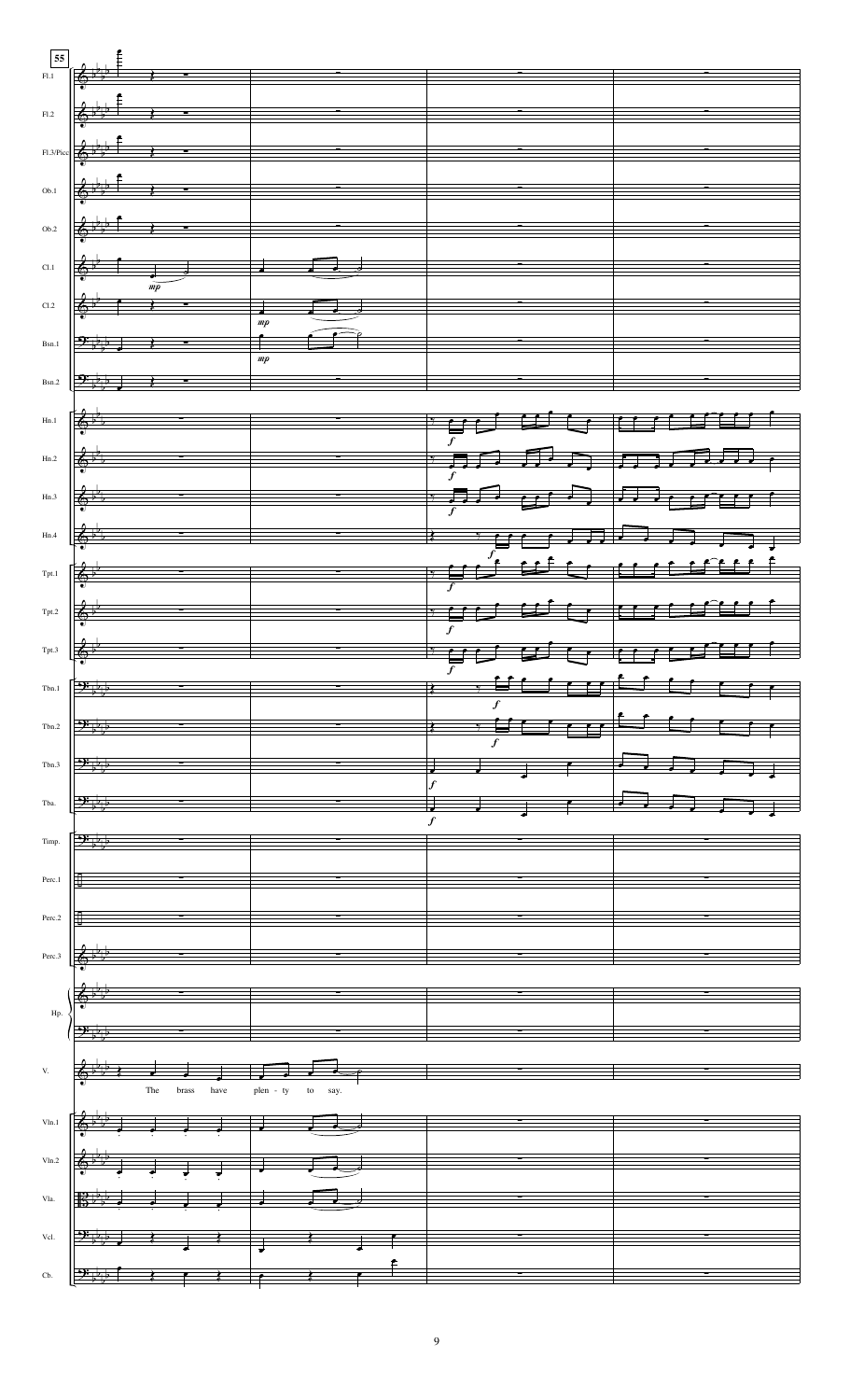| ${\bf 55}$             |                                                                                                                                                                                                                                                                                                                                                                                                 |                                                                                 |                                                                                                                                                                                                                                                                                                                                                                                                                                                                                    |                                                                                                                              |
|------------------------|-------------------------------------------------------------------------------------------------------------------------------------------------------------------------------------------------------------------------------------------------------------------------------------------------------------------------------------------------------------------------------------------------|---------------------------------------------------------------------------------|------------------------------------------------------------------------------------------------------------------------------------------------------------------------------------------------------------------------------------------------------------------------------------------------------------------------------------------------------------------------------------------------------------------------------------------------------------------------------------|------------------------------------------------------------------------------------------------------------------------------|
| FL1                    | $\frac{1}{2}$                                                                                                                                                                                                                                                                                                                                                                                   |                                                                                 |                                                                                                                                                                                                                                                                                                                                                                                                                                                                                    |                                                                                                                              |
| F1.2                   |                                                                                                                                                                                                                                                                                                                                                                                                 |                                                                                 |                                                                                                                                                                                                                                                                                                                                                                                                                                                                                    |                                                                                                                              |
| F1.3/Picc              |                                                                                                                                                                                                                                                                                                                                                                                                 |                                                                                 |                                                                                                                                                                                                                                                                                                                                                                                                                                                                                    |                                                                                                                              |
|                        | $6 +$                                                                                                                                                                                                                                                                                                                                                                                           |                                                                                 |                                                                                                                                                                                                                                                                                                                                                                                                                                                                                    |                                                                                                                              |
| Ob.1                   | $8+1$<br>$\rightarrow$                                                                                                                                                                                                                                                                                                                                                                          | $\blacksquare$                                                                  |                                                                                                                                                                                                                                                                                                                                                                                                                                                                                    |                                                                                                                              |
| $_{\rm Ob.2}$          | $6\frac{1}{2}$                                                                                                                                                                                                                                                                                                                                                                                  |                                                                                 |                                                                                                                                                                                                                                                                                                                                                                                                                                                                                    |                                                                                                                              |
|                        |                                                                                                                                                                                                                                                                                                                                                                                                 |                                                                                 |                                                                                                                                                                                                                                                                                                                                                                                                                                                                                    |                                                                                                                              |
| $\rm C1.1$             | 牵                                                                                                                                                                                                                                                                                                                                                                                               |                                                                                 |                                                                                                                                                                                                                                                                                                                                                                                                                                                                                    |                                                                                                                              |
| $\rm Cl.2$             | $_{\it mp}$<br>$\phi^{\nu}$                                                                                                                                                                                                                                                                                                                                                                     |                                                                                 |                                                                                                                                                                                                                                                                                                                                                                                                                                                                                    |                                                                                                                              |
|                        |                                                                                                                                                                                                                                                                                                                                                                                                 | $\mathfrak{m}p$                                                                 |                                                                                                                                                                                                                                                                                                                                                                                                                                                                                    |                                                                                                                              |
| Bsn.1                  |                                                                                                                                                                                                                                                                                                                                                                                                 | mp                                                                              |                                                                                                                                                                                                                                                                                                                                                                                                                                                                                    |                                                                                                                              |
| $_{\rm Bsn.2}$         |                                                                                                                                                                                                                                                                                                                                                                                                 |                                                                                 |                                                                                                                                                                                                                                                                                                                                                                                                                                                                                    |                                                                                                                              |
| Hn.1                   | $\frac{2}{9}$                                                                                                                                                                                                                                                                                                                                                                                   |                                                                                 |                                                                                                                                                                                                                                                                                                                                                                                                                                                                                    |                                                                                                                              |
|                        |                                                                                                                                                                                                                                                                                                                                                                                                 |                                                                                 | <u>y credit to presentat i</u>                                                                                                                                                                                                                                                                                                                                                                                                                                                     |                                                                                                                              |
| $_{\rm Hn.2}$          |                                                                                                                                                                                                                                                                                                                                                                                                 |                                                                                 | $\begin{array}{ c c c c c }\hline \overline{r} & \overline{r} & \overline{r} & \overline{r} & \overline{r} & \overline{r} & \overline{r} & \overline{r} & \overline{r} & \overline{r} & \overline{r} & \overline{r} & \overline{r} & \overline{r} & \overline{r} & \overline{r} & \overline{r} & \overline{r} & \overline{r} & \overline{r} & \overline{r} & \overline{r} & \overline{r} & \overline{r} & \overline{r} & \overline{r} & \overline{r} & \overline{r} & \overline{r$ |                                                                                                                              |
| $_{\rm Hn.3}$          | $6\frac{1}{2}$                                                                                                                                                                                                                                                                                                                                                                                  |                                                                                 | $\frac{1}{2}$ , $\frac{1}{2}$ , $\frac{1}{2}$ , $\frac{1}{2}$ , $\frac{1}{2}$ , $\frac{1}{2}$ , $\frac{1}{2}$ , $\frac{1}{2}$                                                                                                                                                                                                                                                                                                                                                      |                                                                                                                              |
|                        |                                                                                                                                                                                                                                                                                                                                                                                                 |                                                                                 |                                                                                                                                                                                                                                                                                                                                                                                                                                                                                    |                                                                                                                              |
| Hn.4                   | $6^{5}$                                                                                                                                                                                                                                                                                                                                                                                         |                                                                                 |                                                                                                                                                                                                                                                                                                                                                                                                                                                                                    | <del>1997 - 1997 - 1997 - 1997 - 1997 - 1997 - 1997 - 1997 - 1997 - 1997 - 1997 - 1997 - 1997 - 1997 - 1997 - 1997 - 1</del> |
| $\rm Tpt.1$            |                                                                                                                                                                                                                                                                                                                                                                                                 |                                                                                 | فكتأبأ فتاتين                                                                                                                                                                                                                                                                                                                                                                                                                                                                      |                                                                                                                              |
|                        |                                                                                                                                                                                                                                                                                                                                                                                                 |                                                                                 |                                                                                                                                                                                                                                                                                                                                                                                                                                                                                    |                                                                                                                              |
| Tpt.2                  |                                                                                                                                                                                                                                                                                                                                                                                                 |                                                                                 | <u>raci si grandisi i</u>                                                                                                                                                                                                                                                                                                                                                                                                                                                          |                                                                                                                              |
| $\operatorname{Tpt.3}$ | 6                                                                                                                                                                                                                                                                                                                                                                                               |                                                                                 | استنصاب المنادي أنفذ تستنا                                                                                                                                                                                                                                                                                                                                                                                                                                                         |                                                                                                                              |
|                        |                                                                                                                                                                                                                                                                                                                                                                                                 |                                                                                 | f<br><del>⊆i port</del>                                                                                                                                                                                                                                                                                                                                                                                                                                                            |                                                                                                                              |
| Tbn.1                  |                                                                                                                                                                                                                                                                                                                                                                                                 |                                                                                 | ↨                                                                                                                                                                                                                                                                                                                                                                                                                                                                                  |                                                                                                                              |
|                        |                                                                                                                                                                                                                                                                                                                                                                                                 |                                                                                 |                                                                                                                                                                                                                                                                                                                                                                                                                                                                                    |                                                                                                                              |
| Tbn.2                  |                                                                                                                                                                                                                                                                                                                                                                                                 |                                                                                 | ₹                                                                                                                                                                                                                                                                                                                                                                                                                                                                                  |                                                                                                                              |
| Tbn.3                  |                                                                                                                                                                                                                                                                                                                                                                                                 |                                                                                 |                                                                                                                                                                                                                                                                                                                                                                                                                                                                                    | $\begin{array}{c} \begin{array}{c} \bullet \\ \hline \end{array} \end{array}$                                                |
|                        |                                                                                                                                                                                                                                                                                                                                                                                                 |                                                                                 | $\overline{\phantom{a}}$                                                                                                                                                                                                                                                                                                                                                                                                                                                           | $\overline{\phantom{a}}$<br>$\overline{\phantom{a}}$                                                                         |
| Tba.                   | $\mathbf{P}$                                                                                                                                                                                                                                                                                                                                                                                    |                                                                                 | ₽<br>f                                                                                                                                                                                                                                                                                                                                                                                                                                                                             |                                                                                                                              |
| Timp.                  |                                                                                                                                                                                                                                                                                                                                                                                                 |                                                                                 |                                                                                                                                                                                                                                                                                                                                                                                                                                                                                    |                                                                                                                              |
|                        |                                                                                                                                                                                                                                                                                                                                                                                                 |                                                                                 |                                                                                                                                                                                                                                                                                                                                                                                                                                                                                    |                                                                                                                              |
| Perc.1                 |                                                                                                                                                                                                                                                                                                                                                                                                 |                                                                                 |                                                                                                                                                                                                                                                                                                                                                                                                                                                                                    |                                                                                                                              |
| Perc.2                 |                                                                                                                                                                                                                                                                                                                                                                                                 |                                                                                 |                                                                                                                                                                                                                                                                                                                                                                                                                                                                                    |                                                                                                                              |
| Perc.3                 |                                                                                                                                                                                                                                                                                                                                                                                                 |                                                                                 |                                                                                                                                                                                                                                                                                                                                                                                                                                                                                    |                                                                                                                              |
|                        |                                                                                                                                                                                                                                                                                                                                                                                                 |                                                                                 |                                                                                                                                                                                                                                                                                                                                                                                                                                                                                    |                                                                                                                              |
|                        |                                                                                                                                                                                                                                                                                                                                                                                                 |                                                                                 |                                                                                                                                                                                                                                                                                                                                                                                                                                                                                    |                                                                                                                              |
| Hp.                    | $\mathcal{P} \downarrow_{\mathbb{P}}$                                                                                                                                                                                                                                                                                                                                                           |                                                                                 |                                                                                                                                                                                                                                                                                                                                                                                                                                                                                    |                                                                                                                              |
|                        |                                                                                                                                                                                                                                                                                                                                                                                                 |                                                                                 |                                                                                                                                                                                                                                                                                                                                                                                                                                                                                    |                                                                                                                              |
| $\mathbf{V}_{\cdot}$   | $\overline{\phantom{a}}$<br>The<br>brass<br>have                                                                                                                                                                                                                                                                                                                                                | $\overline{\phantom{a}}$<br>$\overline{\phantom{a}}$<br>plen - ty<br>to<br>say. |                                                                                                                                                                                                                                                                                                                                                                                                                                                                                    |                                                                                                                              |
|                        |                                                                                                                                                                                                                                                                                                                                                                                                 |                                                                                 |                                                                                                                                                                                                                                                                                                                                                                                                                                                                                    |                                                                                                                              |
| $_{\rm Vln.1}$         | $\overline{\phantom{a}}$<br>$\frac{1}{\cdot}$                                                                                                                                                                                                                                                                                                                                                   | $\overline{\phantom{a}}$                                                        |                                                                                                                                                                                                                                                                                                                                                                                                                                                                                    |                                                                                                                              |
| Vln.2                  | $6^{5}$<br>$\overline{1}$ $\overline{1}$ $\overline{1}$ $\overline{1}$ $\overline{1}$ $\overline{1}$ $\overline{1}$ $\overline{1}$ $\overline{1}$ $\overline{1}$ $\overline{1}$ $\overline{1}$ $\overline{1}$ $\overline{1}$ $\overline{1}$ $\overline{1}$ $\overline{1}$ $\overline{1}$ $\overline{1}$ $\overline{1}$ $\overline{1}$ $\overline{1}$ $\overline{1}$ $\overline{1}$ $\overline{$ | $\sqrt{2}$                                                                      |                                                                                                                                                                                                                                                                                                                                                                                                                                                                                    |                                                                                                                              |
| Vla.                   | $B^{\flat}$ .                                                                                                                                                                                                                                                                                                                                                                                   | ╺                                                                               |                                                                                                                                                                                                                                                                                                                                                                                                                                                                                    |                                                                                                                              |
|                        |                                                                                                                                                                                                                                                                                                                                                                                                 |                                                                                 |                                                                                                                                                                                                                                                                                                                                                                                                                                                                                    |                                                                                                                              |
| Vcl.                   | $\mathcal{F}_{\mathbb{P}^+}$                                                                                                                                                                                                                                                                                                                                                                    | $\boxplus$                                                                      |                                                                                                                                                                                                                                                                                                                                                                                                                                                                                    |                                                                                                                              |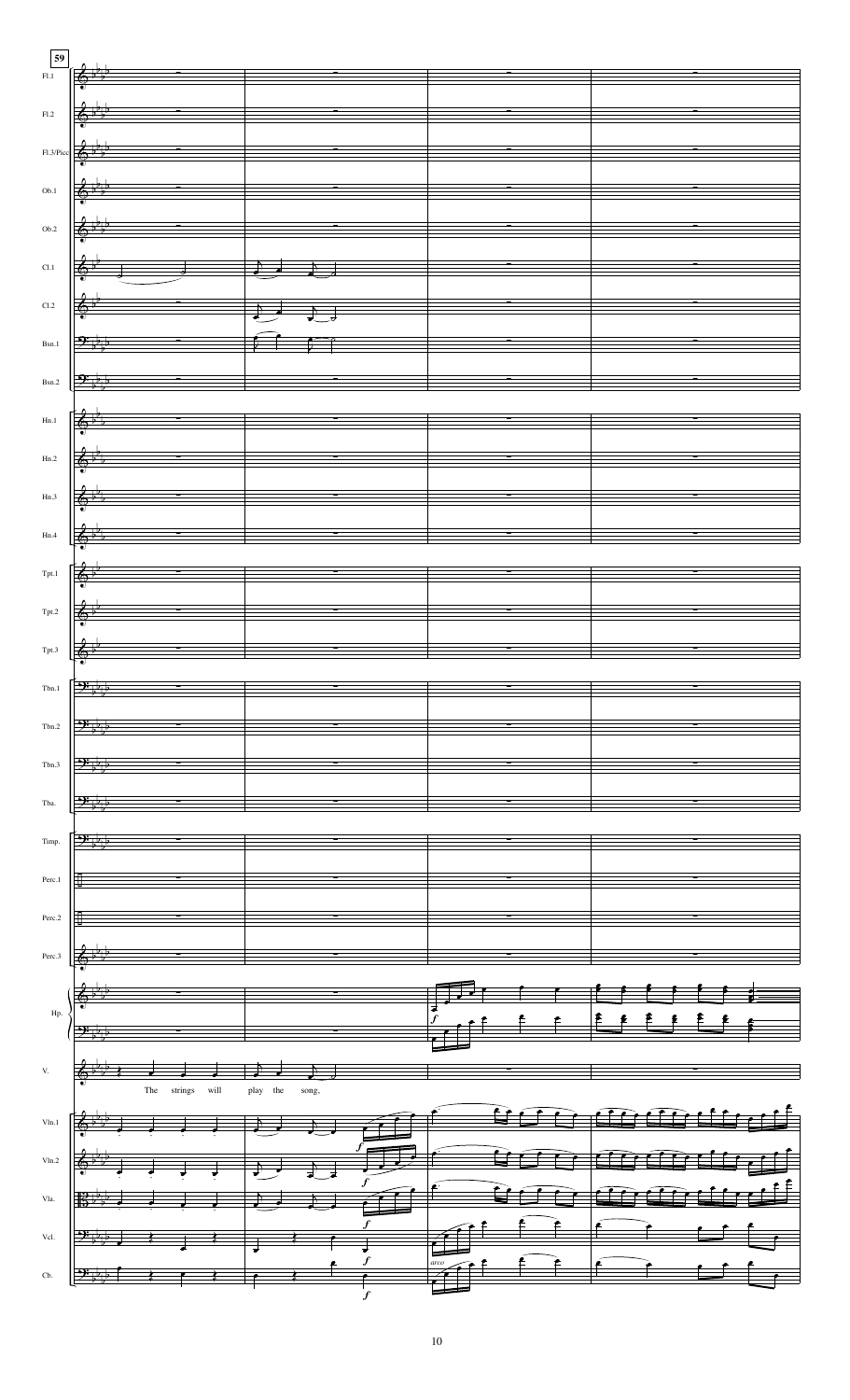| 59             |                                                                                                            |                           |                              |                          |
|----------------|------------------------------------------------------------------------------------------------------------|---------------------------|------------------------------|--------------------------|
| $\rm{F}l.1$    |                                                                                                            |                           |                              |                          |
|                |                                                                                                            |                           |                              |                          |
| FL.2           |                                                                                                            |                           |                              |                          |
|                |                                                                                                            |                           |                              |                          |
| Fl.3/Picc      |                                                                                                            | $\sim$ 100 $\mu$          |                              |                          |
|                |                                                                                                            |                           |                              |                          |
|                |                                                                                                            |                           |                              |                          |
| Ob.1           | $\frac{2}{9}$                                                                                              | $\blacksquare$            |                              |                          |
|                |                                                                                                            |                           |                              |                          |
| Ob.2           | Ξ                                                                                                          |                           |                              |                          |
|                |                                                                                                            |                           |                              |                          |
| Cl.1           | $\frac{1}{\sqrt{2}}$                                                                                       | $\rightarrow$             |                              |                          |
|                |                                                                                                            |                           |                              |                          |
| Cl.2           | $\frac{1}{\frac{1}{2}}$                                                                                    |                           |                              |                          |
|                |                                                                                                            |                           |                              |                          |
|                |                                                                                                            | $\hat{\bm{\mp}}$          |                              |                          |
| $_{\rm Bsn.1}$ | $\mathcal{P}$ , $\mathcal{P}$                                                                              |                           |                              |                          |
|                |                                                                                                            |                           |                              |                          |
| $_{\rm Bsn.2}$ | $2 + 1$                                                                                                    |                           |                              |                          |
|                |                                                                                                            |                           |                              |                          |
| $_{\rm Hn.1}$  | $\frac{2}{9}$                                                                                              | $\frac{1}{\sqrt{2}}$      |                              |                          |
|                |                                                                                                            |                           |                              |                          |
| Hn.2           | $\frac{1}{\frac{1}{2}}$<br>$\mathcal{L}(\mathcal{L}(\mathcal{L}))$ . The set of $\mathcal{L}(\mathcal{L})$ | $\blacksquare$            |                              |                          |
|                |                                                                                                            |                           |                              |                          |
| Hn.3           |                                                                                                            |                           |                              |                          |
|                |                                                                                                            |                           |                              |                          |
| Hn.4           |                                                                                                            | $\overline{\phantom{a}}$  |                              |                          |
|                | 牵                                                                                                          |                           |                              |                          |
|                |                                                                                                            |                           |                              |                          |
| Tpt.1          | $\frac{1}{2}$                                                                                              |                           |                              |                          |
|                |                                                                                                            |                           |                              |                          |
| Tpt.2          | $\phi^{\mathcal{P}}$                                                                                       | Ξ                         |                              |                          |
|                |                                                                                                            |                           |                              |                          |
| $\rm Tpt.3$    |                                                                                                            |                           |                              |                          |
|                |                                                                                                            |                           |                              |                          |
| Tbn.1          | $\mathbf{\mathcal{P}}$                                                                                     |                           |                              |                          |
|                |                                                                                                            |                           |                              |                          |
| $_{\rm Tbn.2}$ | $9 - 1$                                                                                                    |                           |                              |                          |
|                |                                                                                                            |                           |                              |                          |
| Tbn.3          |                                                                                                            |                           |                              |                          |
|                |                                                                                                            |                           |                              |                          |
|                | $9 -$                                                                                                      |                           |                              |                          |
| Tba.           |                                                                                                            |                           |                              |                          |
|                |                                                                                                            |                           |                              |                          |
| Timp.          | $\mathcal{P} \mathrel{\vdash}_{\mathbb{L}}$                                                                |                           |                              |                          |
|                |                                                                                                            |                           |                              |                          |
| Perc.1         |                                                                                                            |                           |                              |                          |
|                |                                                                                                            |                           |                              |                          |
| Perc.2         |                                                                                                            |                           |                              |                          |
|                |                                                                                                            |                           |                              |                          |
| Perc.3         |                                                                                                            |                           |                              |                          |
|                |                                                                                                            |                           |                              |                          |
|                |                                                                                                            |                           |                              |                          |
| Hp.            |                                                                                                            |                           |                              |                          |
|                | $\mathcal{P}$ ,                                                                                            |                           | $\overline{\phantom{a}}$     | ≛                        |
|                |                                                                                                            |                           |                              |                          |
|                |                                                                                                            |                           |                              |                          |
| $\mathbf{V}.$  |                                                                                                            |                           |                              |                          |
|                | The<br>will<br>strings                                                                                     | play the<br>song,         |                              |                          |
| $_{\rm Vln.1}$ |                                                                                                            |                           | $\mathbb{I}$                 | $\frac{1}{2}$            |
|                | $\frac{2}{3}$                                                                                              | $\widehat{H}$             |                              |                          |
|                |                                                                                                            | $\frac{1}{\sqrt{2}}$      |                              |                          |
| $_{\rm Vln.2}$ |                                                                                                            | ∌                         |                              |                          |
|                |                                                                                                            |                           |                              |                          |
| Vla.           | 8,7                                                                                                        | $\widetilde{\phantom{a}}$ | $\mathbf{r}$<br>$\leftarrow$ |                          |
|                |                                                                                                            |                           |                              |                          |
| $\rm{Vcl.}$    | $\mathcal{P}$ )                                                                                            |                           |                              | $\overline{\phantom{a}}$ |
|                |                                                                                                            |                           | $\mathit{arco}$              |                          |
| Cb.            |                                                                                                            |                           |                              |                          |
|                |                                                                                                            |                           |                              |                          |
|                |                                                                                                            |                           |                              |                          |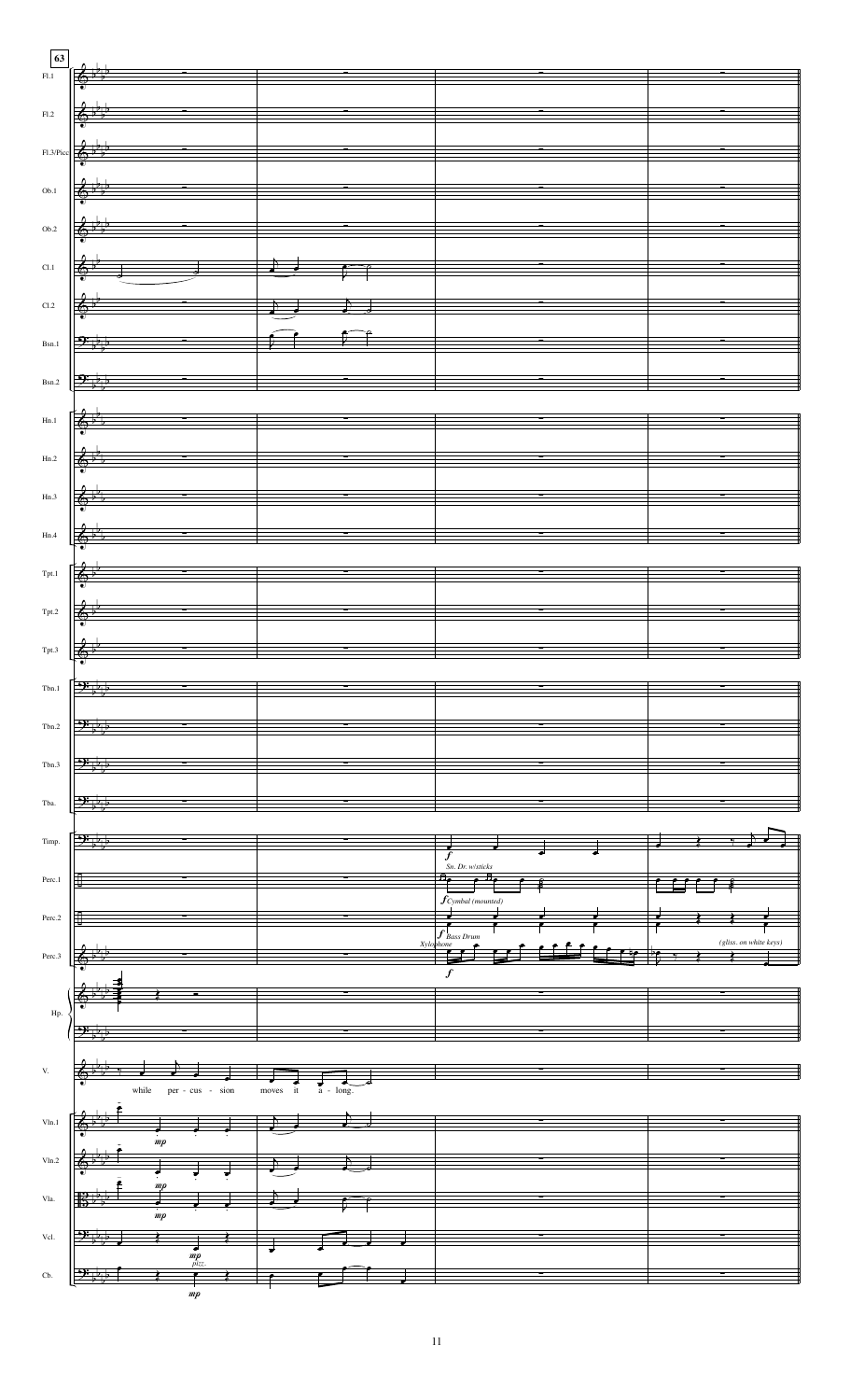| 63             |                                                     |                                                       |                                                   |                        |
|----------------|-----------------------------------------------------|-------------------------------------------------------|---------------------------------------------------|------------------------|
| $\rm{F}l.1$    | $6-1$                                               | =                                                     |                                                   |                        |
|                |                                                     |                                                       |                                                   |                        |
| F1.2           |                                                     |                                                       |                                                   |                        |
| Fl.3/Picc      |                                                     | $\overline{\phantom{a}}$                              | Ξ                                                 |                        |
|                |                                                     |                                                       |                                                   |                        |
| Ob.1           | $6F^+$                                              | $\blacksquare$                                        | Ξ                                                 |                        |
|                |                                                     |                                                       |                                                   |                        |
| Ob.2           | $6\frac{1}{2}$                                      |                                                       |                                                   |                        |
| Cl.1           | $\overline{\phantom{a}}$<br>$\frac{1}{\frac{1}{2}}$ | $\frac{1}{\sqrt{1-\frac{1}{2}}}$                      | Ξ                                                 |                        |
|                |                                                     |                                                       |                                                   |                        |
| $\rm Cl.2$     | $\oint_C \frac{1}{\rho}$                            | $\sum$                                                | ≡                                                 |                        |
|                |                                                     |                                                       |                                                   |                        |
| $_{\rm Bsn.1}$ | $\mathcal{P}$                                       | $\mathcal{L}$                                         |                                                   |                        |
|                |                                                     |                                                       |                                                   |                        |
| $_{\rm Bsn.2}$ | $\mathbf{y}_{\mathbf{p} \mathbf{p}}$                | $\blacksquare$                                        |                                                   |                        |
| $_{\rm Hn.1}$  | $\frac{2}{9}$                                       |                                                       |                                                   |                        |
|                |                                                     |                                                       |                                                   |                        |
| Hn.2           | 67<br>Ξ                                             | $\frac{1}{\sqrt{2}}$                                  |                                                   |                        |
|                |                                                     |                                                       |                                                   |                        |
| Hn.3           | ℰ <sup>ϧ</sup>                                      | Ξ                                                     |                                                   |                        |
| Hn.4           | 6F                                                  | $\blacksquare$                                        | Ξ                                                 |                        |
|                |                                                     |                                                       |                                                   |                        |
| $_{\rm Tpt.1}$ | $\frac{1}{2}$                                       | ⋍                                                     |                                                   |                        |
|                |                                                     |                                                       |                                                   |                        |
| Tpt.2          |                                                     |                                                       |                                                   |                        |
| Tpt.3          |                                                     | Ξ                                                     |                                                   |                        |
|                |                                                     |                                                       |                                                   |                        |
| Tbn.1          | $\mathcal{P}$                                       |                                                       |                                                   |                        |
|                |                                                     |                                                       |                                                   |                        |
| Tbn.2          | $\mathcal{P}$                                       |                                                       |                                                   |                        |
| Tbn.3          | $\mathcal{P} \rightarrow \mathcal{P}$               |                                                       |                                                   |                        |
|                |                                                     |                                                       |                                                   |                        |
| Tba.           | $\overline{\mathcal{P}}$ , $\overline{\mathcal{P}}$ |                                                       |                                                   |                        |
|                |                                                     |                                                       |                                                   |                        |
| Timp.          | $\overline{\mathcal{P}}$ , $\overline{\mathcal{P}}$ |                                                       | $\boldsymbol{f}$                                  |                        |
| Perc.1         |                                                     |                                                       | $Sn$ . Dr. w/sticks<br>≖.                         |                        |
|                |                                                     |                                                       | $\sqrt{\mathbfit{f_{Cymbal}}}$ (mounted)          |                        |
| Perc.2         |                                                     |                                                       |                                                   |                        |
|                |                                                     | Xylophone                                             | $\boldsymbol{f}_{\textit{Bass Drum}}^{\parallel}$ | (gliss. on white keys) |
| Perc.3         |                                                     |                                                       | $\boldsymbol{f}$                                  |                        |
|                |                                                     |                                                       |                                                   |                        |
| Hp.            |                                                     |                                                       |                                                   |                        |
|                |                                                     |                                                       |                                                   |                        |
|                |                                                     |                                                       |                                                   |                        |
| V.             |                                                     | ◢                                                     |                                                   |                        |
|                | while<br>per - cus - sion                           | $\frac{1}{a}$ - long.<br>$\operatorname{moves}$<br>it |                                                   |                        |
| Vln.1          |                                                     |                                                       |                                                   |                        |
|                | $\it{mp}$                                           |                                                       |                                                   |                        |
| Vln.2          |                                                     |                                                       |                                                   |                        |
| Vla.           | mp                                                  |                                                       |                                                   |                        |
|                | $\emph{mp}$                                         |                                                       |                                                   |                        |
| Vcl.           | <del>יכ</del>                                       |                                                       |                                                   |                        |
|                | $\frac{p}{mp}$                                      |                                                       |                                                   |                        |
| Cb.            |                                                     |                                                       |                                                   |                        |
|                | $\boldsymbol{m}$                                    |                                                       |                                                   |                        |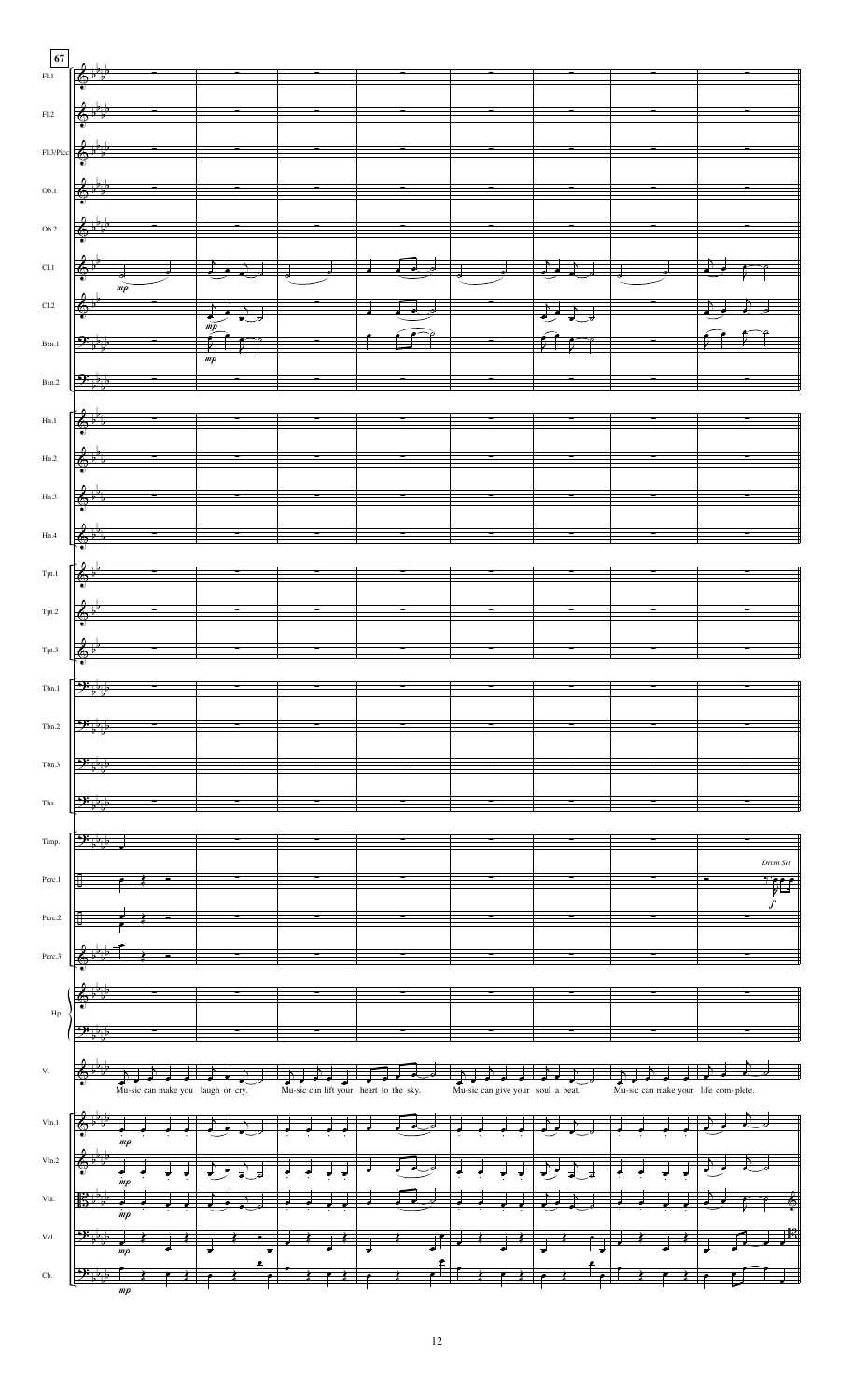| $rac{67}{F1.1}$         |                                      |                                                         |                                             |                                             |                                        |                          |                                      |                           |
|-------------------------|--------------------------------------|---------------------------------------------------------|---------------------------------------------|---------------------------------------------|----------------------------------------|--------------------------|--------------------------------------|---------------------------|
|                         |                                      |                                                         |                                             |                                             |                                        |                          |                                      |                           |
| F1.2                    |                                      |                                                         |                                             |                                             |                                        |                          |                                      |                           |
|                         |                                      |                                                         |                                             |                                             |                                        |                          |                                      |                           |
| Fl.3/Picc               |                                      |                                                         |                                             |                                             |                                        |                          |                                      |                           |
|                         |                                      |                                                         |                                             |                                             |                                        |                          |                                      |                           |
|                         | $\frac{2}{9}$                        |                                                         |                                             |                                             |                                        |                          |                                      |                           |
| Ob.1                    |                                      |                                                         |                                             |                                             |                                        |                          |                                      |                           |
|                         |                                      |                                                         |                                             |                                             |                                        |                          |                                      |                           |
| Ob.2                    |                                      |                                                         |                                             |                                             |                                        |                          |                                      |                           |
|                         |                                      |                                                         |                                             |                                             |                                        |                          |                                      |                           |
| $\rm Cl.1$              | 唪                                    | $\sum$                                                  |                                             | $\overline{\phantom{a}}$                    |                                        | 孝<br>$\overline{\pm}$    |                                      | ♪                         |
|                         | $\frac{p}{mp}$                       |                                                         |                                             |                                             | $\overline{1}$                         |                          |                                      |                           |
| Cl.2                    |                                      |                                                         |                                             |                                             |                                        |                          |                                      | $\rightarrow$             |
|                         | $\hat{\mathbb{P}}$                   | $\frac{\sqrt{2}}{\sqrt{2}}$<br>$\overline{\mathcal{L}}$ |                                             | $\ddot{\equiv}$<br>$\overline{\phantom{a}}$ |                                        | $\overrightarrow{v}$     |                                      |                           |
|                         | $\mathbf{P}$                         |                                                         |                                             |                                             |                                        | $\int$<br>$\mathfrak{f}$ |                                      |                           |
| $_{\rm Bsn.1}$          |                                      | mp                                                      |                                             |                                             |                                        |                          |                                      |                           |
|                         |                                      |                                                         |                                             |                                             |                                        |                          |                                      |                           |
| $_{\rm Bsn.2}$          | $9 +$                                |                                                         |                                             |                                             |                                        |                          |                                      |                           |
|                         |                                      |                                                         |                                             |                                             |                                        |                          |                                      |                           |
| Hn.1                    |                                      |                                                         |                                             |                                             |                                        |                          |                                      |                           |
|                         |                                      |                                                         |                                             |                                             |                                        |                          |                                      |                           |
| Hn.2                    | $\frac{2}{\sqrt{2}}$<br>$\equiv$     | 좋                                                       | ÷                                           |                                             | Ξ                                      |                          |                                      |                           |
|                         |                                      |                                                         |                                             |                                             |                                        |                          |                                      |                           |
| Hn.3                    | $\frac{2}{\frac{1}{2}}$              |                                                         |                                             |                                             |                                        |                          |                                      |                           |
|                         |                                      |                                                         |                                             |                                             |                                        |                          |                                      |                           |
|                         |                                      |                                                         |                                             |                                             |                                        |                          |                                      |                           |
| $_{\rm Hn.4}$           |                                      |                                                         |                                             |                                             |                                        |                          |                                      |                           |
|                         |                                      |                                                         |                                             |                                             |                                        |                          |                                      |                           |
| Tpt.1                   |                                      |                                                         |                                             |                                             |                                        |                          |                                      |                           |
|                         |                                      |                                                         |                                             |                                             |                                        |                          |                                      |                           |
| Tpt.2                   | $\hat{\bullet}$                      |                                                         |                                             |                                             |                                        |                          |                                      |                           |
|                         |                                      |                                                         |                                             |                                             |                                        |                          |                                      |                           |
| Tpt.3                   |                                      |                                                         | Ξ                                           |                                             |                                        |                          |                                      |                           |
|                         |                                      |                                                         |                                             |                                             |                                        |                          |                                      |                           |
| Tbn.1                   | $\mathcal{F}_{\mathcal{F}_\pm}$      |                                                         |                                             |                                             |                                        |                          |                                      |                           |
|                         |                                      |                                                         |                                             |                                             |                                        |                          |                                      |                           |
|                         | 9:1                                  |                                                         |                                             |                                             |                                        |                          |                                      |                           |
| Tbn.2                   |                                      |                                                         |                                             |                                             |                                        |                          |                                      |                           |
|                         |                                      |                                                         |                                             |                                             |                                        |                          |                                      |                           |
| Tbn.3                   | $\mathbf{y}_{\text{t}}$              |                                                         |                                             |                                             |                                        | ÷                        |                                      |                           |
|                         |                                      |                                                         |                                             |                                             |                                        |                          |                                      |                           |
| Tba.                    | $\overline{\mathbf{2}^{\mathsf{t}}}$ |                                                         |                                             |                                             |                                        |                          |                                      |                           |
|                         |                                      |                                                         |                                             |                                             |                                        |                          |                                      |                           |
| Timp.                   | -9:<br>$+P_+$                        |                                                         |                                             |                                             |                                        |                          |                                      |                           |
|                         |                                      |                                                         |                                             |                                             |                                        |                          |                                      | Drum Set                  |
| Perc.1                  |                                      |                                                         |                                             |                                             |                                        |                          |                                      |                           |
|                         |                                      |                                                         |                                             |                                             |                                        |                          |                                      | $^{\prime}$ ) $^{\prime}$ |
| Perc.2                  |                                      |                                                         |                                             |                                             |                                        |                          |                                      | f                         |
|                         |                                      |                                                         |                                             |                                             |                                        |                          |                                      |                           |
|                         |                                      |                                                         |                                             |                                             |                                        |                          |                                      |                           |
| Perc.3                  |                                      |                                                         |                                             |                                             |                                        |                          |                                      |                           |
|                         |                                      |                                                         |                                             |                                             |                                        |                          |                                      |                           |
|                         |                                      |                                                         |                                             |                                             |                                        |                          |                                      |                           |
| Hp.                     |                                      |                                                         |                                             |                                             |                                        |                          |                                      |                           |
|                         | <u> 4):</u><br>四                     |                                                         |                                             |                                             |                                        |                          |                                      |                           |
|                         |                                      |                                                         |                                             |                                             |                                        |                          |                                      |                           |
| $\mathbf{V}_{\text{r}}$ |                                      |                                                         |                                             |                                             |                                        |                          |                                      |                           |
|                         | Mu-sic can make you laugh or cry.    |                                                         | ⇒<br>Mu-sic can lift your heart to the sky. |                                             | ∌<br>Mu-sic can give your soul a beat. |                          | Mu-sic can make your life com-plete. |                           |
|                         |                                      |                                                         |                                             |                                             |                                        |                          |                                      |                           |
| Vln.1                   |                                      |                                                         |                                             |                                             |                                        |                          |                                      |                           |
|                         | $\mathfrak{m}p$                      |                                                         |                                             |                                             |                                        |                          |                                      |                           |
| Vln.2                   |                                      |                                                         |                                             |                                             |                                        |                          |                                      |                           |
|                         |                                      |                                                         |                                             |                                             |                                        |                          |                                      |                           |
|                         | mp                                   |                                                         |                                             |                                             |                                        |                          |                                      |                           |
| Vla.                    | 书艺                                   |                                                         |                                             |                                             |                                        |                          |                                      | ♦                         |
|                         | mp                                   |                                                         |                                             |                                             |                                        |                          |                                      |                           |
| Vcl.                    | $\mathcal{F}$ ,                      |                                                         |                                             |                                             |                                        |                          |                                      | 书                         |
|                         | mp                                   |                                                         |                                             |                                             |                                        |                          |                                      |                           |
| Cb.                     |                                      |                                                         |                                             |                                             |                                        |                          |                                      |                           |
|                         | mp                                   |                                                         |                                             |                                             |                                        |                          |                                      |                           |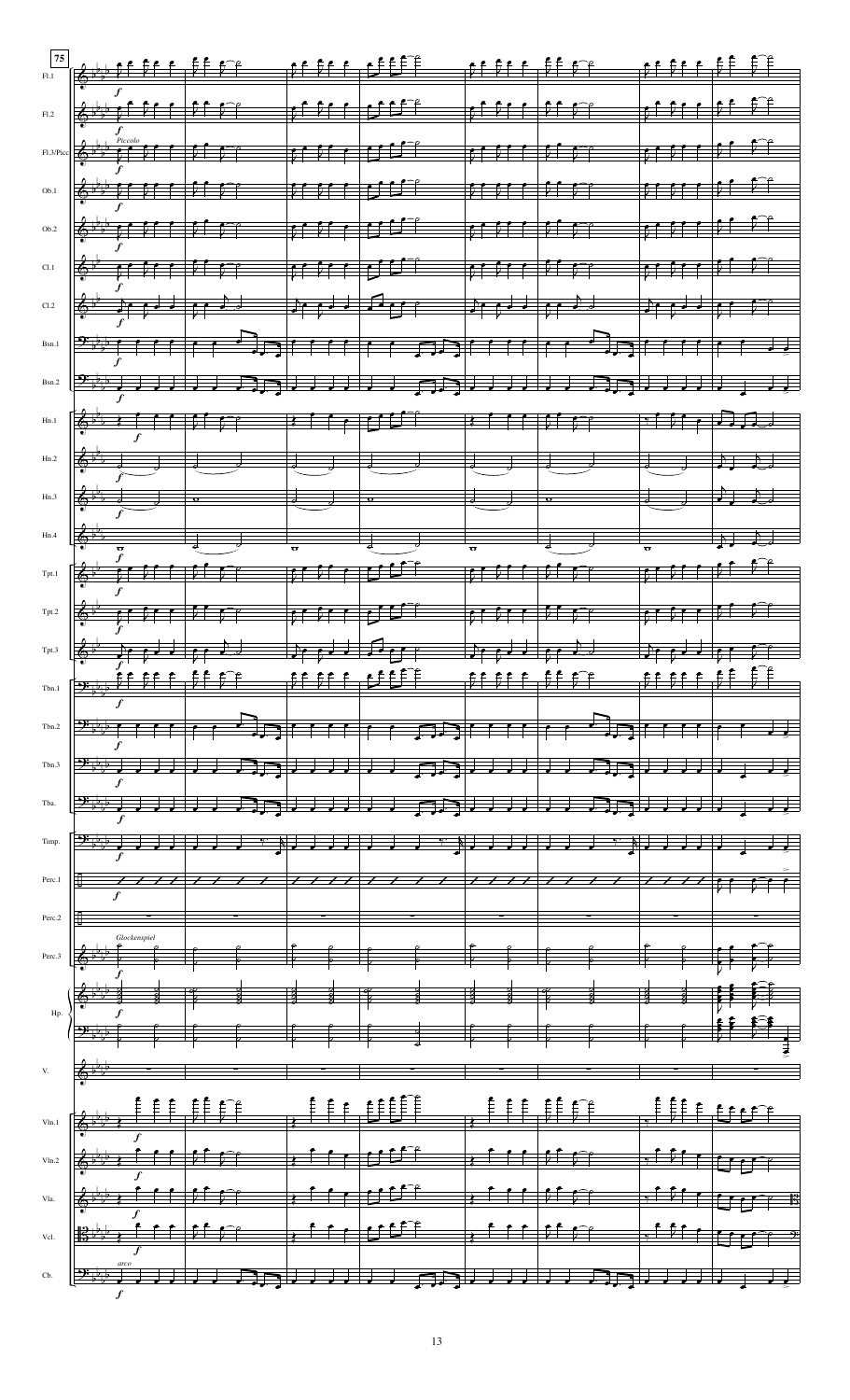|                |                                                                                                                                                                                                                                                                                                                                                                                                                                                                                                                                                                                                                                                                            |  |  | $\frac{175}{111}$ $\left \frac{2}{10}$ $\frac{1}{20}$ $\frac{1}{20}$ $\frac{1}{20}$ $\frac{1}{20}$ $\frac{1}{20}$ $\frac{1}{20}$ $\frac{1}{20}$ $\frac{1}{20}$ $\frac{1}{20}$ $\frac{1}{20}$ $\frac{1}{20}$ $\frac{1}{20}$ $\frac{1}{20}$ $\frac{1}{20}$ $\frac{1}{20}$ $\frac{1}{20}$ $\frac{1}{20}$ $\frac{1}{2$                                                                                                                                                                                                                              |
|----------------|----------------------------------------------------------------------------------------------------------------------------------------------------------------------------------------------------------------------------------------------------------------------------------------------------------------------------------------------------------------------------------------------------------------------------------------------------------------------------------------------------------------------------------------------------------------------------------------------------------------------------------------------------------------------------|--|--|-------------------------------------------------------------------------------------------------------------------------------------------------------------------------------------------------------------------------------------------------------------------------------------------------------------------------------------------------------------------------------------------------------------------------------------------------------------------------------------------------------------------------------------------------|
| $\rm{F}l.2$    |                                                                                                                                                                                                                                                                                                                                                                                                                                                                                                                                                                                                                                                                            |  |  |                                                                                                                                                                                                                                                                                                                                                                                                                                                                                                                                                 |
|                |                                                                                                                                                                                                                                                                                                                                                                                                                                                                                                                                                                                                                                                                            |  |  | FRAPPORT DE FORME PORT DE PORT DE CONTRACTE PORT DE PORT DE PORT PORT DE PORT DE PORT DE PORT DE PORT DE PORT                                                                                                                                                                                                                                                                                                                                                                                                                                   |
| $_{\rm Ob.1}$  |                                                                                                                                                                                                                                                                                                                                                                                                                                                                                                                                                                                                                                                                            |  |  |                                                                                                                                                                                                                                                                                                                                                                                                                                                                                                                                                 |
| $_{\rm Ob.2}$  |                                                                                                                                                                                                                                                                                                                                                                                                                                                                                                                                                                                                                                                                            |  |  |                                                                                                                                                                                                                                                                                                                                                                                                                                                                                                                                                 |
| Cl.1           |                                                                                                                                                                                                                                                                                                                                                                                                                                                                                                                                                                                                                                                                            |  |  | $\mathcal{E}_{\mathcal{P}_{\mathcal{P}_{\mathcal{P}}}}^{(n)}\circ \mathcal{E}_{\mathcal{P}_{\mathcal{P}}^{(n)}}^{(n)}\circ \mathcal{E}_{\mathcal{P}_{\mathcal{P}}^{(n)}}^{(n)}\circ \mathcal{E}_{\mathcal{P}_{\mathcal{P}}^{(n)}}^{(n)}\circ \mathcal{E}_{\mathcal{P}_{\mathcal{P}}^{(n)}}^{(n)}\circ \mathcal{E}_{\mathcal{P}_{\mathcal{P}}^{(n)}}^{(n)}\circ \mathcal{E}_{\mathcal{P}_{\mathcal{P}}^{(n)}}^{(n)}$                                                                                                                             |
| $\rm Cl.2$     |                                                                                                                                                                                                                                                                                                                                                                                                                                                                                                                                                                                                                                                                            |  |  | $\frac{1}{2}$ , and it is the set of $\frac{1}{2}$ , $\frac{1}{2}$ , $\frac{1}{2}$ , $\frac{1}{2}$ , $\frac{1}{2}$ , $\frac{1}{2}$ , $\frac{1}{2}$ , $\frac{1}{2}$ , $\frac{1}{2}$ , $\frac{1}{2}$ , $\frac{1}{2}$ , $\frac{1}{2}$ , $\frac{1}{2}$ , $\frac{1}{2}$ , $\frac{1}{2}$ , $\frac{1}{2}$                                                                                                                                                                                                                                              |
|                |                                                                                                                                                                                                                                                                                                                                                                                                                                                                                                                                                                                                                                                                            |  |  |                                                                                                                                                                                                                                                                                                                                                                                                                                                                                                                                                 |
|                |                                                                                                                                                                                                                                                                                                                                                                                                                                                                                                                                                                                                                                                                            |  |  | $B_{\rm SM,2}$ $\left[\frac{99}{2999}, \frac{1}{2}\frac{1}{2}\frac{1}{2}\frac{1}{2}\frac{1}{2}\frac{1}{2}\frac{1}{2}\frac{1}{2}\frac{1}{2}\frac{1}{2}\frac{1}{2}\frac{1}{2}\frac{1}{2}\frac{1}{2}\frac{1}{2}\frac{1}{2}\frac{1}{2}\frac{1}{2}\frac{1}{2}\frac{1}{2}\frac{1}{2}\frac{1}{2}\frac{1}{2}\frac{1}{2}\frac{1}{2}\frac{1}{2}\frac{1}{2}\frac{1}{2}\frac{1}{2}\frac{1}{2}\frac{1}{2}\frac{1}{2}\frac{1$                                                                                                                                 |
|                |                                                                                                                                                                                                                                                                                                                                                                                                                                                                                                                                                                                                                                                                            |  |  | $H_{\rm in}1$ $\left[\frac{1}{\sqrt{3}}\frac{\sqrt{3}}{3}+\frac{1}{\sqrt{3}}\frac{\sqrt{3}}{3}+\frac{1}{\sqrt{3}}\frac{\sqrt{3}}{3}+\frac{1}{\sqrt{3}}\frac{\sqrt{3}}{3}+\frac{1}{\sqrt{3}}\frac{\sqrt{3}}{3}+\frac{1}{\sqrt{3}}\frac{\sqrt{3}}{3}+\frac{1}{\sqrt{3}}\frac{\sqrt{3}}{3}+\frac{1}{\sqrt{3}}\frac{\sqrt{3}}{3}+\frac{1}{\sqrt{3}}\frac{\sqrt{3}}{3}+\frac{1}{\sqrt{3}}\frac{\sqrt{3}}{3}+\frac{1}{\sqrt{$                                                                                                                         |
| $\text{Hn.2}$  |                                                                                                                                                                                                                                                                                                                                                                                                                                                                                                                                                                                                                                                                            |  |  |                                                                                                                                                                                                                                                                                                                                                                                                                                                                                                                                                 |
|                |                                                                                                                                                                                                                                                                                                                                                                                                                                                                                                                                                                                                                                                                            |  |  |                                                                                                                                                                                                                                                                                                                                                                                                                                                                                                                                                 |
|                |                                                                                                                                                                                                                                                                                                                                                                                                                                                                                                                                                                                                                                                                            |  |  | $Hn.4$ $\left[\frac{1}{\sqrt{3}} + \frac{1}{\sqrt{3}} + \frac{1}{\sqrt{3}} + \frac{1}{\sqrt{3}} + \frac{1}{\sqrt{3}} + \frac{1}{\sqrt{3}} + \frac{1}{\sqrt{3}} + \frac{1}{\sqrt{3}} + \frac{1}{\sqrt{3}} + \frac{1}{\sqrt{3}} + \frac{1}{\sqrt{3}} + \frac{1}{\sqrt{3}} + \frac{1}{\sqrt{3}} + \frac{1}{\sqrt{3}} + \frac{1}{\sqrt{3}} + \frac{1}{\sqrt{3}} + \frac{1}{\sqrt{3}} + \frac{1}{\sqrt{3}} + \frac{1}{\sqrt{3}} + \frac$                                                                                                             |
|                |                                                                                                                                                                                                                                                                                                                                                                                                                                                                                                                                                                                                                                                                            |  |  | $T_{\rm pt,1}$ $\left[\frac{\partial^2 \phi}{\partial x^2} - \frac{\partial^2 \phi}{\partial y^2} - \frac{\partial^2 \phi}{\partial x^2} - \frac{\partial^2 \phi}{\partial y^2} - \frac{\partial^2 \phi}{\partial y^2} - \frac{\partial^2 \phi}{\partial y^2} - \frac{\partial^2 \phi}{\partial y^2} - \frac{\partial^2 \phi}{\partial y^2} - \frac{\partial^2 \phi}{\partial y^2} - \frac{\partial^2 \phi}{\partial y^2} - \frac{\partial^2 \phi}{\partial y^2} - \frac{\partial^2 \phi}{\partial y^2} - \frac{\partial^2 \phi}{\partial y^2}$ |
|                |                                                                                                                                                                                                                                                                                                                                                                                                                                                                                                                                                                                                                                                                            |  |  | $T_{\rm pt,2}$ $\frac{1}{2}$ $\frac{1}{2}$ $\frac{1}{2}$ $\frac{1}{2}$ $\frac{1}{2}$ $\frac{1}{2}$ $\frac{1}{2}$ $\frac{1}{2}$ $\frac{1}{2}$ $\frac{1}{2}$ $\frac{1}{2}$ $\frac{1}{2}$ $\frac{1}{2}$ $\frac{1}{2}$ $\frac{1}{2}$ $\frac{1}{2}$ $\frac{1}{2}$ $\frac{1}{2}$ $\frac{1}{2}$ $\frac{1}{2}$ $\frac{1}{2}$                                                                                                                                                                                                                            |
|                |                                                                                                                                                                                                                                                                                                                                                                                                                                                                                                                                                                                                                                                                            |  |  | $T_{\rm ph,3}$ is the set of the set of the set of the set of $\sim$ . It is the set of $\sim$                                                                                                                                                                                                                                                                                                                                                                                                                                                  |
|                |                                                                                                                                                                                                                                                                                                                                                                                                                                                                                                                                                                                                                                                                            |  |  | <u>, řeper bebe peper Letër peper bebe peper beben bez</u>                                                                                                                                                                                                                                                                                                                                                                                                                                                                                      |
| Tbn.2          |                                                                                                                                                                                                                                                                                                                                                                                                                                                                                                                                                                                                                                                                            |  |  |                                                                                                                                                                                                                                                                                                                                                                                                                                                                                                                                                 |
| $_{\rm Tbn.3}$ |                                                                                                                                                                                                                                                                                                                                                                                                                                                                                                                                                                                                                                                                            |  |  | الجواري والمعاملة والإثرائية المواملة والمراجع والمستولة والمراجع المستول والمستول والمستول والمستول والمستول والمستول والمستول والمستول والمستول والمستول والمستول والمستول والمستول والمستول والمستول والمستول والمستول والم                                                                                                                                                                                                                                                                                                                  |
|                |                                                                                                                                                                                                                                                                                                                                                                                                                                                                                                                                                                                                                                                                            |  |  | وتعان والمدم والشنيع والمرود والمنافعة والمنافر والمستقر الموارد والمواردة والموارد                                                                                                                                                                                                                                                                                                                                                                                                                                                             |
|                |                                                                                                                                                                                                                                                                                                                                                                                                                                                                                                                                                                                                                                                                            |  |  | $\mathcal{P}_{\mathcal{P}}$                                                                                                                                                                                                                                                                                                                                                                                                                                                                                                                     |
| Perc.1         |                                                                                                                                                                                                                                                                                                                                                                                                                                                                                                                                                                                                                                                                            |  |  |                                                                                                                                                                                                                                                                                                                                                                                                                                                                                                                                                 |
| Perc.2         |                                                                                                                                                                                                                                                                                                                                                                                                                                                                                                                                                                                                                                                                            |  |  |                                                                                                                                                                                                                                                                                                                                                                                                                                                                                                                                                 |
|                |                                                                                                                                                                                                                                                                                                                                                                                                                                                                                                                                                                                                                                                                            |  |  |                                                                                                                                                                                                                                                                                                                                                                                                                                                                                                                                                 |
|                |                                                                                                                                                                                                                                                                                                                                                                                                                                                                                                                                                                                                                                                                            |  |  |                                                                                                                                                                                                                                                                                                                                                                                                                                                                                                                                                 |
|                |                                                                                                                                                                                                                                                                                                                                                                                                                                                                                                                                                                                                                                                                            |  |  |                                                                                                                                                                                                                                                                                                                                                                                                                                                                                                                                                 |
|                | $\left\langle \left\langle \beta_{\mu} \right\rangle \right\rangle = \left\langle \left\langle \beta_{\mu} \right\rangle \right\rangle = \left\langle \left\langle \beta_{\mu} \right\rangle \right\rangle = \left\langle \left\langle \beta_{\mu} \right\rangle \right\rangle = \left\langle \left\langle \beta_{\mu} \right\rangle \right\rangle = \left\langle \left\langle \beta_{\mu} \right\rangle \right\rangle = \left\langle \left\langle \beta_{\mu} \right\rangle \right\rangle = \left\langle \left\langle \beta_{\mu} \right\rangle \right\rangle = \left\langle \left\langle \beta_{\mu} \right\rangle \right\rangle = \left\langle \left\langle \beta_{\mu$ |  |  |                                                                                                                                                                                                                                                                                                                                                                                                                                                                                                                                                 |
|                |                                                                                                                                                                                                                                                                                                                                                                                                                                                                                                                                                                                                                                                                            |  |  | $\frac{\left(\frac{1}{2}+\frac{1}{2}\right)\left(\frac{1}{2}-\frac{1}{2}\right)\left(\frac{1}{2}-\frac{1}{2}\right)\left(\frac{1}{2}-\frac{1}{2}\right)\left(\frac{1}{2}-\frac{1}{2}\right)\left(\frac{1}{2}-\frac{1}{2}\right)\left(\frac{1}{2}-\frac{1}{2}\right)\left(\frac{1}{2}-\frac{1}{2}\right)}{2\left(\frac{1}{2}-\frac{1}{2}\right)\left(\frac{1}{2}-\frac{1}{2}\right)\left(\frac{1}{2}-\frac{1}{2}\right)\left(\frac{1}{2}-\frac{1}{2}\right)\left(\frac{1}{2}-\frac$                                                              |
| Vln.2          |                                                                                                                                                                                                                                                                                                                                                                                                                                                                                                                                                                                                                                                                            |  |  | $\frac{1}{2}$                                                                                                                                                                                                                                                                                                                                                                                                                                                                                                                                   |
|                |                                                                                                                                                                                                                                                                                                                                                                                                                                                                                                                                                                                                                                                                            |  |  | $\frac{2}{9}$                                                                                                                                                                                                                                                                                                                                                                                                                                                                                                                                   |
|                |                                                                                                                                                                                                                                                                                                                                                                                                                                                                                                                                                                                                                                                                            |  |  |                                                                                                                                                                                                                                                                                                                                                                                                                                                                                                                                                 |
|                |                                                                                                                                                                                                                                                                                                                                                                                                                                                                                                                                                                                                                                                                            |  |  |                                                                                                                                                                                                                                                                                                                                                                                                                                                                                                                                                 |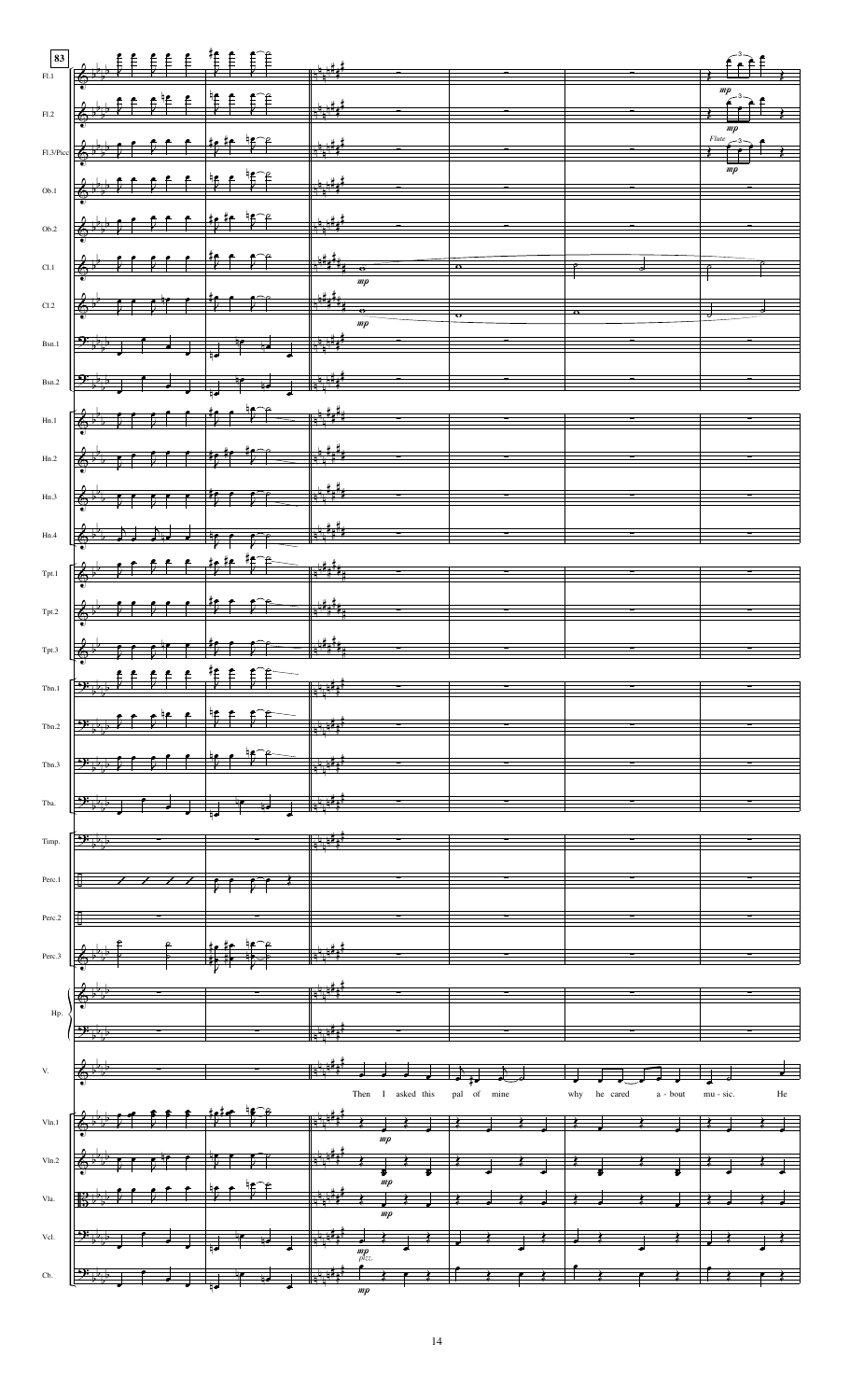|                        | $\begin{picture}(120,120) \put(0,0){\line(1,0){150}} \put(15,0){\line(1,0){150}} \put(15,0){\line(1,0){150}} \put(15,0){\line(1,0){150}} \put(15,0){\line(1,0){150}} \put(15,0){\line(1,0){150}} \put(15,0){\line(1,0){150}} \put(15,0){\line(1,0){150}} \put(15,0){\line(1,0){150}} \put(15,0){\line(1,0){150}} \put(15,0){\line(1,0){150$<br>$F1.1$ $F1.1$<br>$\mathbf{f}$ |                                                                                                                                                                                                                                    |                   |                      |                                           |                            |
|------------------------|------------------------------------------------------------------------------------------------------------------------------------------------------------------------------------------------------------------------------------------------------------------------------------------------------------------------------------------------------------------------------|------------------------------------------------------------------------------------------------------------------------------------------------------------------------------------------------------------------------------------|-------------------|----------------------|-------------------------------------------|----------------------------|
|                        | $8 + 5 + 5 + 5$                                                                                                                                                                                                                                                                                                                                                              |                                                                                                                                                                                                                                    |                   |                      |                                           | mр                         |
| F1.2                   |                                                                                                                                                                                                                                                                                                                                                                              | $\frac{1}{2}$                                                                                                                                                                                                                      |                   |                      |                                           | mр                         |
| Fl.3/Picc              | 步车                                                                                                                                                                                                                                                                                                                                                                           | شي شهر التي التي التي التي التي تعليم التي تعليم التي تعليم التي تعليم التي تعليم التي تعليم التي ت<br>التي تعليم التي تعليم التي تعليم التي تعليم التي تعليم التي تعليم التي تعليم التي تعليم التي تعليم التي تعليم<br>التي تعليم |                   |                      |                                           | Flute                      |
| Ob.1                   | $\frac{\mathsf{I} \bullet \cap \mathsf{e}}{\mathsf{I} \bullet \mathsf{e}}$<br>$\frac{4\bullet}{\bullet}$ f                                                                                                                                                                                                                                                                   | ▐▜▖ <sup>▊▛</sup> ▛                                                                                                                                                                                                                |                   |                      |                                           | $\it{mp}$                  |
| Ob.2                   | # "<br>$\frac{1}{2}$ $\frac{1}{2}$ $\frac{1}{2}$ $\frac{1}{2}$ $\frac{1}{2}$                                                                                                                                                                                                                                                                                                 | ┇┪┪ <sup>┪</sup> ╃                                                                                                                                                                                                                 |                   |                      |                                           |                            |
| CL1                    | $\mathbb{P} \cap \mathbb{P}$<br>$P +$                                                                                                                                                                                                                                                                                                                                        | $\frac{1}{10}$                                                                                                                                                                                                                     |                   | $\overline{\bullet}$ |                                           |                            |
|                        |                                                                                                                                                                                                                                                                                                                                                                              |                                                                                                                                                                                                                                    | mp                |                      |                                           |                            |
| Cl.2                   | $\begin{array}{c} \mathbf{A}^{\mathbf{b}} & \mathbf{B} \mathbf{f} & \mathbf{B}^{\mathbf{b}} & \mathbf{B} \mathbf{f} & \mathbf{B} \mathbf{f} \end{array}$                                                                                                                                                                                                                     | $\frac{1}{11}$                                                                                                                                                                                                                     | $\boldsymbol{m}$  | $\sigma$             |                                           |                            |
| $_{\rm Bsn.1}$         | $\left  \frac{2^{3}y^{1}y^{1}}{y^{1}} \right $ , $\left  \frac{1}{y^{1}} \right $ , $\left  \frac{1}{y^{1}} \right $ , $\left  \frac{1}{y^{1}} \right  \frac{y^{1}y^{1}}{y^{1}}$                                                                                                                                                                                             |                                                                                                                                                                                                                                    |                   |                      |                                           |                            |
| $_{\rm Bsn.2}$         | $2 +$                                                                                                                                                                                                                                                                                                                                                                        |                                                                                                                                                                                                                                    |                   |                      |                                           |                            |
| $_{\rm Hn.1}$          | $5 \cdot 5 \cdot 1$<br>$\mathbb{P}$                                                                                                                                                                                                                                                                                                                                          | ═╪ <b>┪<sup>┇</sup>┇<sup>╇</sup>┇</b>                                                                                                                                                                                              |                   |                      |                                           |                            |
| Hn.2                   |                                                                                                                                                                                                                                                                                                                                                                              |                                                                                                                                                                                                                                    |                   |                      |                                           |                            |
|                        |                                                                                                                                                                                                                                                                                                                                                                              |                                                                                                                                                                                                                                    |                   |                      |                                           |                            |
| Hn.3                   | $\frac{1}{2}$<br>$\frac{1}{2}$<br>67777                                                                                                                                                                                                                                                                                                                                      | <del>the fit</del>                                                                                                                                                                                                                 |                   |                      |                                           |                            |
| $_{\rm Hn.4}$          | $\frac{1}{\sqrt{2}}$<br>$\mathbb{R}$ f                                                                                                                                                                                                                                                                                                                                       | المناب                                                                                                                                                                                                                             |                   |                      |                                           |                            |
| $_\mathrm{Tpt.1}$      | 墏<br>$\mathbf{e}^*$                                                                                                                                                                                                                                                                                                                                                          | ∏† <sup>45</sup> †″                                                                                                                                                                                                                |                   |                      |                                           |                            |
| $\operatorname{Tpt.2}$ | ∄                                                                                                                                                                                                                                                                                                                                                                            | $\mathbb{F}^{\mathbf{1}}$                                                                                                                                                                                                          |                   |                      |                                           |                            |
| $\operatorname{Tpt.3}$ | $\frac{1}{2}$ $\frac{1}{2}$ $\frac{1}{2}$ $\frac{1}{2}$ $\frac{1}{2}$ $\frac{1}{2}$ $\frac{1}{2}$ $\frac{1}{2}$ $\frac{1}{2}$ $\frac{1}{2}$ $\frac{1}{2}$ $\frac{1}{2}$ $\frac{1}{2}$ $\frac{1}{2}$ $\frac{1}{2}$ $\frac{1}{2}$ $\frac{1}{2}$ $\frac{1}{2}$ $\frac{1}{2}$ $\frac{1}{2}$ $\frac{1}{2}$ $\frac{1}{2}$<br>$\phi^{\mu}$                                          | <del>  µ#≠*</del> ≠                                                                                                                                                                                                                |                   |                      |                                           |                            |
| Tbn.1                  | 黊<br>$\frac{1}{2}$<br>$\mathbf{P}$                                                                                                                                                                                                                                                                                                                                           |                                                                                                                                                                                                                                    |                   |                      |                                           |                            |
|                        |                                                                                                                                                                                                                                                                                                                                                                              | ╟╻ <sub>╙╻╘</sub> ╃╕ <sup>╒</sup>                                                                                                                                                                                                  |                   |                      |                                           |                            |
| Tbn.2                  | $9\frac{1}{2}$                                                                                                                                                                                                                                                                                                                                                               |                                                                                                                                                                                                                                    |                   |                      |                                           |                            |
| Tbn.3                  | $\mathbf{P}$                                                                                                                                                                                                                                                                                                                                                                 |                                                                                                                                                                                                                                    |                   |                      |                                           |                            |
| Tba.                   | $\mathbf{P}$                                                                                                                                                                                                                                                                                                                                                                 |                                                                                                                                                                                                                                    |                   |                      |                                           |                            |
| Timp.                  |                                                                                                                                                                                                                                                                                                                                                                              | ₩                                                                                                                                                                                                                                  |                   |                      |                                           |                            |
| Perc.1                 | 111                                                                                                                                                                                                                                                                                                                                                                          |                                                                                                                                                                                                                                    |                   |                      |                                           |                            |
| Perc.2                 |                                                                                                                                                                                                                                                                                                                                                                              |                                                                                                                                                                                                                                    |                   |                      |                                           |                            |
|                        | $\frac{1}{10}$ is the second $\frac{1}{10}$                                                                                                                                                                                                                                                                                                                                  |                                                                                                                                                                                                                                    |                   |                      |                                           |                            |
| Perc.3                 |                                                                                                                                                                                                                                                                                                                                                                              | ╟┟╹╻╇                                                                                                                                                                                                                              |                   |                      |                                           |                            |
| Hp.                    |                                                                                                                                                                                                                                                                                                                                                                              |                                                                                                                                                                                                                                    |                   |                      |                                           |                            |
|                        |                                                                                                                                                                                                                                                                                                                                                                              |                                                                                                                                                                                                                                    |                   |                      |                                           |                            |
| $\mathbf{V}_{\cdot}$   |                                                                                                                                                                                                                                                                                                                                                                              | $\mathbb{H}^4$                                                                                                                                                                                                                     | Then I asked this | pal of mine          | why<br>$\mathbf{a}$ - bout<br>cared<br>he | $\cdot$<br>He<br>mu - sic. |
| $_{\rm Vln.1}$         |                                                                                                                                                                                                                                                                                                                                                                              |                                                                                                                                                                                                                                    |                   |                      |                                           |                            |
| $_{\rm Vln.2}$         |                                                                                                                                                                                                                                                                                                                                                                              | $\mathbb{F}^{1,1}$                                                                                                                                                                                                                 | $\mathfrak{m}p$   |                      |                                           |                            |
| Vla.                   |                                                                                                                                                                                                                                                                                                                                                                              |                                                                                                                                                                                                                                    |                   |                      |                                           |                            |
|                        |                                                                                                                                                                                                                                                                                                                                                                              |                                                                                                                                                                                                                                    | mр                |                      |                                           |                            |
| $\rm{Vcl.}$            | $\mathbb{P}$                                                                                                                                                                                                                                                                                                                                                                 | $\begin{array}{ c c } \hline \vdash & \# & \# & \\\hline \vdash & \vdash & \# & \# \\ \hline & \# & \# & \# \\ \hline & \# & \# \# \\ \hline & \# \# & \# \# \end{array}$                                                          |                   |                      |                                           |                            |
| $\operatorname{Cb.}$   | $\frac{4}{3}$                                                                                                                                                                                                                                                                                                                                                                | ╫ <sub>╘</sub> ╕╻┇╇╈ <sup>╇</sup>                                                                                                                                                                                                  | $\mathfrak{m}p$   |                      | $\cdot$ $\cdot$                           | $\leftarrow$               |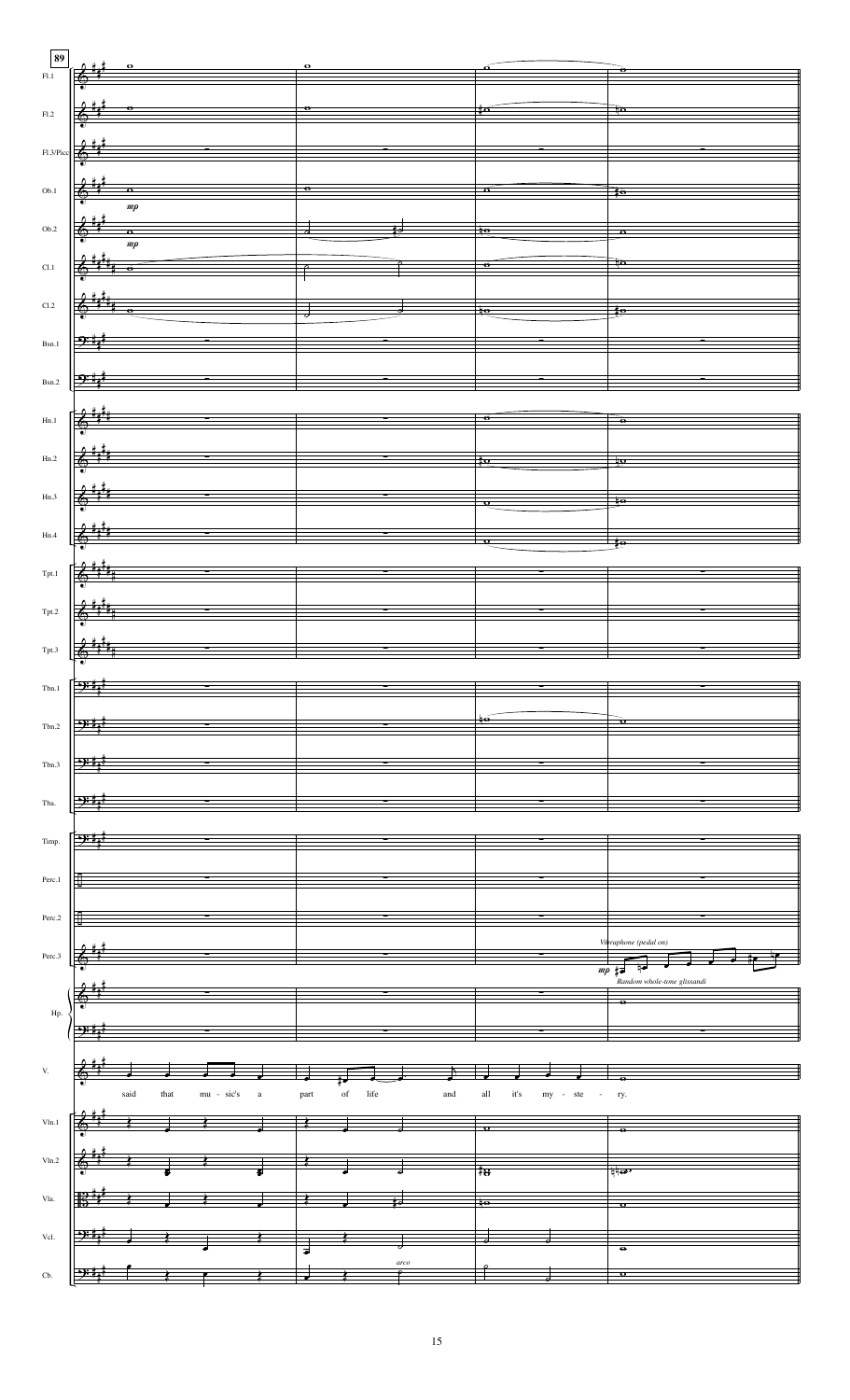| $\boxed{\textbf{89}}$ Fl.1 |                                        | $\mathbf{\Omega}$       |                         | $\mathbf{\sigma}$                        |
|----------------------------|----------------------------------------|-------------------------|-------------------------|------------------------------------------|
|                            |                                        |                         |                         |                                          |
| F1.2                       |                                        | $\mathbf{o}$            | $\bullet$               | ⊥∾                                       |
| Fl.3/Picc                  |                                        | ÷                       |                         |                                          |
|                            | $\theta$                               |                         |                         |                                          |
| Ob.1                       | $\it{mp}$                              | $\overline{\mathbf{o}}$ | $\overline{\bullet}$    | $\frac{1}{4}$                            |
| Ob.2                       | $\frac{a}{\frac{a}{mp}}$               | ₹<br>‡⊅                 | $\frac{1}{2}$           | $\bullet$                                |
| CL1                        |                                        | $\overline{f}$          | $\overline{\mathbf{o}}$ | $\frac{1}{\sqrt{10}}$                    |
|                            |                                        |                         |                         |                                          |
| $\rm Cl.2$                 |                                        | 荨                       | $\frac{1}{4}$           | $\sharp$ o                               |
| $_{\rm Bsn.1}$             | $9:1 +$<br>Ξ                           |                         |                         |                                          |
| $_{\rm Bsn.2}$             | 9:4<br>Ξ.                              |                         |                         |                                          |
|                            | $\sim$ $\sim$                          |                         |                         |                                          |
| $_{\rm Hn.1}$              |                                        |                         | $\overline{\mathbf{o}}$ | $\bullet$                                |
| Hn.2                       |                                        |                         | $\uparrow$              | $\frac{1}{2}$                            |
| Hn.3                       | Ξ                                      |                         | $\mathbf{\sigma}$       | $\overline{\overline{\mathsf{P}}}$       |
|                            | Ξ                                      |                         |                         |                                          |
| Hn.4                       |                                        | Ξ                       | $\overline{\mathbf{c}}$ | $\overline{\bullet}$                     |
| $_{\rm Tpt.1}$             | Ξ                                      |                         |                         |                                          |
| $_\mathrm{Tpt.2}$          |                                        |                         |                         |                                          |
|                            |                                        |                         |                         |                                          |
| $\operatorname{Tpt.3}$     | ∙                                      |                         |                         |                                          |
| Tbn.1                      | 9:1.                                   |                         |                         |                                          |
| Tbn.2                      | <u> 9:1</u>                            |                         | ‡е                      | $\mathbf{o}$                             |
| Tbn.3                      | $\cdot$ :                              |                         |                         |                                          |
|                            |                                        |                         |                         |                                          |
| Tba.                       | <u>. .</u>                             |                         |                         |                                          |
| Timp.                      | 9:1                                    |                         |                         |                                          |
| Perc.1                     |                                        |                         |                         |                                          |
|                            |                                        |                         |                         |                                          |
| Perc.2                     | ╫                                      |                         |                         | Vibraphone (pedal on)                    |
| $Perc.3$                   |                                        |                         |                         | $\overline{mp}$                          |
|                            |                                        |                         |                         | Random whole-tone glissandi<br>$\bullet$ |
| Hp.                        | <u>ား</u>                              |                         |                         |                                          |
|                            |                                        |                         |                         |                                          |
| $\mathbf{V}_{\cdot}$       | said<br>that<br>mu - sic's<br>$\rm{a}$ | of<br>life<br>and       | all<br>it's             |                                          |
| $_{\rm Vln.1}$             |                                        | part                    | my -<br>ste             | ry.                                      |
|                            |                                        |                         | $\mathbf{o}$            | $\overline{\bullet}$                     |
| Vln.2                      |                                        |                         | $\frac{1}{18}$          | †ਥਿਲਾ                                    |
| Vla.                       |                                        |                         | †⊙                      | $\mathbf{o}$                             |
| Vcl.                       | <u> 4):</u>                            |                         |                         |                                          |
|                            |                                        | $\mathit{arco}$         |                         | $\overline{\bullet}$                     |
| $\mathrm{Cb.}$             | <u>+):</u>                             |                         |                         | $\mathbf{o}$                             |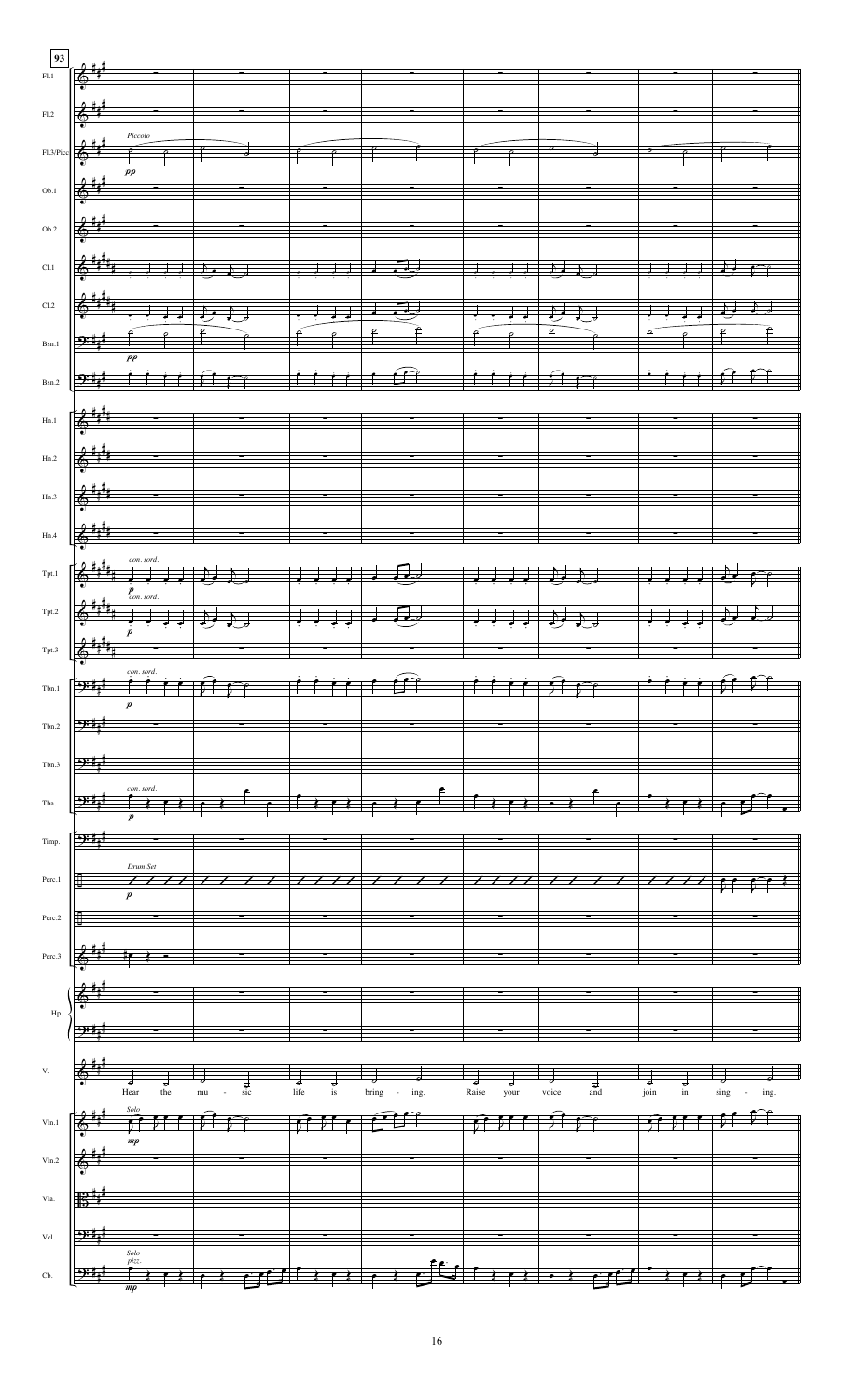| $\frac{93}{F1.1}$ |                       |                                                                                                                                                                                         |                                                                                                                                                                                                                                                                                                                     |                                                          |                                                                                                                                                                                                                                                             |                      |                                      |                          |                         |
|-------------------|-----------------------|-----------------------------------------------------------------------------------------------------------------------------------------------------------------------------------------|---------------------------------------------------------------------------------------------------------------------------------------------------------------------------------------------------------------------------------------------------------------------------------------------------------------------|----------------------------------------------------------|-------------------------------------------------------------------------------------------------------------------------------------------------------------------------------------------------------------------------------------------------------------|----------------------|--------------------------------------|--------------------------|-------------------------|
| F1.2              |                       |                                                                                                                                                                                         |                                                                                                                                                                                                                                                                                                                     |                                                          |                                                                                                                                                                                                                                                             |                      |                                      |                          |                         |
|                   |                       | Piccolo                                                                                                                                                                                 |                                                                                                                                                                                                                                                                                                                     |                                                          |                                                                                                                                                                                                                                                             |                      |                                      |                          |                         |
| Fl.3/Picc         |                       |                                                                                                                                                                                         | $\overrightarrow{a}$                                                                                                                                                                                                                                                                                                | $\frac{1}{\rho}$ $\frac{\rho}{\rho}$ $\frac{\rho}{\rho}$ |                                                                                                                                                                                                                                                             | $\sim$ $\sim$ $\sim$ | $\frac{1}{2}$                        | $\overline{\phantom{a}}$ |                         |
| Ob.1              |                       | $8$ $*$ $ -$                                                                                                                                                                            |                                                                                                                                                                                                                                                                                                                     |                                                          | $\blacksquare$                                                                                                                                                                                                                                              |                      |                                      |                          |                         |
| Ob.2              |                       | $8$ $+$ $-$                                                                                                                                                                             |                                                                                                                                                                                                                                                                                                                     |                                                          |                                                                                                                                                                                                                                                             |                      |                                      |                          |                         |
| $\rm C1.1$        |                       |                                                                                                                                                                                         | $\frac{2}{3}$ $\frac{1}{3}$ $\frac{1}{3}$ $\frac{1}{3}$ $\frac{1}{3}$ $\frac{1}{3}$ $\frac{1}{3}$ $\frac{1}{3}$ $\frac{1}{3}$ $\frac{1}{3}$ $\frac{1}{3}$ $\frac{1}{3}$ $\frac{1}{3}$ $\frac{1}{3}$ $\frac{1}{3}$ $\frac{1}{3}$ $\frac{1}{3}$ $\frac{1}{3}$ $\frac{1}{3}$ $\frac{1}{3}$ $\frac{1}{3}$ $\frac{1}{3}$ |                                                          |                                                                                                                                                                                                                                                             |                      |                                      |                          |                         |
| Cl.2              | $8$ it                |                                                                                                                                                                                         |                                                                                                                                                                                                                                                                                                                     |                                                          | 1111 BB 1111 15 1111 BB                                                                                                                                                                                                                                     |                      |                                      |                          |                         |
| $_{\rm Bsn.l}$    | 2:4                   | $\begin{array}{c c c c c} \hline \mathbf{P} & \mathbf{P} & \mathbf{P} \\ \hline \hline \mathbf{P} & \mathbf{P} & \mathbf{P} \\ \hline \mathbf{P} & \mathbf{P} & \mathbf{P} \end{array}$ |                                                                                                                                                                                                                                                                                                                     |                                                          |                                                                                                                                                                                                                                                             |                      |                                      |                          | 11222<br>$\int_{0}^{2}$ |
|                   |                       |                                                                                                                                                                                         |                                                                                                                                                                                                                                                                                                                     |                                                          | Œ                                                                                                                                                                                                                                                           |                      |                                      |                          |                         |
| Bsn.2             | 2:4                   |                                                                                                                                                                                         |                                                                                                                                                                                                                                                                                                                     | $\frac{1}{2}$                                            |                                                                                                                                                                                                                                                             |                      |                                      |                          |                         |
| $_{\rm Hn.1}$     |                       |                                                                                                                                                                                         |                                                                                                                                                                                                                                                                                                                     |                                                          |                                                                                                                                                                                                                                                             |                      |                                      |                          |                         |
| Hn.2              |                       |                                                                                                                                                                                         | $8 + 1$                                                                                                                                                                                                                                                                                                             |                                                          |                                                                                                                                                                                                                                                             |                      |                                      |                          |                         |
| Hn.3              | $6 +$                 |                                                                                                                                                                                         |                                                                                                                                                                                                                                                                                                                     |                                                          |                                                                                                                                                                                                                                                             |                      |                                      |                          |                         |
| Hn.4              | $8 + 1$               |                                                                                                                                                                                         | Ξ                                                                                                                                                                                                                                                                                                                   |                                                          |                                                                                                                                                                                                                                                             |                      |                                      |                          |                         |
| $_{\rm Tpt.1}$    |                       |                                                                                                                                                                                         |                                                                                                                                                                                                                                                                                                                     |                                                          | $\frac{1}{2}$                                                                                                                                                                                                                                               |                      |                                      |                          |                         |
| $_\mathrm{Tpt.2}$ |                       |                                                                                                                                                                                         |                                                                                                                                                                                                                                                                                                                     |                                                          | $\frac{1}{2}$ $\frac{1}{2}$ $\frac{1}{2}$ $\frac{1}{2}$ $\frac{1}{2}$ $\frac{1}{2}$ $\frac{1}{2}$ $\frac{1}{2}$ $\frac{1}{2}$ $\frac{1}{2}$ $\frac{1}{2}$ $\frac{1}{2}$ $\frac{1}{2}$ $\frac{1}{2}$ $\frac{1}{2}$ $\frac{1}{2}$ $\frac{1}{2}$ $\frac{1}{2}$ |                      |                                      |                          |                         |
| Tpt.3             |                       |                                                                                                                                                                                         |                                                                                                                                                                                                                                                                                                                     |                                                          |                                                                                                                                                                                                                                                             |                      |                                      |                          |                         |
|                   |                       | con. sord.                                                                                                                                                                              |                                                                                                                                                                                                                                                                                                                     |                                                          |                                                                                                                                                                                                                                                             |                      |                                      |                          |                         |
| Tbn.1             |                       |                                                                                                                                                                                         |                                                                                                                                                                                                                                                                                                                     |                                                          |                                                                                                                                                                                                                                                             |                      |                                      |                          |                         |
| Tbn.2             |                       |                                                                                                                                                                                         |                                                                                                                                                                                                                                                                                                                     |                                                          |                                                                                                                                                                                                                                                             |                      |                                      |                          |                         |
| Tbn.3             |                       |                                                                                                                                                                                         |                                                                                                                                                                                                                                                                                                                     |                                                          |                                                                                                                                                                                                                                                             |                      |                                      |                          |                         |
| $_{\rm Tba.}$     | $\mathbf{P}^{\sharp}$ |                                                                                                                                                                                         |                                                                                                                                                                                                                                                                                                                     |                                                          |                                                                                                                                                                                                                                                             |                      |                                      |                          |                         |
| Timp.             |                       |                                                                                                                                                                                         |                                                                                                                                                                                                                                                                                                                     |                                                          |                                                                                                                                                                                                                                                             |                      |                                      |                          |                         |
| Perc.1            |                       | Drum Set                                                                                                                                                                                | $\overline{\phantom{a}}$                                                                                                                                                                                                                                                                                            |                                                          | 111                                                                                                                                                                                                                                                         |                      |                                      |                          |                         |
| Perc.2            |                       |                                                                                                                                                                                         |                                                                                                                                                                                                                                                                                                                     |                                                          |                                                                                                                                                                                                                                                             |                      |                                      |                          |                         |
| Perc.3            |                       |                                                                                                                                                                                         |                                                                                                                                                                                                                                                                                                                     |                                                          |                                                                                                                                                                                                                                                             |                      |                                      |                          |                         |
|                   |                       |                                                                                                                                                                                         |                                                                                                                                                                                                                                                                                                                     |                                                          |                                                                                                                                                                                                                                                             |                      |                                      |                          |                         |
| Hp.               |                       |                                                                                                                                                                                         |                                                                                                                                                                                                                                                                                                                     |                                                          |                                                                                                                                                                                                                                                             |                      |                                      |                          |                         |
|                   |                       |                                                                                                                                                                                         |                                                                                                                                                                                                                                                                                                                     |                                                          |                                                                                                                                                                                                                                                             |                      |                                      |                          |                         |
| V.                |                       | Hear<br>the                                                                                                                                                                             |                                                                                                                                                                                                                                                                                                                     | $\frac{1}{\frac{1}{\sqrt{1}}}}$<br>$\overrightarrow{a}$  | bring<br>ing.                                                                                                                                                                                                                                               | Raise<br>your        | $\overrightarrow{a}$<br>and<br>voice | join<br>in               | sing<br>ing             |
| Vln.1             |                       | $\overrightarrow{Solo}$                                                                                                                                                                 |                                                                                                                                                                                                                                                                                                                     | f(t)                                                     |                                                                                                                                                                                                                                                             |                      |                                      |                          |                         |
| Vln.2             |                       | mр                                                                                                                                                                                      |                                                                                                                                                                                                                                                                                                                     |                                                          |                                                                                                                                                                                                                                                             |                      |                                      |                          |                         |
| Vla.              |                       |                                                                                                                                                                                         |                                                                                                                                                                                                                                                                                                                     |                                                          |                                                                                                                                                                                                                                                             |                      |                                      |                          |                         |
| Vcl.              | 9:1                   |                                                                                                                                                                                         |                                                                                                                                                                                                                                                                                                                     |                                                          |                                                                                                                                                                                                                                                             |                      |                                      |                          |                         |
|                   |                       | Solo<br>pizz.                                                                                                                                                                           |                                                                                                                                                                                                                                                                                                                     |                                                          |                                                                                                                                                                                                                                                             |                      |                                      |                          |                         |
| Cb.               |                       |                                                                                                                                                                                         |                                                                                                                                                                                                                                                                                                                     |                                                          |                                                                                                                                                                                                                                                             |                      |                                      | $\overline{\phantom{a}}$ |                         |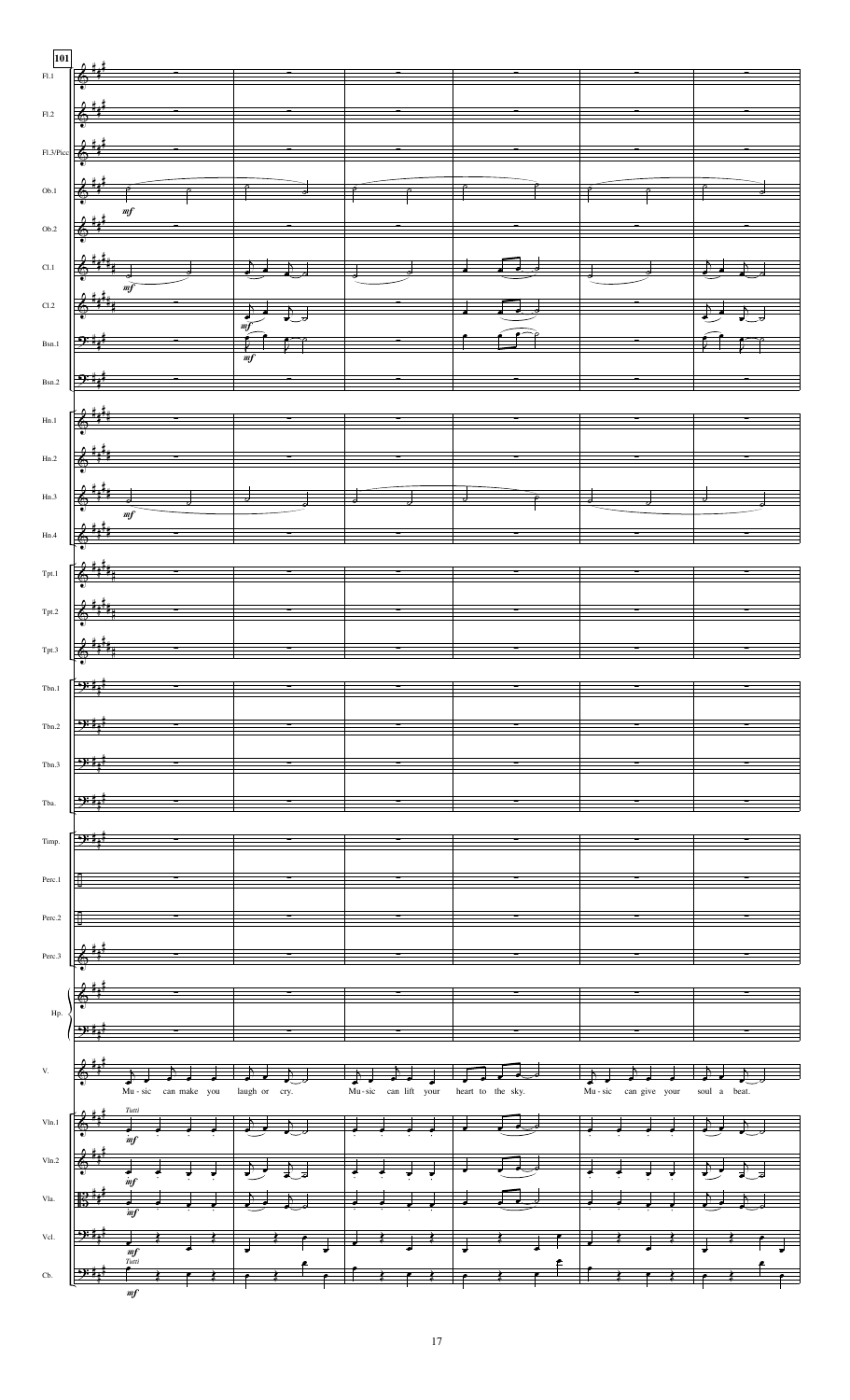| $\begin{array}{c} \boxed{\textbf{101}} \\ \text{F1.1} \end{array}$ |                                             |                               |                                                         |                                               |                                                                                                                                  |               |
|--------------------------------------------------------------------|---------------------------------------------|-------------------------------|---------------------------------------------------------|-----------------------------------------------|----------------------------------------------------------------------------------------------------------------------------------|---------------|
|                                                                    |                                             |                               |                                                         |                                               |                                                                                                                                  |               |
| FL.2                                                               | $\frac{1}{\Phi}$                            |                               |                                                         |                                               |                                                                                                                                  |               |
|                                                                    |                                             |                               |                                                         |                                               |                                                                                                                                  |               |
| F1.3/Picc                                                          |                                             |                               |                                                         |                                               |                                                                                                                                  |               |
|                                                                    |                                             |                               |                                                         |                                               |                                                                                                                                  |               |
| Ob.1                                                               |                                             |                               |                                                         |                                               |                                                                                                                                  |               |
|                                                                    |                                             |                               |                                                         |                                               |                                                                                                                                  |               |
|                                                                    | $\it mf$                                    |                               |                                                         |                                               |                                                                                                                                  |               |
| Ob.2                                                               | $6 +$                                       |                               |                                                         |                                               |                                                                                                                                  |               |
|                                                                    |                                             |                               |                                                         |                                               |                                                                                                                                  |               |
| CL1                                                                |                                             | $\overline{\mathcal{L}}$      |                                                         |                                               |                                                                                                                                  |               |
|                                                                    | $m\widetilde{f}$                            |                               |                                                         |                                               |                                                                                                                                  |               |
| Cl.2                                                               |                                             | $\overline{\bigcup_{\sigma}}$ |                                                         |                                               |                                                                                                                                  | $\rightarrow$ |
|                                                                    |                                             | $\frac{1}{\frac{m f}{c}}$     |                                                         |                                               |                                                                                                                                  |               |
| $_{\rm Bsn.1}$                                                     | 9:1                                         | $\overline{\mathbf{r}}$       |                                                         |                                               |                                                                                                                                  |               |
|                                                                    |                                             | $\frac{1}{m}$                 |                                                         |                                               |                                                                                                                                  |               |
| Bsn.2                                                              | 9:4                                         |                               |                                                         |                                               |                                                                                                                                  |               |
|                                                                    |                                             |                               |                                                         |                                               |                                                                                                                                  |               |
|                                                                    |                                             |                               |                                                         |                                               |                                                                                                                                  |               |
| $_{\rm Hn.1}$                                                      |                                             |                               |                                                         |                                               |                                                                                                                                  |               |
|                                                                    |                                             |                               |                                                         |                                               |                                                                                                                                  |               |
| Hn.2                                                               | $\frac{2+1}{2}$<br>÷                        | Ξ.                            |                                                         |                                               |                                                                                                                                  |               |
|                                                                    |                                             |                               |                                                         |                                               |                                                                                                                                  |               |
| Hn.3                                                               | $\frac{2+1}{2}$<br>$\overline{\phantom{a}}$ | $\overline{\phantom{a}}$      |                                                         |                                               |                                                                                                                                  |               |
|                                                                    | $\frac{1}{m f}$                             |                               |                                                         |                                               |                                                                                                                                  |               |
| $_{\text{Hn.4}}$                                                   | $^{\frac{5}{4}}$                            |                               |                                                         |                                               |                                                                                                                                  |               |
|                                                                    |                                             |                               |                                                         |                                               |                                                                                                                                  |               |
|                                                                    |                                             |                               |                                                         |                                               |                                                                                                                                  |               |
| Tpt.1                                                              |                                             |                               |                                                         |                                               |                                                                                                                                  |               |
|                                                                    |                                             |                               |                                                         |                                               |                                                                                                                                  |               |
| $_{\rm Tpt.2}$                                                     | $\hat{\mathbb{P}}$                          |                               |                                                         |                                               |                                                                                                                                  |               |
|                                                                    |                                             |                               |                                                         |                                               |                                                                                                                                  |               |
| Tpt.3                                                              |                                             |                               |                                                         |                                               |                                                                                                                                  |               |
|                                                                    |                                             |                               |                                                         |                                               |                                                                                                                                  |               |
| Tbn.1                                                              | 9:1                                         |                               |                                                         |                                               |                                                                                                                                  |               |
|                                                                    |                                             |                               |                                                         |                                               |                                                                                                                                  |               |
|                                                                    | 9:1                                         |                               |                                                         |                                               |                                                                                                                                  |               |
| Tbn.2                                                              |                                             |                               |                                                         |                                               |                                                                                                                                  |               |
|                                                                    |                                             |                               |                                                         |                                               |                                                                                                                                  |               |
| Tbn.3                                                              | 9:1                                         |                               |                                                         |                                               |                                                                                                                                  |               |
|                                                                    |                                             |                               |                                                         |                                               |                                                                                                                                  |               |
| Tba.                                                               | 9:1                                         |                               |                                                         |                                               |                                                                                                                                  |               |
|                                                                    |                                             |                               |                                                         |                                               |                                                                                                                                  |               |
| Timp.                                                              | 9:1                                         |                               |                                                         |                                               |                                                                                                                                  |               |
|                                                                    |                                             |                               |                                                         |                                               |                                                                                                                                  |               |
| Perc.1                                                             |                                             |                               |                                                         |                                               |                                                                                                                                  |               |
|                                                                    |                                             |                               |                                                         |                                               |                                                                                                                                  |               |
|                                                                    |                                             |                               |                                                         |                                               |                                                                                                                                  |               |
| Perc.2                                                             |                                             |                               |                                                         |                                               |                                                                                                                                  |               |
|                                                                    |                                             |                               |                                                         |                                               |                                                                                                                                  |               |
| $\mbox{Perc.3}$                                                    | $\mathcal{E}^*$                             |                               |                                                         |                                               |                                                                                                                                  |               |
|                                                                    |                                             |                               |                                                         |                                               |                                                                                                                                  |               |
|                                                                    |                                             |                               |                                                         |                                               |                                                                                                                                  |               |
| Hp.                                                                |                                             |                               |                                                         |                                               |                                                                                                                                  |               |
|                                                                    | 9:1                                         |                               |                                                         |                                               |                                                                                                                                  |               |
|                                                                    |                                             |                               |                                                         |                                               |                                                                                                                                  |               |
| $\mathbf{V}_{\cdot}$                                               | $\frac{2}{9}$                               |                               |                                                         |                                               |                                                                                                                                  |               |
|                                                                    | $\Rightarrow$                               | ᢖ                             | $\rightarrow$<br>Mu-sic can lift your heart to the sky. | $\overline{\bullet}$                          | $\overrightarrow{Mu}$ and $\overrightarrow{d}$ and $\overrightarrow{d}$ and $\overrightarrow{Mu}$ are can give your soul a beat. |               |
|                                                                    | Mu-sic can make you laugh or cry.           |                               |                                                         |                                               |                                                                                                                                  |               |
| $_{\rm Vln.1}$                                                     | <b>Tutti</b>                                |                               |                                                         |                                               |                                                                                                                                  |               |
|                                                                    | $\frac{1}{m}f$                              |                               |                                                         |                                               |                                                                                                                                  |               |
|                                                                    |                                             |                               |                                                         |                                               |                                                                                                                                  |               |
| $Vln.2$                                                            |                                             |                               |                                                         |                                               |                                                                                                                                  | D<br>न्न      |
|                                                                    | mf                                          |                               |                                                         |                                               |                                                                                                                                  |               |
| Vla.                                                               |                                             |                               |                                                         |                                               |                                                                                                                                  |               |
|                                                                    | $\overline{m}f$                             |                               |                                                         |                                               |                                                                                                                                  |               |
| Vcl.                                                               | 9:1                                         |                               | $\rightarrow$                                           | $\Rightarrow$ $\bar{+}$<br>$\overline{\cdot}$ |                                                                                                                                  | ≢             |
|                                                                    | $\frac{m f}{Tutti}$                         |                               |                                                         | Ţ                                             |                                                                                                                                  |               |
| Cb.                                                                |                                             |                               |                                                         |                                               |                                                                                                                                  |               |
|                                                                    | $m\!f$                                      |                               |                                                         |                                               |                                                                                                                                  |               |
|                                                                    |                                             |                               |                                                         |                                               |                                                                                                                                  |               |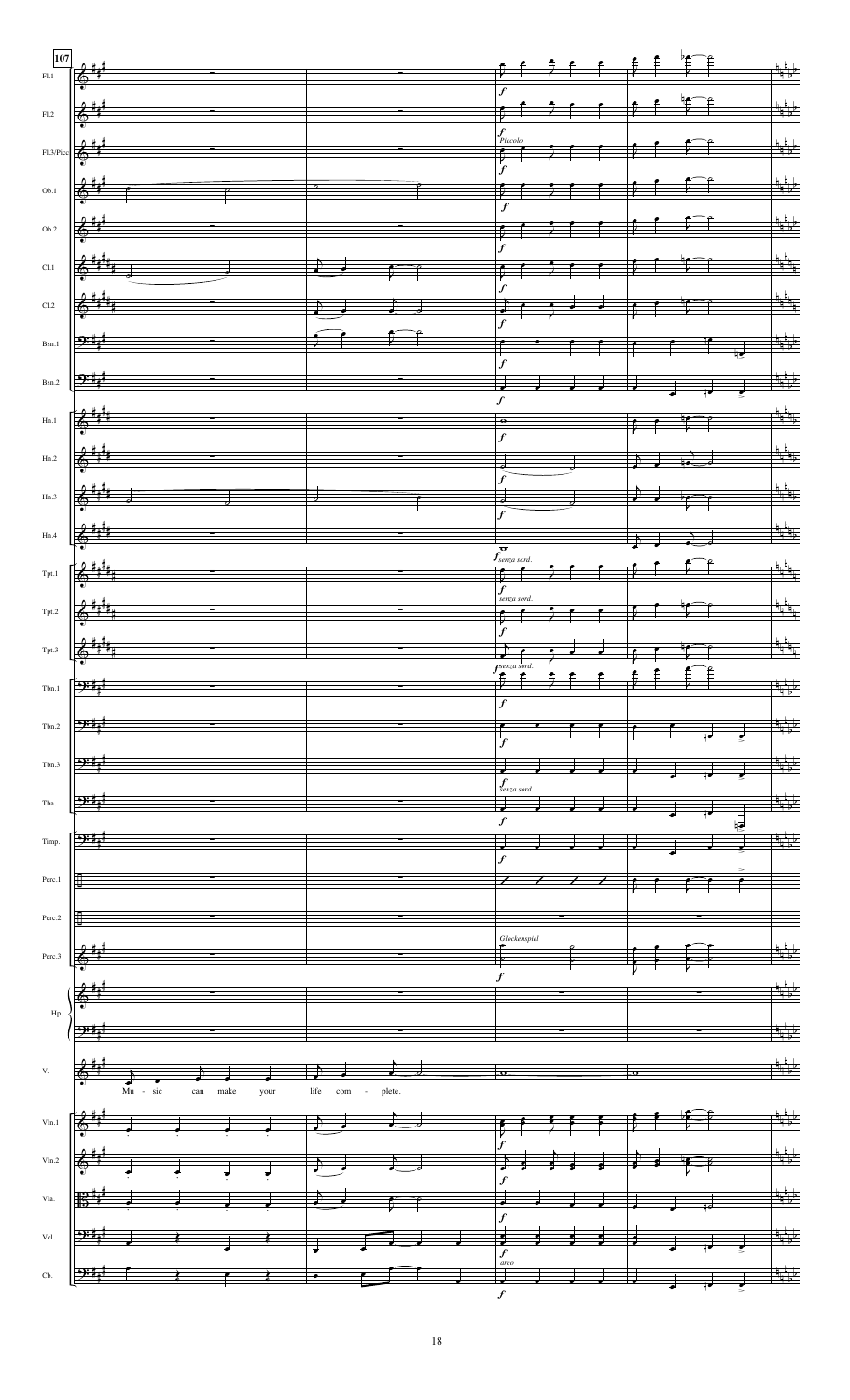| 107                      |                                                                                                                                                                                                                                                                                                                                                                                                                                                                                                                                                                            |                                                  |                                                                                  |                                      | ▆∰                                                                                                                                                                                                                                                                                                                                                  |
|--------------------------|----------------------------------------------------------------------------------------------------------------------------------------------------------------------------------------------------------------------------------------------------------------------------------------------------------------------------------------------------------------------------------------------------------------------------------------------------------------------------------------------------------------------------------------------------------------------------|--------------------------------------------------|----------------------------------------------------------------------------------|--------------------------------------|-----------------------------------------------------------------------------------------------------------------------------------------------------------------------------------------------------------------------------------------------------------------------------------------------------------------------------------------------------|
| $\rm{F}l.1$              |                                                                                                                                                                                                                                                                                                                                                                                                                                                                                                                                                                            |                                                  | f                                                                                |                                      |                                                                                                                                                                                                                                                                                                                                                     |
|                          |                                                                                                                                                                                                                                                                                                                                                                                                                                                                                                                                                                            |                                                  |                                                                                  |                                      | $\begin{picture}(20,20) \put(0,0){\line(1,0){10}} \put(15,0){\line(1,0){10}} \put(15,0){\line(1,0){10}} \put(15,0){\line(1,0){10}} \put(15,0){\line(1,0){10}} \put(15,0){\line(1,0){10}} \put(15,0){\line(1,0){10}} \put(15,0){\line(1,0){10}} \put(15,0){\line(1,0){10}} \put(15,0){\line(1,0){10}} \put(15,0){\line(1,0){10}} \put(15,0){\line(1$ |
| $\rm{F}l.2$              |                                                                                                                                                                                                                                                                                                                                                                                                                                                                                                                                                                            |                                                  |                                                                                  |                                      |                                                                                                                                                                                                                                                                                                                                                     |
|                          |                                                                                                                                                                                                                                                                                                                                                                                                                                                                                                                                                                            |                                                  | $\int_{Piccolo}$                                                                 |                                      | $\frac{1}{2}$                                                                                                                                                                                                                                                                                                                                       |
| Fl.3/Picc                |                                                                                                                                                                                                                                                                                                                                                                                                                                                                                                                                                                            |                                                  | $\overline{5}$                                                                   |                                      |                                                                                                                                                                                                                                                                                                                                                     |
|                          |                                                                                                                                                                                                                                                                                                                                                                                                                                                                                                                                                                            |                                                  |                                                                                  |                                      | $\frac{4.4}{1}$                                                                                                                                                                                                                                                                                                                                     |
| Ob.1                     |                                                                                                                                                                                                                                                                                                                                                                                                                                                                                                                                                                            |                                                  |                                                                                  |                                      |                                                                                                                                                                                                                                                                                                                                                     |
|                          |                                                                                                                                                                                                                                                                                                                                                                                                                                                                                                                                                                            |                                                  | $\boldsymbol{f}$                                                                 |                                      |                                                                                                                                                                                                                                                                                                                                                     |
| $_{\rm Ob.2}$            |                                                                                                                                                                                                                                                                                                                                                                                                                                                                                                                                                                            |                                                  | Б                                                                                |                                      | $\frac{\mathbf{h}_1\mathbf{h}_2}{\mathbf{h}_1\mathbf{h}_2}$                                                                                                                                                                                                                                                                                         |
|                          |                                                                                                                                                                                                                                                                                                                                                                                                                                                                                                                                                                            |                                                  |                                                                                  |                                      |                                                                                                                                                                                                                                                                                                                                                     |
| $\rm C1.1$               |                                                                                                                                                                                                                                                                                                                                                                                                                                                                                                                                                                            |                                                  |                                                                                  |                                      | ┆┺┇╙╖                                                                                                                                                                                                                                                                                                                                               |
|                          |                                                                                                                                                                                                                                                                                                                                                                                                                                                                                                                                                                            |                                                  |                                                                                  |                                      |                                                                                                                                                                                                                                                                                                                                                     |
| $\rm Cl.2$               |                                                                                                                                                                                                                                                                                                                                                                                                                                                                                                                                                                            |                                                  | $\rightarrow$                                                                    |                                      | <u>≞⊪"</u>                                                                                                                                                                                                                                                                                                                                          |
|                          |                                                                                                                                                                                                                                                                                                                                                                                                                                                                                                                                                                            |                                                  |                                                                                  |                                      |                                                                                                                                                                                                                                                                                                                                                     |
| Bsn.1                    | 9:5                                                                                                                                                                                                                                                                                                                                                                                                                                                                                                                                                                        |                                                  |                                                                                  | ⊧                                    | $\frac{1}{2}$                                                                                                                                                                                                                                                                                                                                       |
|                          |                                                                                                                                                                                                                                                                                                                                                                                                                                                                                                                                                                            |                                                  |                                                                                  |                                      |                                                                                                                                                                                                                                                                                                                                                     |
| $_{\rm Bsn.2}$           | 9:4                                                                                                                                                                                                                                                                                                                                                                                                                                                                                                                                                                        |                                                  |                                                                                  |                                      | $\frac{1}{2}$                                                                                                                                                                                                                                                                                                                                       |
|                          |                                                                                                                                                                                                                                                                                                                                                                                                                                                                                                                                                                            |                                                  | $\overline{f}$                                                                   |                                      |                                                                                                                                                                                                                                                                                                                                                     |
| Hn.1                     |                                                                                                                                                                                                                                                                                                                                                                                                                                                                                                                                                                            |                                                  | $\overline{\bullet}$                                                             | Ť,                                   | ₩₩                                                                                                                                                                                                                                                                                                                                                  |
|                          |                                                                                                                                                                                                                                                                                                                                                                                                                                                                                                                                                                            |                                                  | $\overline{f}$                                                                   |                                      |                                                                                                                                                                                                                                                                                                                                                     |
| $_{\rm Hn.2}$            |                                                                                                                                                                                                                                                                                                                                                                                                                                                                                                                                                                            |                                                  |                                                                                  |                                      | <u>,</u>                                                                                                                                                                                                                                                                                                                                            |
|                          |                                                                                                                                                                                                                                                                                                                                                                                                                                                                                                                                                                            |                                                  |                                                                                  |                                      |                                                                                                                                                                                                                                                                                                                                                     |
| $_{\rm Hn.3}$            |                                                                                                                                                                                                                                                                                                                                                                                                                                                                                                                                                                            |                                                  |                                                                                  | ⊋                                    | ╶╙╙╙                                                                                                                                                                                                                                                                                                                                                |
|                          |                                                                                                                                                                                                                                                                                                                                                                                                                                                                                                                                                                            |                                                  |                                                                                  |                                      |                                                                                                                                                                                                                                                                                                                                                     |
| Hn.4                     |                                                                                                                                                                                                                                                                                                                                                                                                                                                                                                                                                                            |                                                  | $\overline{\sigma}$                                                              | ӊ                                    | <u>∣≒⊩¦⊪</u>                                                                                                                                                                                                                                                                                                                                        |
|                          |                                                                                                                                                                                                                                                                                                                                                                                                                                                                                                                                                                            |                                                  | $\bm{f}_{\textit{senza}}$ sord.                                                  |                                      |                                                                                                                                                                                                                                                                                                                                                     |
| $\operatorname{Tpt}.1$   |                                                                                                                                                                                                                                                                                                                                                                                                                                                                                                                                                                            |                                                  | $\overline{\mathcal{V}}$                                                         |                                      | ₽₩                                                                                                                                                                                                                                                                                                                                                  |
|                          |                                                                                                                                                                                                                                                                                                                                                                                                                                                                                                                                                                            |                                                  | $\boldsymbol{f}$<br>senza sord.                                                  |                                      |                                                                                                                                                                                                                                                                                                                                                     |
| $\rm Tpt.2$              |                                                                                                                                                                                                                                                                                                                                                                                                                                                                                                                                                                            |                                                  | f                                                                                |                                      | ╩╅╙╖                                                                                                                                                                                                                                                                                                                                                |
|                          |                                                                                                                                                                                                                                                                                                                                                                                                                                                                                                                                                                            |                                                  |                                                                                  |                                      |                                                                                                                                                                                                                                                                                                                                                     |
| Tpt.3                    |                                                                                                                                                                                                                                                                                                                                                                                                                                                                                                                                                                            |                                                  |                                                                                  |                                      | ╩╅╙┱                                                                                                                                                                                                                                                                                                                                                |
|                          |                                                                                                                                                                                                                                                                                                                                                                                                                                                                                                                                                                            |                                                  | $f_{\overrightarrow{P}}^{senza\,sord.}$<br>$\bullet$                             | $f \rightarrow$<br>$\mathbb{Z}$<br>₽ |                                                                                                                                                                                                                                                                                                                                                     |
| $\mathrm{Tbn.1}$         | $\rightarrow$ $\ast$                                                                                                                                                                                                                                                                                                                                                                                                                                                                                                                                                       |                                                  |                                                                                  |                                      | 幅步                                                                                                                                                                                                                                                                                                                                                  |
|                          |                                                                                                                                                                                                                                                                                                                                                                                                                                                                                                                                                                            |                                                  | $\boldsymbol{f}$                                                                 |                                      |                                                                                                                                                                                                                                                                                                                                                     |
| Tbn.2                    |                                                                                                                                                                                                                                                                                                                                                                                                                                                                                                                                                                            |                                                  | $\begin{array}{c} \begin{array}{c} \uparrow \\ \uparrow \end{array} \end{array}$ |                                      | 瞱                                                                                                                                                                                                                                                                                                                                                   |
|                          |                                                                                                                                                                                                                                                                                                                                                                                                                                                                                                                                                                            |                                                  |                                                                                  |                                      |                                                                                                                                                                                                                                                                                                                                                     |
| Tbn.3                    |                                                                                                                                                                                                                                                                                                                                                                                                                                                                                                                                                                            |                                                  |                                                                                  |                                      | 野                                                                                                                                                                                                                                                                                                                                                   |
|                          |                                                                                                                                                                                                                                                                                                                                                                                                                                                                                                                                                                            |                                                  | $\int_{senza\,sord.}$                                                            |                                      |                                                                                                                                                                                                                                                                                                                                                     |
| Tba.                     |                                                                                                                                                                                                                                                                                                                                                                                                                                                                                                                                                                            |                                                  |                                                                                  |                                      | 嚹                                                                                                                                                                                                                                                                                                                                                   |
|                          |                                                                                                                                                                                                                                                                                                                                                                                                                                                                                                                                                                            |                                                  | $\boldsymbol{f}$                                                                 | ල                                    |                                                                                                                                                                                                                                                                                                                                                     |
| Timp.                    | 9:1                                                                                                                                                                                                                                                                                                                                                                                                                                                                                                                                                                        |                                                  |                                                                                  |                                      | 脚步                                                                                                                                                                                                                                                                                                                                                  |
|                          |                                                                                                                                                                                                                                                                                                                                                                                                                                                                                                                                                                            |                                                  | $\boldsymbol{f}$                                                                 |                                      |                                                                                                                                                                                                                                                                                                                                                     |
| Perc.1                   |                                                                                                                                                                                                                                                                                                                                                                                                                                                                                                                                                                            |                                                  | $\overline{\mathscr{L}}$                                                         | 季<br>Ŀ<br>≢<br>→                     |                                                                                                                                                                                                                                                                                                                                                     |
|                          |                                                                                                                                                                                                                                                                                                                                                                                                                                                                                                                                                                            |                                                  |                                                                                  |                                      |                                                                                                                                                                                                                                                                                                                                                     |
| Perc.2                   |                                                                                                                                                                                                                                                                                                                                                                                                                                                                                                                                                                            |                                                  |                                                                                  |                                      |                                                                                                                                                                                                                                                                                                                                                     |
|                          |                                                                                                                                                                                                                                                                                                                                                                                                                                                                                                                                                                            |                                                  | $Glockenspiel$                                                                   |                                      |                                                                                                                                                                                                                                                                                                                                                     |
| $\mbox{Perc.3}$          | $8 +$                                                                                                                                                                                                                                                                                                                                                                                                                                                                                                                                                                      |                                                  |                                                                                  | $\Rightarrow$<br>ie.                 | ╩╬╬╧                                                                                                                                                                                                                                                                                                                                                |
|                          |                                                                                                                                                                                                                                                                                                                                                                                                                                                                                                                                                                            |                                                  |                                                                                  |                                      |                                                                                                                                                                                                                                                                                                                                                     |
|                          |                                                                                                                                                                                                                                                                                                                                                                                                                                                                                                                                                                            |                                                  |                                                                                  |                                      | <u>∣ ¶⊩∯⊅</u>                                                                                                                                                                                                                                                                                                                                       |
| Hp.                      |                                                                                                                                                                                                                                                                                                                                                                                                                                                                                                                                                                            |                                                  |                                                                                  |                                      |                                                                                                                                                                                                                                                                                                                                                     |
|                          | 7:1                                                                                                                                                                                                                                                                                                                                                                                                                                                                                                                                                                        |                                                  |                                                                                  |                                      | ╫╫╊                                                                                                                                                                                                                                                                                                                                                 |
|                          |                                                                                                                                                                                                                                                                                                                                                                                                                                                                                                                                                                            |                                                  |                                                                                  |                                      |                                                                                                                                                                                                                                                                                                                                                     |
| $\mathbf{V}_{\cdot}$     | $6 +$<br>$\overrightarrow{Mu}$ sic can                                                                                                                                                                                                                                                                                                                                                                                                                                                                                                                                     |                                                  | $\mathbf{o}$                                                                     |                                      | <del>׀</del>                                                                                                                                                                                                                                                                                                                                        |
|                          | can make<br>your                                                                                                                                                                                                                                                                                                                                                                                                                                                                                                                                                           | life<br>plete.<br>com<br>$\sim 10^{-1}$          |                                                                                  |                                      |                                                                                                                                                                                                                                                                                                                                                     |
|                          |                                                                                                                                                                                                                                                                                                                                                                                                                                                                                                                                                                            |                                                  |                                                                                  |                                      | <del>┆╚╗</del> ┢                                                                                                                                                                                                                                                                                                                                    |
| $_{\rm Vln.1}$           | $\left  \begin{array}{ccc} \left  \begin{array}{ccc} \left  \begin{array}{ccc} \left  \end{array} \right  & \left  \begin{array}{ccc} \left  \end{array} \right  & \left  \begin{array}{ccc} \left  \end{array} \right  & \left  \begin{array}{ccc} \left  \end{array} \right  & \left  \begin{array}{ccc} \left  \end{array} \right  & \left  \begin{array}{ccc} \left  \end{array} \right  & \left  \begin{array}{ccc} \left  \end{array} \right  & \left  \begin{array}{ccc} \left  \end{array} \right  & \left  \begin{array}{ccc} \left  \end{array} \right  & \left$ | $\overline{\phantom{a}}$                         |                                                                                  |                                      |                                                                                                                                                                                                                                                                                                                                                     |
| Vln.2                    |                                                                                                                                                                                                                                                                                                                                                                                                                                                                                                                                                                            |                                                  |                                                                                  |                                      | ╨╬                                                                                                                                                                                                                                                                                                                                                  |
|                          | $\begin{array}{ c c c c }\n\hline\n\bullet & \bullet & \bullet \quad \hline\n\bullet & \bullet & \bullet \quad \hline\n\end{array}$                                                                                                                                                                                                                                                                                                                                                                                                                                        | $\sum_{i=1}^{n}$<br>$\Rightarrow$                | $\Rightarrow$                                                                    | $\mathbb{R}$ $\subset$ $\beta$       |                                                                                                                                                                                                                                                                                                                                                     |
|                          |                                                                                                                                                                                                                                                                                                                                                                                                                                                                                                                                                                            |                                                  |                                                                                  |                                      |                                                                                                                                                                                                                                                                                                                                                     |
| $_{\rm Vla.}$            | $\mathbb{B}^H$                                                                                                                                                                                                                                                                                                                                                                                                                                                                                                                                                             | $\int$<br>≢                                      |                                                                                  |                                      | 瞱                                                                                                                                                                                                                                                                                                                                                   |
|                          |                                                                                                                                                                                                                                                                                                                                                                                                                                                                                                                                                                            |                                                  |                                                                                  |                                      |                                                                                                                                                                                                                                                                                                                                                     |
| $\rm{Vcl.}$              | $9:4$ $*$                                                                                                                                                                                                                                                                                                                                                                                                                                                                                                                                                                  | $\overrightarrow{a}$<br>$\overline{\phantom{a}}$ | <u> ;</u>                                                                        |                                      |                                                                                                                                                                                                                                                                                                                                                     |
|                          |                                                                                                                                                                                                                                                                                                                                                                                                                                                                                                                                                                            |                                                  | arco                                                                             |                                      |                                                                                                                                                                                                                                                                                                                                                     |
| $\mathbf{C}\mathbf{b}$ . |                                                                                                                                                                                                                                                                                                                                                                                                                                                                                                                                                                            |                                                  |                                                                                  |                                      | ╙╙                                                                                                                                                                                                                                                                                                                                                  |
|                          |                                                                                                                                                                                                                                                                                                                                                                                                                                                                                                                                                                            |                                                  | $\boldsymbol{f}$                                                                 |                                      |                                                                                                                                                                                                                                                                                                                                                     |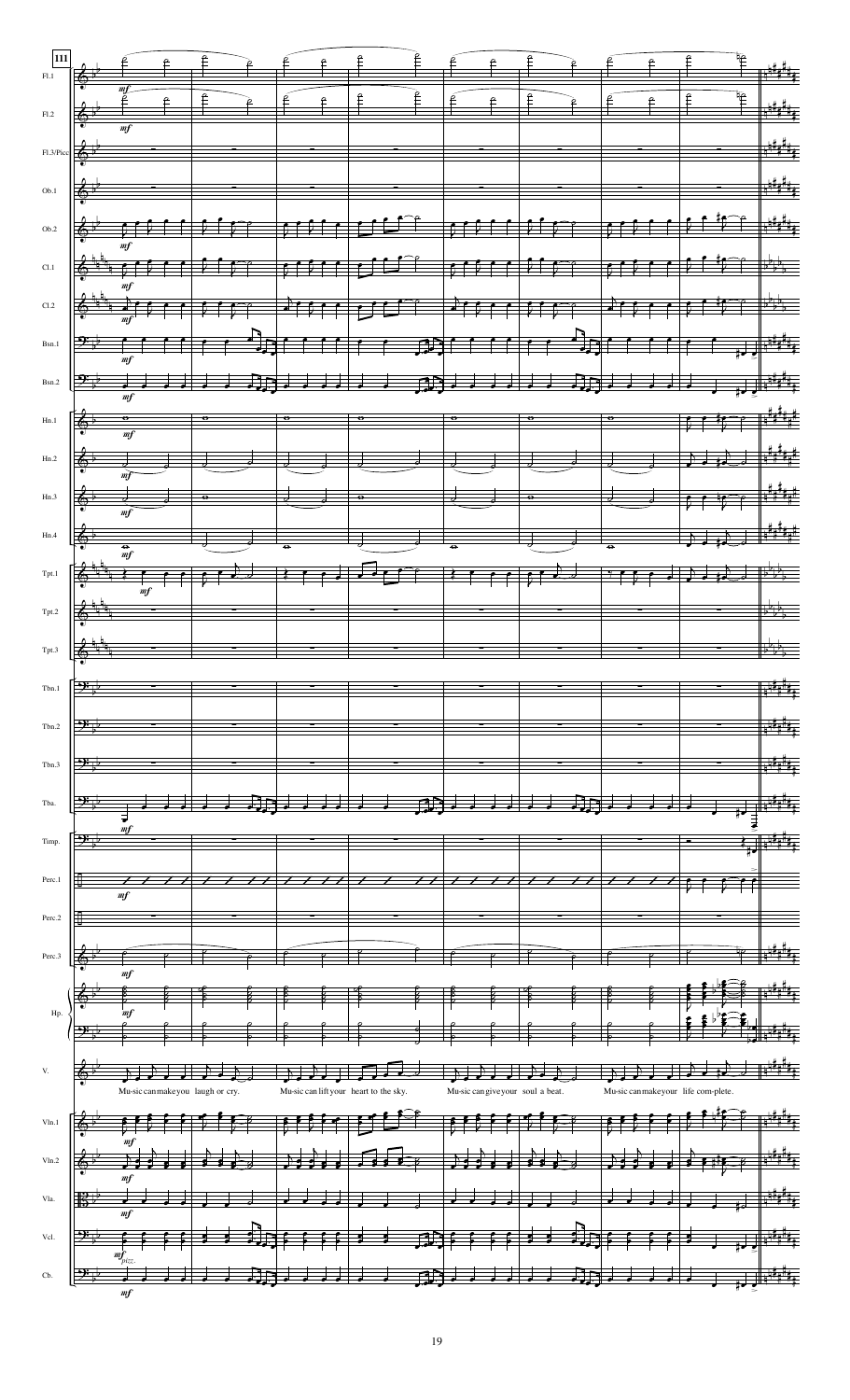| 111<br>$\rm{F}l.1$     |                                          |                                                                                                                                                                                                                                                                                                                                                                                                                     |                                            |                           |                                   |                                                                               |                                      |                                                                                                                                                                                                                                                                                                                                                                                                                                                        |                                                                                                       |
|------------------------|------------------------------------------|---------------------------------------------------------------------------------------------------------------------------------------------------------------------------------------------------------------------------------------------------------------------------------------------------------------------------------------------------------------------------------------------------------------------|--------------------------------------------|---------------------------|-----------------------------------|-------------------------------------------------------------------------------|--------------------------------------|--------------------------------------------------------------------------------------------------------------------------------------------------------------------------------------------------------------------------------------------------------------------------------------------------------------------------------------------------------------------------------------------------------------------------------------------------------|-------------------------------------------------------------------------------------------------------|
|                        | $m$ f<br>₽                               | $\mathbf{f}$                                                                                                                                                                                                                                                                                                                                                                                                        | $\mathbf{f}$                               | $\mathbf{f}$<br>$\hat{f}$ | $\hat{+}$<br>₽                    | $\mathbf{f}$<br>ρ                                                             | Ê                                    | $\mathbb{P}$<br>$\mathbf{f}$                                                                                                                                                                                                                                                                                                                                                                                                                           | التوائل                                                                                               |
| $\rm{F}l.2$            | mf                                       |                                                                                                                                                                                                                                                                                                                                                                                                                     |                                            |                           |                                   |                                                                               |                                      |                                                                                                                                                                                                                                                                                                                                                                                                                                                        |                                                                                                       |
| Fl.3/Picc              |                                          |                                                                                                                                                                                                                                                                                                                                                                                                                     |                                            |                           |                                   |                                                                               |                                      |                                                                                                                                                                                                                                                                                                                                                                                                                                                        |                                                                                                       |
| Ob.1                   |                                          |                                                                                                                                                                                                                                                                                                                                                                                                                     |                                            |                           |                                   |                                                                               |                                      |                                                                                                                                                                                                                                                                                                                                                                                                                                                        |                                                                                                       |
| $_{\rm Ob.2}$          | 6                                        |                                                                                                                                                                                                                                                                                                                                                                                                                     | $\overline{\phantom{a}}$<br>$\overline{t}$ |                           |                                   |                                                                               | $\frac{1}{2}$                        |                                                                                                                                                                                                                                                                                                                                                                                                                                                        |                                                                                                       |
| $\rm C1.1$             | m f<br>$6 + 1$                           | $\int_{0}^{\infty}$                                                                                                                                                                                                                                                                                                                                                                                                 | $\frac{1}{2}$                              | $\overline{\phantom{a}}$  | $\frac{1}{2}$                     | $\mathcal{C}$ , $\mathcal{C}$ , $\mathcal{C}$ , $\mathcal{C}$ , $\mathcal{C}$ | $\uparrow \uparrow \uparrow$         |                                                                                                                                                                                                                                                                                                                                                                                                                                                        |                                                                                                       |
| $\rm Cl.2$             | $\it mf$<br>╙╝<br>$\overline{\phi}$      | $\frac{1}{\frac{1}{\frac{1}{100}}}\int_{0}^{1}\frac{1}{\sqrt{1-\frac{1}{1-\frac{1}{1-\frac{1}{1-\frac{1}{1-\frac{1}{1-\frac{1}{1-\frac{1}{1-\frac{1}{1-\frac{1}{1-\frac{1}{1-\frac{1}{1-\frac{1}{1-\frac{1}{1-\frac{1}{1-\frac{1}{1-\frac{1}{1-\frac{1}{1-\frac{1}{1-\frac{1}{1-\frac{1}{1-\frac{1}{1-\frac{1}{1-\frac{1}{1-\frac{1}{1-\frac{1}{1-\frac{1}{1-\frac{1}{1-\frac{1}{1-\frac{1}{1-\frac{1}{1-\frac{1}{$ |                                            |                           |                                   |                                                                               | $P_{\text{eff}}$                     | $\cdot$ 6                                                                                                                                                                                                                                                                                                                                                                                                                                              | $\left  \phi^p \phi^p \right _p$                                                                      |
| $_{\rm Bsn.1}$         | $2\frac{1}{2}$                           |                                                                                                                                                                                                                                                                                                                                                                                                                     |                                            |                           |                                   |                                                                               |                                      | $\frac{1}{\frac{1}{2} \cdot \frac{1}{2} \cdot \frac{1}{2} \cdot \frac{1}{2} \cdot \frac{1}{2} \cdot \frac{1}{2} \cdot \frac{1}{2} \cdot \frac{1}{2} \cdot \frac{1}{2} \cdot \frac{1}{2} \cdot \frac{1}{2} \cdot \frac{1}{2} \cdot \frac{1}{2} \cdot \frac{1}{2} \cdot \frac{1}{2} \cdot \frac{1}{2} \cdot \frac{1}{2} \cdot \frac{1}{2} \cdot \frac{1}{2} \cdot \frac{1}{2} \cdot \frac{1}{2} \cdot \frac{1}{2} \cdot \frac{1}{2} \cdot \frac{1}{2} \$ |                                                                                                       |
| $_{\rm Bsn.2}$         | m f<br>$9\frac{1}{2}$<br>$\overline{mf}$ |                                                                                                                                                                                                                                                                                                                                                                                                                     |                                            | $\Box$                    |                                   |                                                                               |                                      |                                                                                                                                                                                                                                                                                                                                                                                                                                                        | $\overline{\mathbf{r}^{\mathbf{t}}_{\mathbf{t}}}$ , $\overline{\mathbf{r}^{\mathbf{t}}_{\mathbf{t}}}$ |
| Hn.1                   |                                          | $\overline{\mathbf{o}}$                                                                                                                                                                                                                                                                                                                                                                                             | $\Omega$                                   | $\mathbf{o}$              | $\overline{\mathbf{o}}$           | $\circ$                                                                       | $\circ$                              | $\mathbf{f}$                                                                                                                                                                                                                                                                                                                                                                                                                                           |                                                                                                       |
| Hn.2                   | $\overline{mf}$                          |                                                                                                                                                                                                                                                                                                                                                                                                                     |                                            |                           |                                   |                                                                               |                                      |                                                                                                                                                                                                                                                                                                                                                                                                                                                        |                                                                                                       |
| Hn.3                   | $\frac{\phi}{\circ}$                     |                                                                                                                                                                                                                                                                                                                                                                                                                     |                                            |                           |                                   | $\overline{\bullet}$                                                          |                                      | $\overline{\mathbb{P}}$                                                                                                                                                                                                                                                                                                                                                                                                                                | ⋕⋴ <sup>⋹</sup> ≠*≉ <sub>≡</sub> ≠                                                                    |
| Hn.4                   |                                          |                                                                                                                                                                                                                                                                                                                                                                                                                     |                                            |                           |                                   |                                                                               |                                      | $5 - 5$                                                                                                                                                                                                                                                                                                                                                                                                                                                |                                                                                                       |
|                        | $\frac{\Theta}{m}$                       |                                                                                                                                                                                                                                                                                                                                                                                                                     |                                            |                           | $\overline{\phantom{a}}$          |                                                                               |                                      |                                                                                                                                                                                                                                                                                                                                                                                                                                                        |                                                                                                       |
| $\operatorname{Tpt}.1$ | m f                                      |                                                                                                                                                                                                                                                                                                                                                                                                                     |                                            |                           | $\mathbf{r}$ $\mathbf{s}$         |                                                                               |                                      |                                                                                                                                                                                                                                                                                                                                                                                                                                                        |                                                                                                       |
| Tpt.2                  |                                          |                                                                                                                                                                                                                                                                                                                                                                                                                     |                                            |                           |                                   |                                                                               |                                      |                                                                                                                                                                                                                                                                                                                                                                                                                                                        | $\mathbb{P}\mathbb{P}$                                                                                |
| Tpt.3                  |                                          |                                                                                                                                                                                                                                                                                                                                                                                                                     |                                            |                           |                                   |                                                                               |                                      |                                                                                                                                                                                                                                                                                                                                                                                                                                                        |                                                                                                       |
| Tbn.1                  | <u>9:,</u>                               |                                                                                                                                                                                                                                                                                                                                                                                                                     |                                            |                           |                                   |                                                                               |                                      |                                                                                                                                                                                                                                                                                                                                                                                                                                                        |                                                                                                       |
| Tbn.2                  | ط≓و                                      |                                                                                                                                                                                                                                                                                                                                                                                                                     |                                            |                           |                                   |                                                                               |                                      |                                                                                                                                                                                                                                                                                                                                                                                                                                                        |                                                                                                       |
| Tbn.3                  |                                          |                                                                                                                                                                                                                                                                                                                                                                                                                     |                                            |                           |                                   |                                                                               |                                      |                                                                                                                                                                                                                                                                                                                                                                                                                                                        |                                                                                                       |
| Tba.                   |                                          |                                                                                                                                                                                                                                                                                                                                                                                                                     |                                            |                           |                                   |                                                                               |                                      |                                                                                                                                                                                                                                                                                                                                                                                                                                                        |                                                                                                       |
| Timp.                  | mf<br>୨ਜ਼                                |                                                                                                                                                                                                                                                                                                                                                                                                                     |                                            |                           |                                   |                                                                               |                                      |                                                                                                                                                                                                                                                                                                                                                                                                                                                        |                                                                                                       |
| Perc.1                 |                                          |                                                                                                                                                                                                                                                                                                                                                                                                                     |                                            |                           |                                   |                                                                               |                                      |                                                                                                                                                                                                                                                                                                                                                                                                                                                        |                                                                                                       |
| Perc.2                 | m f                                      |                                                                                                                                                                                                                                                                                                                                                                                                                     |                                            |                           |                                   |                                                                               |                                      |                                                                                                                                                                                                                                                                                                                                                                                                                                                        |                                                                                                       |
| Perc.3                 |                                          |                                                                                                                                                                                                                                                                                                                                                                                                                     |                                            |                           |                                   |                                                                               |                                      |                                                                                                                                                                                                                                                                                                                                                                                                                                                        |                                                                                                       |
|                        | m f                                      |                                                                                                                                                                                                                                                                                                                                                                                                                     |                                            |                           |                                   |                                                                               |                                      |                                                                                                                                                                                                                                                                                                                                                                                                                                                        |                                                                                                       |
| Hp.                    | mf                                       |                                                                                                                                                                                                                                                                                                                                                                                                                     |                                            |                           |                                   |                                                                               |                                      |                                                                                                                                                                                                                                                                                                                                                                                                                                                        |                                                                                                       |
| $\mathbf{V}.$          |                                          |                                                                                                                                                                                                                                                                                                                                                                                                                     |                                            |                           |                                   |                                                                               |                                      |                                                                                                                                                                                                                                                                                                                                                                                                                                                        |                                                                                                       |
|                        |                                          | Mu-sic can make you laugh or cry.                                                                                                                                                                                                                                                                                                                                                                                   | Mu-sic can lift your heart to the sky.     |                           | Mu-sic can give your soul a beat. |                                                                               | Mu-sic can make your life com-plete. |                                                                                                                                                                                                                                                                                                                                                                                                                                                        |                                                                                                       |
| Vln.1                  |                                          |                                                                                                                                                                                                                                                                                                                                                                                                                     |                                            |                           |                                   |                                                                               |                                      |                                                                                                                                                                                                                                                                                                                                                                                                                                                        |                                                                                                       |
| Vln.2                  | mf                                       |                                                                                                                                                                                                                                                                                                                                                                                                                     |                                            |                           |                                   |                                                                               |                                      |                                                                                                                                                                                                                                                                                                                                                                                                                                                        |                                                                                                       |
| Vla.                   | m f                                      |                                                                                                                                                                                                                                                                                                                                                                                                                     |                                            |                           |                                   |                                                                               |                                      |                                                                                                                                                                                                                                                                                                                                                                                                                                                        |                                                                                                       |
| Vcl.                   | m f<br>ط∃≎                               |                                                                                                                                                                                                                                                                                                                                                                                                                     |                                            |                           |                                   |                                                                               |                                      |                                                                                                                                                                                                                                                                                                                                                                                                                                                        |                                                                                                       |
| Cb.                    | $\textit{mf}_{pizz}$                     |                                                                                                                                                                                                                                                                                                                                                                                                                     |                                            |                           |                                   |                                                                               |                                      |                                                                                                                                                                                                                                                                                                                                                                                                                                                        |                                                                                                       |
|                        | m f                                      |                                                                                                                                                                                                                                                                                                                                                                                                                     |                                            |                           |                                   |                                                                               |                                      |                                                                                                                                                                                                                                                                                                                                                                                                                                                        |                                                                                                       |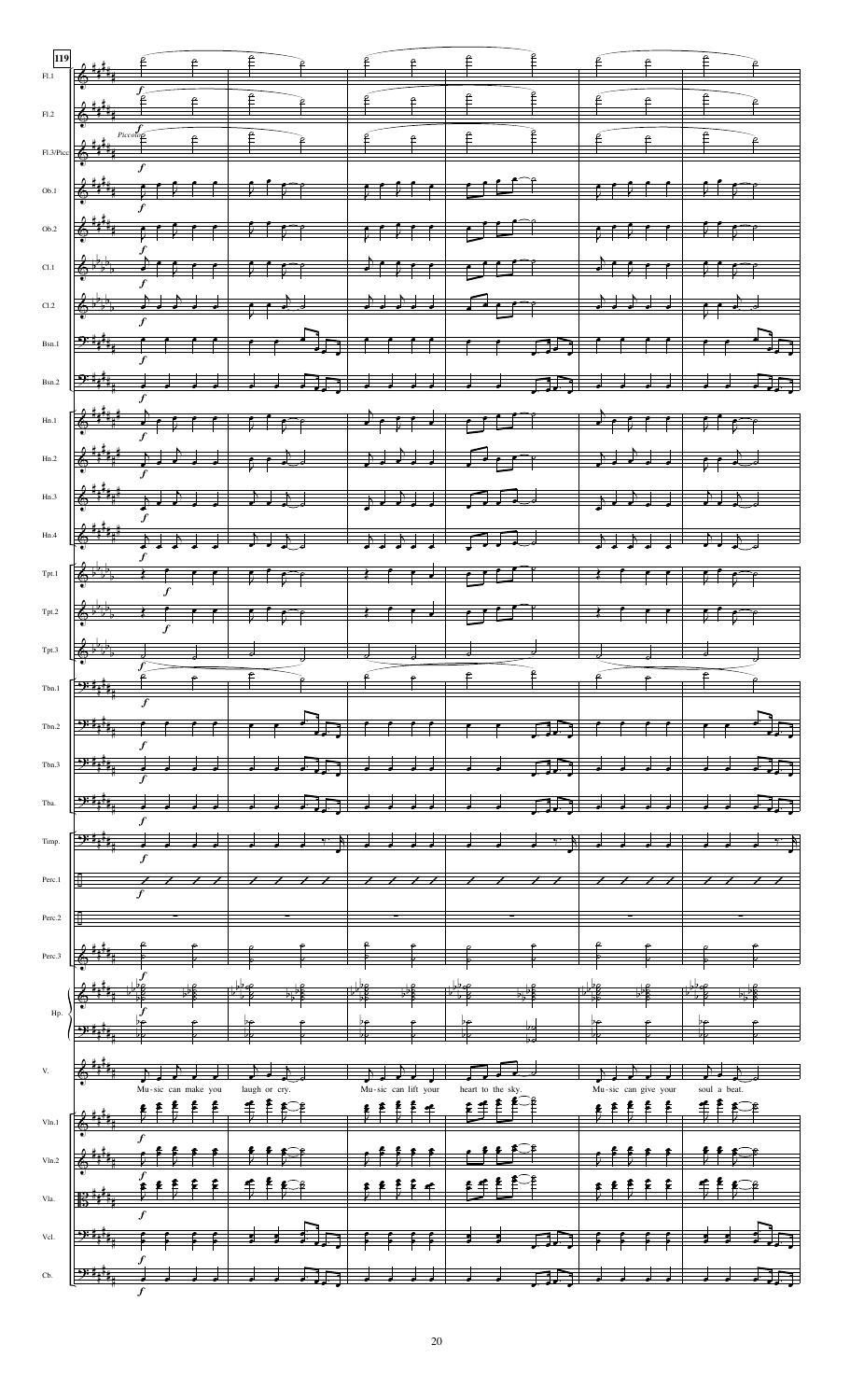| F1.1                   |           |                                                       |                      |                                                                                                                                                                                                                                                                                                                                                     |                      |        |
|------------------------|-----------|-------------------------------------------------------|----------------------|-----------------------------------------------------------------------------------------------------------------------------------------------------------------------------------------------------------------------------------------------------------------------------------------------------------------------------------------------------|----------------------|--------|
| $\rm{F}l.2$            |           |                                                       |                      | $\begin{picture}(180,10) \put(0,0){\line(1,0){10}} \put(10,0){\line(1,0){10}} \put(10,0){\line(1,0){10}} \put(10,0){\line(1,0){10}} \put(10,0){\line(1,0){10}} \put(10,0){\line(1,0){10}} \put(10,0){\line(1,0){10}} \put(10,0){\line(1,0){10}} \put(10,0){\line(1,0){10}} \put(10,0){\line(1,0){10}} \put(10,0){\line(1,0){10}} \put(10,0){\line($ |                      |        |
|                        |           |                                                       |                      | $\begin{array}{c c c c c c} \hline \mathbf{e} & \mathbf{e} & \mathbf{e} \\\hline \hline \mathbf{e} & \mathbf{e} & \mathbf{e} \\\hline \hline \mathbf{e} & \mathbf{e} & \mathbf{e} \\\hline \end{array}$                                                                                                                                             |                      |        |
| Fl.3/Picc              |           |                                                       |                      |                                                                                                                                                                                                                                                                                                                                                     |                      |        |
| Ob.1                   |           | 500                                                   |                      |                                                                                                                                                                                                                                                                                                                                                     |                      |        |
| $_{\rm Ob.2}$          |           |                                                       |                      |                                                                                                                                                                                                                                                                                                                                                     |                      |        |
| $\rm Cl.1$             |           |                                                       |                      | $\frac{2}{3}$                                                                                                                                                                                                                                                                                                                                       |                      |        |
| $\rm Cl.2$             |           |                                                       |                      | $\frac{1}{2}$ , and the state of the state of the state $\frac{1}{2}$ , $\frac{1}{2}$ , $\frac{1}{2}$ , $\frac{1}{2}$ , $\frac{1}{2}$ , $\frac{1}{2}$                                                                                                                                                                                               |                      |        |
| $_{\rm Bsn.1}$         |           |                                                       |                      |                                                                                                                                                                                                                                                                                                                                                     |                      |        |
| $_{\rm Bsn.2}$         |           | $\left  \partial^{\frac{1}{2}} \right _{\frac{1}{2}}$ | $\overrightarrow{a}$ |                                                                                                                                                                                                                                                                                                                                                     |                      | $\Box$ |
| $_{\rm Hn.1}$          |           |                                                       |                      |                                                                                                                                                                                                                                                                                                                                                     |                      |        |
| $_{\rm Hn.2}$          |           |                                                       |                      |                                                                                                                                                                                                                                                                                                                                                     |                      |        |
| Hn.3                   |           |                                                       |                      | Entre 1999 (1999) 1999 (1999) 1999 (1999) 1999                                                                                                                                                                                                                                                                                                      |                      |        |
| Hn.4                   | $6 + 1 +$ |                                                       |                      | $\frac{1}{2}$                                                                                                                                                                                                                                                                                                                                       |                      |        |
| $_\mathrm{Tpt.1}$      | $6 - 1$   |                                                       |                      |                                                                                                                                                                                                                                                                                                                                                     |                      |        |
| $\operatorname{Tpt.2}$ |           |                                                       |                      | $\begin{picture}(180,10) \put(0,0){\line(1,0){10}} \put(10,0){\line(1,0){10}} \put(10,0){\line(1,0){10}} \put(10,0){\line(1,0){10}} \put(10,0){\line(1,0){10}} \put(10,0){\line(1,0){10}} \put(10,0){\line(1,0){10}} \put(10,0){\line(1,0){10}} \put(10,0){\line(1,0){10}} \put(10,0){\line(1,0){10}} \put(10,0){\line(1,0){10}} \put(10,0){\line($ |                      |        |
| Tpt.3                  |           |                                                       |                      | $\overline{\phantom{a}}$                                                                                                                                                                                                                                                                                                                            |                      |        |
| Tbn.1                  |           |                                                       |                      |                                                                                                                                                                                                                                                                                                                                                     |                      |        |
| Tbn.2                  |           |                                                       |                      |                                                                                                                                                                                                                                                                                                                                                     |                      |        |
|                        |           |                                                       |                      |                                                                                                                                                                                                                                                                                                                                                     |                      |        |
|                        |           |                                                       |                      |                                                                                                                                                                                                                                                                                                                                                     |                      |        |
| Tbn.3                  |           |                                                       |                      |                                                                                                                                                                                                                                                                                                                                                     |                      |        |
| Tba.                   |           |                                                       |                      |                                                                                                                                                                                                                                                                                                                                                     |                      |        |
| Timp                   |           |                                                       |                      |                                                                                                                                                                                                                                                                                                                                                     |                      |        |
| Perc.1                 |           |                                                       |                      |                                                                                                                                                                                                                                                                                                                                                     |                      |        |
| Perc.2                 |           |                                                       |                      |                                                                                                                                                                                                                                                                                                                                                     |                      |        |
| Perc.3                 |           |                                                       |                      |                                                                                                                                                                                                                                                                                                                                                     |                      |        |
|                        |           |                                                       |                      |                                                                                                                                                                                                                                                                                                                                                     |                      |        |
|                        |           |                                                       |                      |                                                                                                                                                                                                                                                                                                                                                     |                      |        |
|                        |           | Mu-sic can make you                                   | laugh or             |                                                                                                                                                                                                                                                                                                                                                     | Mu-sic can give your | soul a |
| Vln.1                  |           |                                                       |                      |                                                                                                                                                                                                                                                                                                                                                     |                      |        |
| Vln.2                  |           |                                                       |                      |                                                                                                                                                                                                                                                                                                                                                     |                      |        |
| Vla.                   |           |                                                       |                      |                                                                                                                                                                                                                                                                                                                                                     |                      |        |
| Vcl.                   |           |                                                       |                      |                                                                                                                                                                                                                                                                                                                                                     |                      |        |
| Cb.                    |           |                                                       |                      |                                                                                                                                                                                                                                                                                                                                                     |                      |        |